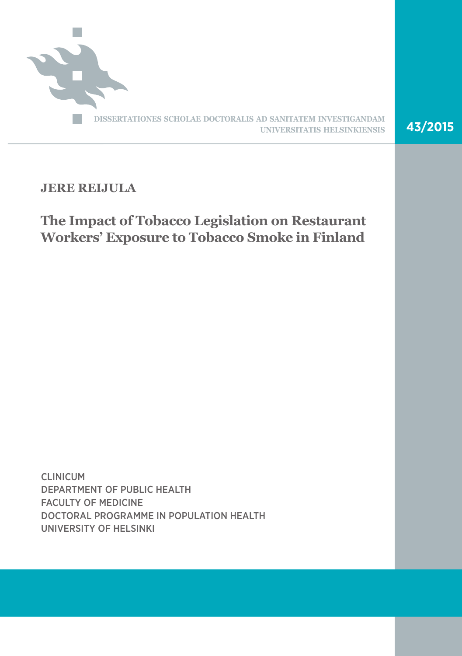

# **JERE REIJULA**

# **The Impact of Tobacco Legislation on Restaurant Workers' Exposure to Tobacco Smoke in Finland**

CLINICUM DEPARTMENT OF PUBLIC HEALTH FACULTY OF MEDICINE DOCTORAL PROGRAMME IN POPULATION HEALTH UNIVERSITY OF HELSINKI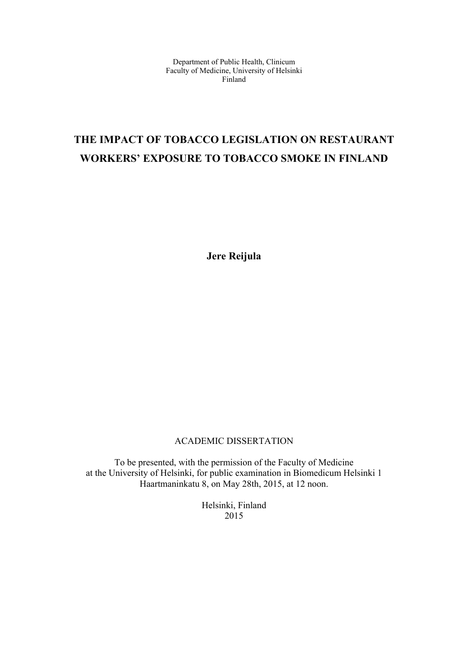Department of Public Health, Clinicum Faculty of Medicine, University of Helsinki Finland

# **THE IMPACT OF TOBACCO LEGISLATION ON RESTAURANT WORKERS' EXPOSURE TO TOBACCO SMOKE IN FINLAND**

**Jere Reijula** 

### ACADEMIC DISSERTATION

To be presented, with the permission of the Faculty of Medicine at the University of Helsinki, for public examination in Biomedicum Helsinki 1 Haartmaninkatu 8, on May 28th, 2015, at 12 noon.

> Helsinki, Finland 2015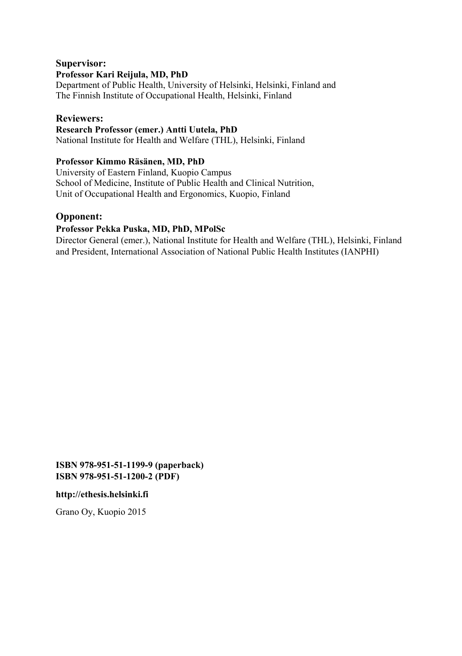### **Supervisor: Professor Kari Reijula, MD, PhD**

Department of Public Health, University of Helsinki, Helsinki, Finland and The Finnish Institute of Occupational Health, Helsinki, Finland

### **Reviewers:**

### **Research Professor (emer.) Antti Uutela, PhD**

National Institute for Health and Welfare (THL), Helsinki, Finland

### **Professor Kimmo Räsänen, MD, PhD**

University of Eastern Finland, Kuopio Campus School of Medicine, Institute of Public Health and Clinical Nutrition, Unit of Occupational Health and Ergonomics, Kuopio, Finland

### **Opponent:**

### **Professor Pekka Puska, MD, PhD, MPolSc**

Director General (emer.), National Institute for Health and Welfare (THL), Helsinki, Finland and President, International Association of National Public Health Institutes (IANPHI)

**ISBN 978-951-51-1199-9 (paperback) ISBN 978-951-51-1200-2 (PDF)** 

#### **http://ethesis.helsinki.fi**

Grano Oy, Kuopio 2015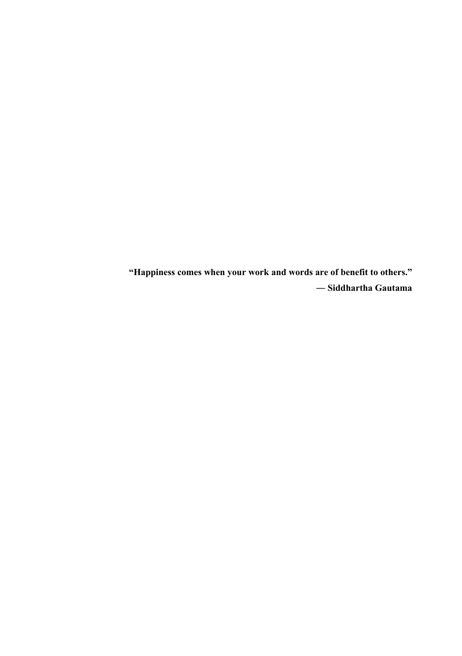**"Happiness comes when your work and words are of benefit to others." ― Siddhartha Gautama**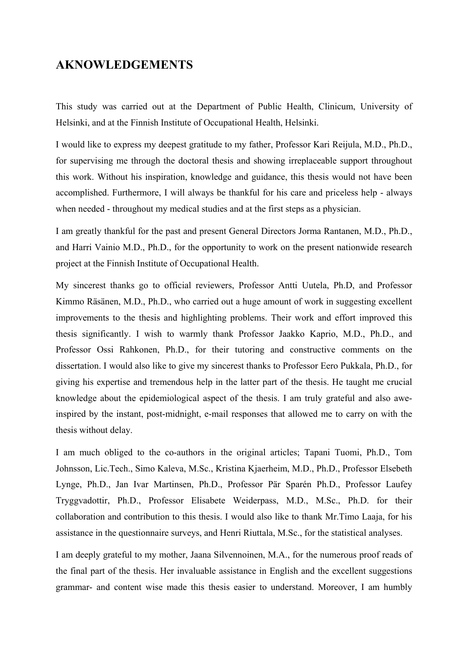## **AKNOWLEDGEMENTS**

This study was carried out at the Department of Public Health, Clinicum, University of Helsinki, and at the Finnish Institute of Occupational Health, Helsinki.

I would like to express my deepest gratitude to my father, Professor Kari Reijula, M.D., Ph.D., for supervising me through the doctoral thesis and showing irreplaceable support throughout this work. Without his inspiration, knowledge and guidance, this thesis would not have been accomplished. Furthermore, I will always be thankful for his care and priceless help - always when needed - throughout my medical studies and at the first steps as a physician.

I am greatly thankful for the past and present General Directors Jorma Rantanen, M.D., Ph.D., and Harri Vainio M.D., Ph.D., for the opportunity to work on the present nationwide research project at the Finnish Institute of Occupational Health.

My sincerest thanks go to official reviewers, Professor Antti Uutela, Ph.D, and Professor Kimmo Räsänen, M.D., Ph.D., who carried out a huge amount of work in suggesting excellent improvements to the thesis and highlighting problems. Their work and effort improved this thesis significantly. I wish to warmly thank Professor Jaakko Kaprio, M.D., Ph.D., and Professor Ossi Rahkonen, Ph.D., for their tutoring and constructive comments on the dissertation. I would also like to give my sincerest thanks to Professor Eero Pukkala, Ph.D., for giving his expertise and tremendous help in the latter part of the thesis. He taught me crucial knowledge about the epidemiological aspect of the thesis. I am truly grateful and also aweinspired by the instant, post-midnight, e-mail responses that allowed me to carry on with the thesis without delay.

I am much obliged to the co-authors in the original articles; Tapani Tuomi, Ph.D., Tom Johnsson, Lic.Tech., Simo Kaleva, M.Sc., Kristina Kjaerheim, M.D., Ph.D., Professor Elsebeth Lynge, Ph.D., Jan Ivar Martinsen, Ph.D., Professor Pär Sparén Ph.D., Professor Laufey Tryggvadottir, Ph.D., Professor Elisabete Weiderpass, M.D., M.Sc., Ph.D. for their collaboration and contribution to this thesis. I would also like to thank Mr.Timo Laaja, for his assistance in the questionnaire surveys, and Henri Riuttala, M.Sc., for the statistical analyses.

I am deeply grateful to my mother, Jaana Silvennoinen, M.A., for the numerous proof reads of the final part of the thesis. Her invaluable assistance in English and the excellent suggestions grammar- and content wise made this thesis easier to understand. Moreover, I am humbly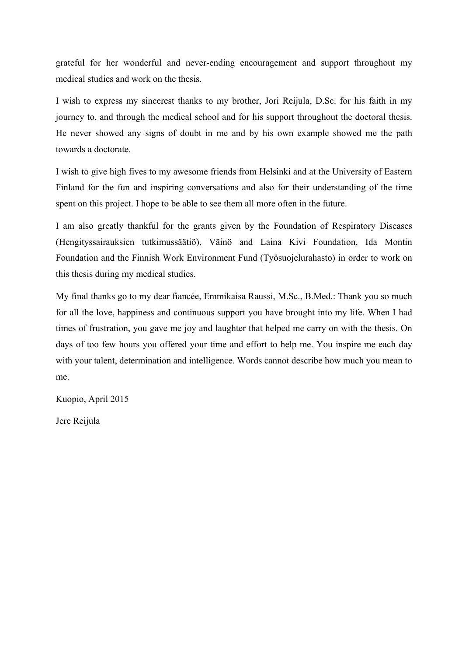grateful for her wonderful and never-ending encouragement and support throughout my medical studies and work on the thesis.

I wish to express my sincerest thanks to my brother, Jori Reijula, D.Sc. for his faith in my journey to, and through the medical school and for his support throughout the doctoral thesis. He never showed any signs of doubt in me and by his own example showed me the path towards a doctorate.

I wish to give high fives to my awesome friends from Helsinki and at the University of Eastern Finland for the fun and inspiring conversations and also for their understanding of the time spent on this project. I hope to be able to see them all more often in the future.

I am also greatly thankful for the grants given by the Foundation of Respiratory Diseases (Hengityssairauksien tutkimussäätiö), Väinö and Laina Kivi Foundation, Ida Montin Foundation and the Finnish Work Environment Fund (Työsuojelurahasto) in order to work on this thesis during my medical studies.

My final thanks go to my dear fiancée, Emmikaisa Raussi, M.Sc., B.Med.: Thank you so much for all the love, happiness and continuous support you have brought into my life. When I had times of frustration, you gave me joy and laughter that helped me carry on with the thesis. On days of too few hours you offered your time and effort to help me. You inspire me each day with your talent, determination and intelligence. Words cannot describe how much you mean to me.

Kuopio, April 2015

Jere Reijula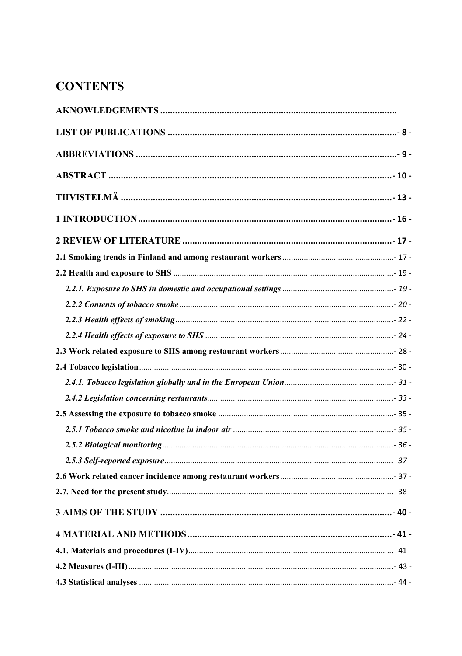# **CONTENTS**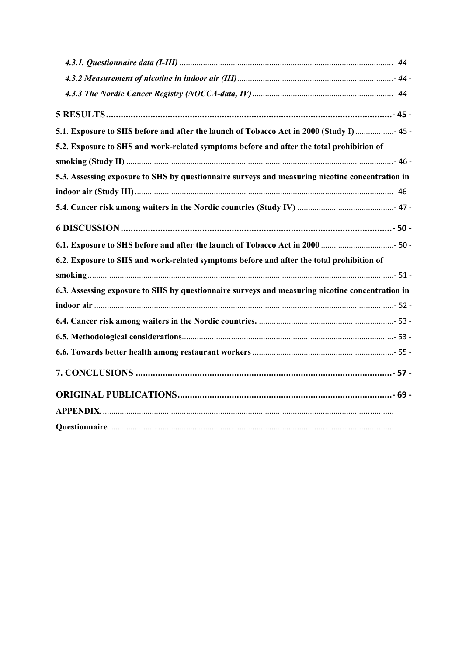| 5.1. Exposure to SHS before and after the launch of Tobacco Act in 2000 (Study I)  45 -         |  |
|-------------------------------------------------------------------------------------------------|--|
| 5.2. Exposure to SHS and work-related symptoms before and after the total prohibition of        |  |
|                                                                                                 |  |
| 5.3. Assessing exposure to SHS by questionnaire surveys and measuring nicotine concentration in |  |
|                                                                                                 |  |
|                                                                                                 |  |
|                                                                                                 |  |
|                                                                                                 |  |
| 6.2. Exposure to SHS and work-related symptoms before and after the total prohibition of        |  |
|                                                                                                 |  |
| 6.3. Assessing exposure to SHS by questionnaire surveys and measuring nicotine concentration in |  |
|                                                                                                 |  |
|                                                                                                 |  |
|                                                                                                 |  |
|                                                                                                 |  |
|                                                                                                 |  |
|                                                                                                 |  |
|                                                                                                 |  |
|                                                                                                 |  |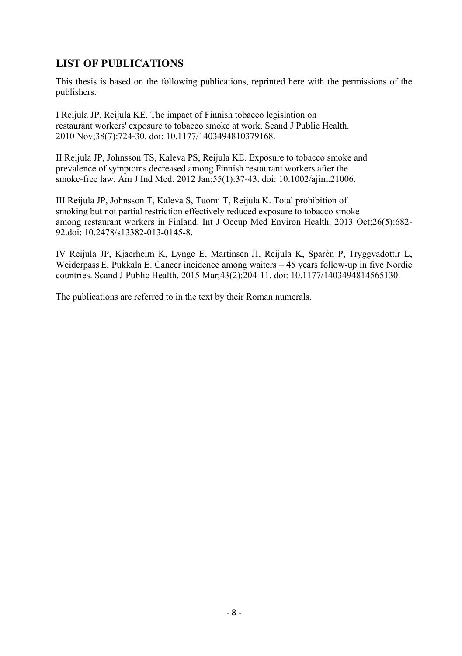## **LIST OF PUBLICATIONS**

This thesis is based on the following publications, reprinted here with the permissions of the publishers.

I Reijula JP, Reijula KE. The impact of Finnish tobacco legislation on restaurant workers' exposure to tobacco smoke at work. Scand J Public Health. 2010 Nov;38(7):724-30. doi: 10.1177/1403494810379168.

II Reijula JP, Johnsson TS, Kaleva PS, Reijula KE. Exposure to tobacco smoke and prevalence of symptoms decreased among Finnish restaurant workers after the smoke-free law. Am J Ind Med. 2012 Jan;55(1):37-43. doi: 10.1002/ajim.21006.

III Reijula JP, Johnsson T, Kaleva S, Tuomi T, Reijula K. Total prohibition of smoking but not partial restriction effectively reduced exposure to tobacco smoke among restaurant workers in Finland. Int J Occup Med Environ Health. 2013 Oct;26(5):682- 92.doi: 10.2478/s13382-013-0145-8.

IV Reijula JP, Kjaerheim K, Lynge E, Martinsen JI, Reijula K, Sparén P, Tryggvadottir L, Weiderpass E, Pukkala E. Cancer incidence among waiters – 45 years follow-up in five Nordic countries. Scand J Public Health. 2015 Mar;43(2):204-11. doi: 10.1177/1403494814565130.

The publications are referred to in the text by their Roman numerals.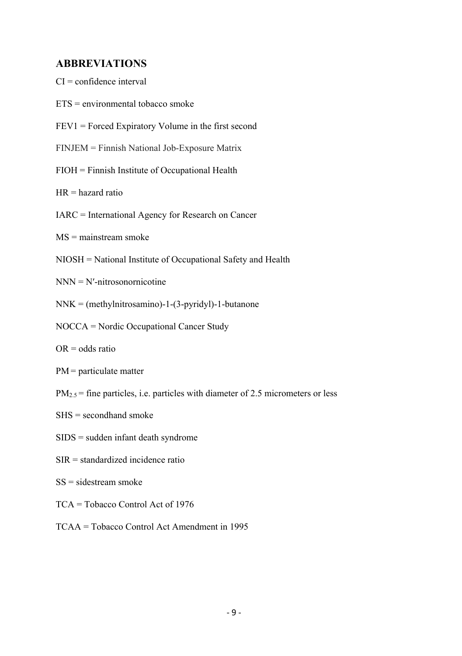# **ABBREVIATIONS**

| ADDRE VIATIUNS                                                                       |
|--------------------------------------------------------------------------------------|
| $CI =$ confidence interval                                                           |
| $ETS =$ environmental tobacco smoke                                                  |
| $FEV1 = Forced Expiratory Volume in the first second$                                |
| FINJEM = Finnish National Job-Exposure Matrix                                        |
| FIOH = Finnish Institute of Occupational Health                                      |
| $HR = hazard ratio$                                                                  |
| IARC = International Agency for Research on Cancer                                   |
| $MS =$ mainstream smoke                                                              |
| NIOSH = National Institute of Occupational Safety and Health                         |
| $NNN = N'$ -nitrosonornicotine                                                       |
| $NNK = (methylnitrosamino)-1-(3-pyridyl)-1-butanone$                                 |
| NOCCA = Nordic Occupational Cancer Study                                             |
| $OR = odds ratio$                                                                    |
| $PM =$ particulate matter                                                            |
| $PM_{2.5}$ = fine particles, i.e. particles with diameter of 2.5 micrometers or less |
| $SHS =$ secondhand smoke                                                             |
| $SIDS =$ sudden infant death syndrome                                                |
| $SIR = standardized incidence ratio$                                                 |
| $SS = sidestream smoke$                                                              |
| TCA = Tobacco Control Act of 1976                                                    |
| TCAA = Tobacco Control Act Amendment in 1995                                         |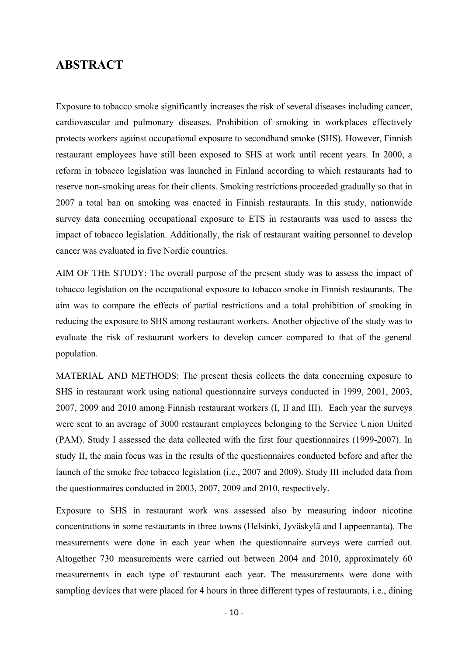### **ABSTRACT**

Exposure to tobacco smoke significantly increases the risk of several diseases including cancer, cardiovascular and pulmonary diseases. Prohibition of smoking in workplaces effectively protects workers against occupational exposure to secondhand smoke (SHS). However, Finnish restaurant employees have still been exposed to SHS at work until recent years. In 2000, a reform in tobacco legislation was launched in Finland according to which restaurants had to reserve non-smoking areas for their clients. Smoking restrictions proceeded gradually so that in 2007 a total ban on smoking was enacted in Finnish restaurants. In this study, nationwide survey data concerning occupational exposure to ETS in restaurants was used to assess the impact of tobacco legislation. Additionally, the risk of restaurant waiting personnel to develop cancer was evaluated in five Nordic countries.

AIM OF THE STUDY: The overall purpose of the present study was to assess the impact of tobacco legislation on the occupational exposure to tobacco smoke in Finnish restaurants. The aim was to compare the effects of partial restrictions and a total prohibition of smoking in reducing the exposure to SHS among restaurant workers. Another objective of the study was to evaluate the risk of restaurant workers to develop cancer compared to that of the general population.

MATERIAL AND METHODS: The present thesis collects the data concerning exposure to SHS in restaurant work using national questionnaire surveys conducted in 1999, 2001, 2003, 2007, 2009 and 2010 among Finnish restaurant workers (I, II and III). Each year the surveys were sent to an average of 3000 restaurant employees belonging to the Service Union United (PAM). Study I assessed the data collected with the first four questionnaires (1999-2007). In study II, the main focus was in the results of the questionnaires conducted before and after the launch of the smoke free tobacco legislation (i.e., 2007 and 2009). Study III included data from the questionnaires conducted in 2003, 2007, 2009 and 2010, respectively.

Exposure to SHS in restaurant work was assessed also by measuring indoor nicotine concentrations in some restaurants in three towns (Helsinki, Jyväskylä and Lappeenranta). The measurements were done in each year when the questionnaire surveys were carried out. Altogether 730 measurements were carried out between 2004 and 2010, approximately 60 measurements in each type of restaurant each year. The measurements were done with sampling devices that were placed for 4 hours in three different types of restaurants, i.e., dining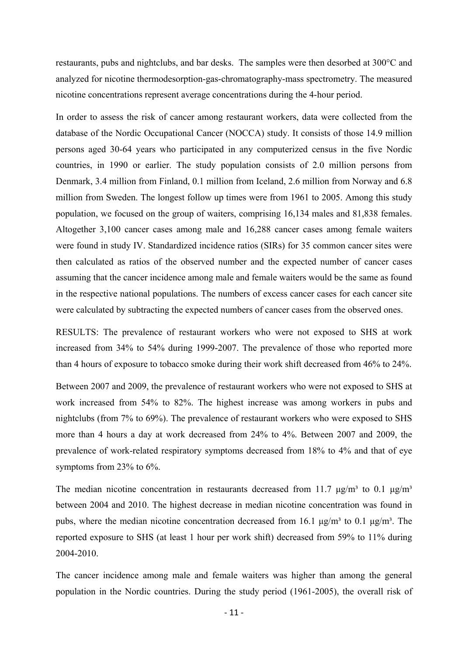restaurants, pubs and nightclubs, and bar desks. The samples were then desorbed at 300°C and analyzed for nicotine thermodesorption-gas-chromatography-mass spectrometry. The measured nicotine concentrations represent average concentrations during the 4-hour period.

In order to assess the risk of cancer among restaurant workers, data were collected from the database of the Nordic Occupational Cancer (NOCCA) study. It consists of those 14.9 million persons aged 30-64 years who participated in any computerized census in the five Nordic countries, in 1990 or earlier. The study population consists of 2.0 million persons from Denmark, 3.4 million from Finland, 0.1 million from Iceland, 2.6 million from Norway and 6.8 million from Sweden. The longest follow up times were from 1961 to 2005. Among this study population, we focused on the group of waiters, comprising 16,134 males and 81,838 females. Altogether 3,100 cancer cases among male and 16,288 cancer cases among female waiters were found in study IV. Standardized incidence ratios (SIRs) for 35 common cancer sites were then calculated as ratios of the observed number and the expected number of cancer cases assuming that the cancer incidence among male and female waiters would be the same as found in the respective national populations. The numbers of excess cancer cases for each cancer site were calculated by subtracting the expected numbers of cancer cases from the observed ones.

RESULTS: The prevalence of restaurant workers who were not exposed to SHS at work increased from 34% to 54% during 1999-2007. The prevalence of those who reported more than 4 hours of exposure to tobacco smoke during their work shift decreased from 46% to 24%.

Between 2007 and 2009, the prevalence of restaurant workers who were not exposed to SHS at work increased from 54% to 82%. The highest increase was among workers in pubs and nightclubs (from 7% to 69%). The prevalence of restaurant workers who were exposed to SHS more than 4 hours a day at work decreased from 24% to 4%. Between 2007 and 2009, the prevalence of work-related respiratory symptoms decreased from 18% to 4% and that of eye symptoms from 23% to 6%.

The median nicotine concentration in restaurants decreased from 11.7  $\mu$ g/m<sup>3</sup> to 0.1  $\mu$ g/m<sup>3</sup> between 2004 and 2010. The highest decrease in median nicotine concentration was found in pubs, where the median nicotine concentration decreased from 16.1 μg/m<sup>3</sup> to 0.1 μg/m<sup>3</sup>. The reported exposure to SHS (at least 1 hour per work shift) decreased from 59% to 11% during 2004-2010.

The cancer incidence among male and female waiters was higher than among the general population in the Nordic countries. During the study period (1961-2005), the overall risk of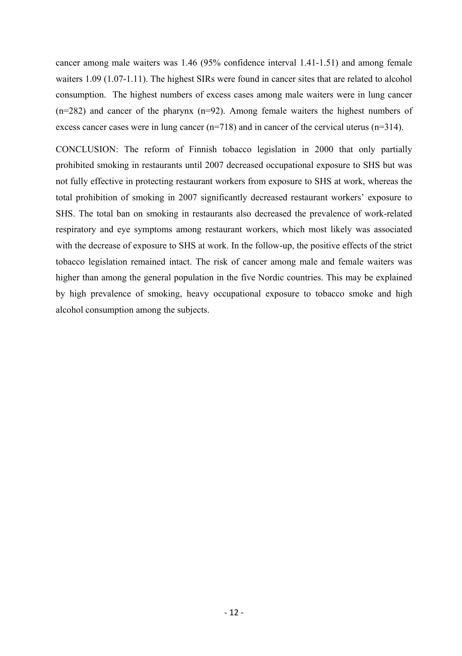cancer among male waiters was 1.46 (95% confidence interval 1.41-1.51) and among female waiters 1.09 (1.07-1.11). The highest SIRs were found in cancer sites that are related to alcohol consumption. The highest numbers of excess cases among male waiters were in lung cancer (n=282) and cancer of the pharynx (n=92). Among female waiters the highest numbers of excess cancer cases were in lung cancer  $(n=718)$  and in cancer of the cervical uterus  $(n=314)$ .

CONCLUSION: The reform of Finnish tobacco legislation in 2000 that only partially prohibited smoking in restaurants until 2007 decreased occupational exposure to SHS but was not fully effective in protecting restaurant workers from exposure to SHS at work, whereas the total prohibition of smoking in 2007 significantly decreased restaurant workers' exposure to SHS. The total ban on smoking in restaurants also decreased the prevalence of work-related respiratory and eye symptoms among restaurant workers, which most likely was associated with the decrease of exposure to SHS at work. In the follow-up, the positive effects of the strict tobacco legislation remained intact. The risk of cancer among male and female waiters was higher than among the general population in the five Nordic countries. This may be explained by high prevalence of smoking, heavy occupational exposure to tobacco smoke and high alcohol consumption among the subjects.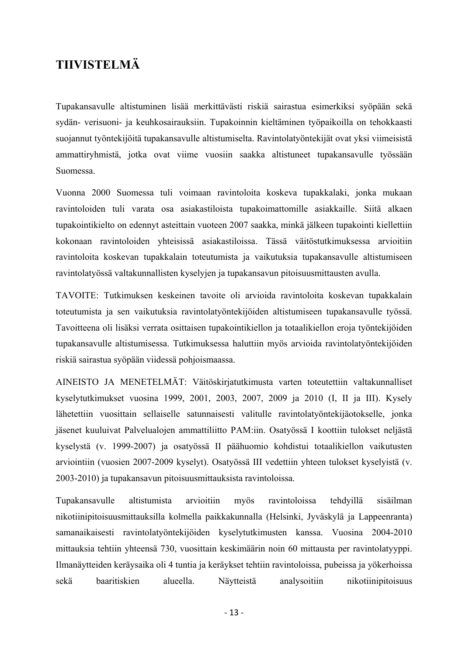# **TIIVISTELMÄ**

Tupakansavulle altistuminen lisää merkittävästi riskiä sairastua esimerkiksi syöpään sekä sydän- verisuoni- ja keuhkosairauksiin. Tupakoinnin kieltäminen työpaikoilla on tehokkaasti suojannut työntekijöitä tupakansavulle altistumiselta. Ravintolatyöntekijät ovat yksi viimeisistä ammattiryhmistä, jotka ovat viime vuosiin saakka altistuneet tupakansavulle työssään Suomessa.

Vuonna 2000 Suomessa tuli voimaan ravintoloita koskeva tupakkalaki, jonka mukaan ravintoloiden tuli varata osa asiakastiloista tupakoimattomille asiakkaille. Siitä alkaen tupakointikielto on edennyt asteittain vuoteen 2007 saakka, minkä jälkeen tupakointi kiellettiin kokonaan ravintoloiden yhteisissä asiakastiloissa. Tässä väitöstutkimuksessa arvioitiin ravintoloita koskevan tupakkalain toteutumista ja vaikutuksia tupakansavulle altistumiseen ravintolatyössä valtakunnallisten kyselyjen ja tupakansavun pitoisuusmittausten avulla.

TAVOITE: Tutkimuksen keskeinen tavoite oli arvioida ravintoloita koskevan tupakkalain toteutumista ja sen vaikutuksia ravintolatyöntekijöiden altistumiseen tupakansavulle työssä. Tavoitteena oli lisäksi verrata osittaisen tupakointikiellon ja totaalikiellon eroja työntekijöiden tupakansavulle altistumisessa. Tutkimuksessa haluttiin myös arvioida ravintolatyöntekijöiden riskiä sairastua syöpään viidessä pohjoismaassa.

AINEISTO JA MENETELMÄT: Väitöskirjatutkimusta varten toteutettiin valtakunnalliset kyselytutkimukset vuosina 1999, 2001, 2003, 2007, 2009 ja 2010 (I, II ja III). Kysely lähetettiin vuosittain sellaiselle satunnaisesti valitulle ravintolatyöntekijäotokselle, jonka jäsenet kuuluivat Palvelualojen ammattiliitto PAM:iin. Osatyössä I koottiin tulokset neljästä kyselystä (v. 1999-2007) ja osatyössä II päähuomio kohdistui totaalikiellon vaikutusten arviointiin (vuosien 2007-2009 kyselyt). Osatyössä III vedettiin yhteen tulokset kyselyistä (v. 2003-2010) ja tupakansavun pitoisuusmittauksista ravintoloissa.

Tupakansavulle altistumista arvioitiin myös ravintoloissa tehdyillä sisäilman nikotiinipitoisuusmittauksilla kolmella paikkakunnalla (Helsinki, Jyväskylä ja Lappeenranta) samanaikaisesti ravintolatyöntekijöiden kyselytutkimusten kanssa. Vuosina 2004-2010 mittauksia tehtiin yhteensä 730, vuosittain keskimäärin noin 60 mittausta per ravintolatyyppi. Ilmanäytteiden keräysaika oli 4 tuntia ja keräykset tehtiin ravintoloissa, pubeissa ja yökerhoissa sekä baaritiskien alueella. Näytteistä analysoitiin nikotiinipitoisuus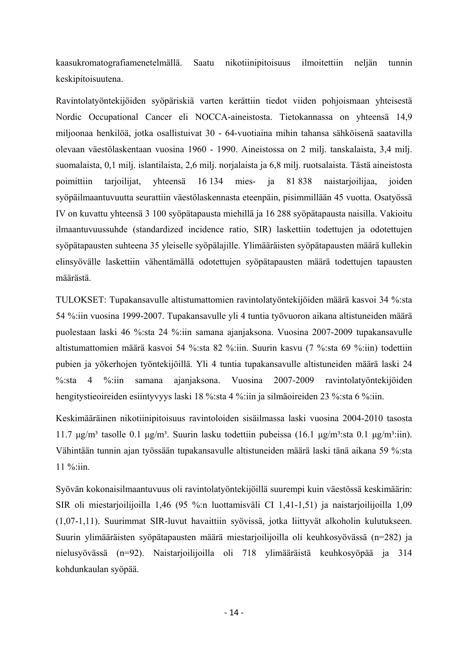kaasukromatografiamenetelmällä. Saatu nikotiinipitoisuus ilmoitettiin neljän tunnin keskipitoisuutena.

Ravintolatyöntekijöiden syöpäriskiä varten kerättiin tiedot viiden pohjoismaan yhteisestä Nordic Occupational Cancer eli NOCCA-aineistosta. Tietokannassa on yhteensä 14,9 miljoonaa henkilöä, jotka osallistuivat 30 - 64-vuotiaina mihin tahansa sähköisenä saatavilla olevaan väestölaskentaan vuosina 1960 - 1990. Aineistossa on 2 milj. tanskalaista, 3,4 milj. suomalaista, 0,1 milj. islantilaista, 2,6 milj. norjalaista ja 6,8 milj. ruotsalaista. Tästä aineistosta poimittiin tarjoilijat, yhteensä 16 134 mies- ja 81 838 naistarjoilijaa, joiden syöpäilmaantuvuutta seurattiin väestölaskennasta eteenpäin, pisimmillään 45 vuotta. Osatyössä IV on kuvattu yhteensä 3 100 syöpätapausta miehillä ja 16 288 syöpätapausta naisilla. Vakioitu ilmaantuvuussuhde (standardized incidence ratio, SIR) laskettiin todettujen ja odotettujen syöpätapausten suhteena 35 yleiselle syöpälajille. Ylimääräisten syöpätapausten määrä kullekin elinsyövälle laskettiin vähentämällä odotettujen syöpätapausten määrä todettujen tapausten määrästä.

TULOKSET: Tupakansavulle altistumattomien ravintolatyöntekijöiden määrä kasvoi 34 %:sta 54 %:iin vuosina 1999-2007. Tupakansavulle yli 4 tuntia työvuoron aikana altistuneiden määrä puolestaan laski 46 %:sta 24 %:iin samana ajanjaksona. Vuosina 2007-2009 tupakansavulle altistumattomien määrä kasvoi 54 %:sta 82 %:iin. Suurin kasvu (7 %:sta 69 %:iin) todettiin pubien ja yökerhojen työntekijöillä. Yli 4 tuntia tupakansavulle altistuneiden määrä laski 24 %:sta 4 %:iin samana ajanjaksona. Vuosina 2007-2009 ravintolatyöntekijöiden hengitystieoireiden esiintyvyys laski 18 %:sta 4 %:iin ja silmäoireiden 23 %:sta 6 %:iin.

Keskimääräinen nikotiinipitoisuus ravintoloiden sisäilmassa laski vuosina 2004-2010 tasosta  $11.7 \text{ μg/m}^3$  tasolle 0.1 μg/m<sup>3</sup>. Suurin lasku todettiin pubeissa (16.1 μg/m<sup>3</sup>:sta 0.1 μg/m<sup>3</sup>:iin). Vähintään tunnin ajan työssään tupakansavulle altistuneiden määrä laski tänä aikana 59 %:sta 11 %:iin.

Syövän kokonaisilmaantuvuus oli ravintolatyöntekijöillä suurempi kuin väestössä keskimäärin: SIR oli miestarjoilijoilla 1,46 (95 %:n luottamisväli CI 1,41-1,51) ja naistarjoilijoilla 1,09 (1,07-1,11). Suurimmat SIR-luvut havaittiin syövissä, jotka liittyvät alkoholin kulutukseen. Suurin ylimääräisten syöpätapausten määrä miestarjoilijoilla oli keuhkosyövässä (n=282) ja nielusyövässä (n=92). Naistarjoilijoilla oli 718 ylimääräistä keuhkosyöpää ja 314 kohdunkaulan syöpää.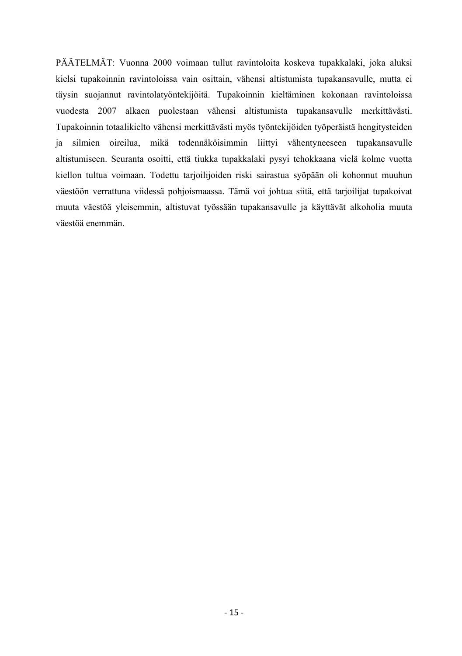PÄÄTELMÄT: Vuonna 2000 voimaan tullut ravintoloita koskeva tupakkalaki, joka aluksi kielsi tupakoinnin ravintoloissa vain osittain, vähensi altistumista tupakansavulle, mutta ei täysin suojannut ravintolatyöntekijöitä. Tupakoinnin kieltäminen kokonaan ravintoloissa vuodesta 2007 alkaen puolestaan vähensi altistumista tupakansavulle merkittävästi. Tupakoinnin totaalikielto vähensi merkittävästi myös työntekijöiden työperäistä hengitysteiden ja silmien oireilua, mikä todennäköisimmin liittyi vähentyneeseen tupakansavulle altistumiseen. Seuranta osoitti, että tiukka tupakkalaki pysyi tehokkaana vielä kolme vuotta kiellon tultua voimaan. Todettu tarjoilijoiden riski sairastua syöpään oli kohonnut muuhun väestöön verrattuna viidessä pohjoismaassa. Tämä voi johtua siitä, että tarjoilijat tupakoivat muuta väestöä yleisemmin, altistuvat työssään tupakansavulle ja käyttävät alkoholia muuta väestöä enemmän.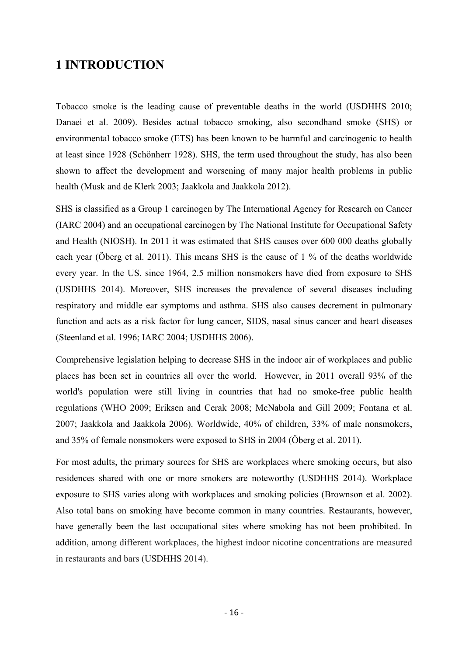## **1 INTRODUCTION**

Tobacco smoke is the leading cause of preventable deaths in the world (USDHHS 2010; Danaei et al. 2009). Besides actual tobacco smoking, also secondhand smoke (SHS) or environmental tobacco smoke (ETS) has been known to be harmful and carcinogenic to health at least since 1928 (Schönherr 1928). SHS, the term used throughout the study, has also been shown to affect the development and worsening of many major health problems in public health (Musk and de Klerk 2003; Jaakkola and Jaakkola 2012).

SHS is classified as a Group 1 carcinogen by The International Agency for Research on Cancer (IARC 2004) and an occupational carcinogen by The National Institute for Occupational Safety and Health (NIOSH). In 2011 it was estimated that SHS causes over 600 000 deaths globally each year (Öberg et al. 2011). This means SHS is the cause of 1 % of the deaths worldwide every year. In the US, since 1964, 2.5 million nonsmokers have died from exposure to SHS (USDHHS 2014). Moreover, SHS increases the prevalence of several diseases including respiratory and middle ear symptoms and asthma. SHS also causes decrement in pulmonary function and acts as a risk factor for lung cancer, SIDS, nasal sinus cancer and heart diseases (Steenland et al. 1996; IARC 2004; USDHHS 2006).

Comprehensive legislation helping to decrease SHS in the indoor air of workplaces and public places has been set in countries all over the world. However, in 2011 overall 93% of the world's population were still living in countries that had no smoke-free public health regulations (WHO 2009; Eriksen and Cerak 2008; McNabola and Gill 2009; Fontana et al. 2007; Jaakkola and Jaakkola 2006). Worldwide, 40% of children, 33% of male nonsmokers, and 35% of female nonsmokers were exposed to SHS in 2004 (Öberg et al. 2011).

For most adults, the primary sources for SHS are workplaces where smoking occurs, but also residences shared with one or more smokers are noteworthy (USDHHS 2014). Workplace exposure to SHS varies along with workplaces and smoking policies (Brownson et al. 2002). Also total bans on smoking have become common in many countries. Restaurants, however, have generally been the last occupational sites where smoking has not been prohibited. In addition, among different workplaces, the highest indoor nicotine concentrations are measured in restaurants and bars (USDHHS 2014).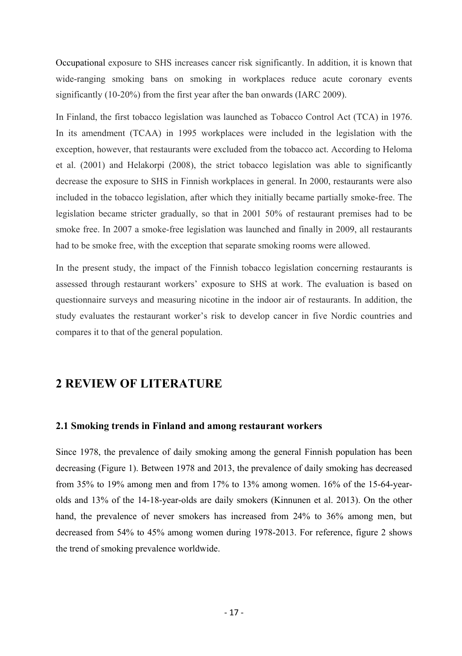Occupational exposure to SHS increases cancer risk significantly. In addition, it is known that wide-ranging smoking bans on smoking in workplaces reduce acute coronary events significantly (10-20%) from the first year after the ban onwards (IARC 2009).

In Finland, the first tobacco legislation was launched as Tobacco Control Act (TCA) in 1976. In its amendment (TCAA) in 1995 workplaces were included in the legislation with the exception, however, that restaurants were excluded from the tobacco act. According to Heloma et al. (2001) and Helakorpi (2008), the strict tobacco legislation was able to significantly decrease the exposure to SHS in Finnish workplaces in general. In 2000, restaurants were also included in the tobacco legislation, after which they initially became partially smoke-free. The legislation became stricter gradually, so that in 2001 50% of restaurant premises had to be smoke free. In 2007 a smoke-free legislation was launched and finally in 2009, all restaurants had to be smoke free, with the exception that separate smoking rooms were allowed.

In the present study, the impact of the Finnish tobacco legislation concerning restaurants is assessed through restaurant workers' exposure to SHS at work. The evaluation is based on questionnaire surveys and measuring nicotine in the indoor air of restaurants. In addition, the study evaluates the restaurant worker's risk to develop cancer in five Nordic countries and compares it to that of the general population.

# **2 REVIEW OF LITERATURE**

#### **2.1 Smoking trends in Finland and among restaurant workers**

Since 1978, the prevalence of daily smoking among the general Finnish population has been decreasing (Figure 1). Between 1978 and 2013, the prevalence of daily smoking has decreased from 35% to 19% among men and from 17% to 13% among women. 16% of the 15-64-yearolds and 13% of the 14-18-year-olds are daily smokers (Kinnunen et al. 2013). On the other hand, the prevalence of never smokers has increased from 24% to 36% among men, but decreased from 54% to 45% among women during 1978-2013. For reference, figure 2 shows the trend of smoking prevalence worldwide.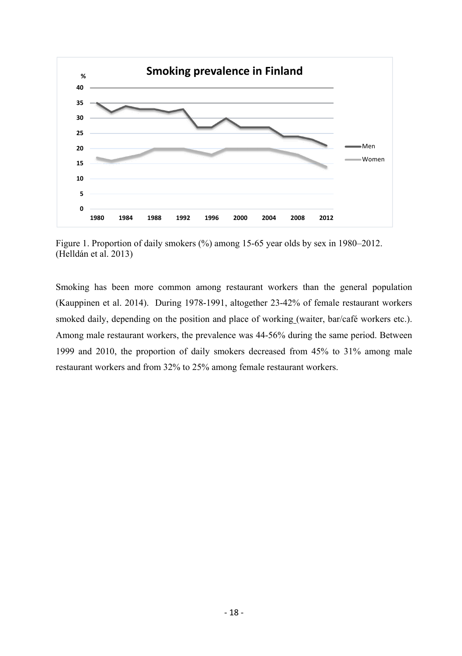

Figure 1. Proportion of daily smokers (%) among 15-65 year olds by sex in 1980–2012. (Helldán et al. 2013)

Smoking has been more common among restaurant workers than the general population (Kauppinen et al. 2014). During 1978-1991, altogether 23-42% of female restaurant workers smoked daily, depending on the position and place of working (waiter, bar/café workers etc.). Among male restaurant workers, the prevalence was 44-56% during the same period. Between 1999 and 2010, the proportion of daily smokers decreased from 45% to 31% among male restaurant workers and from 32% to 25% among female restaurant workers.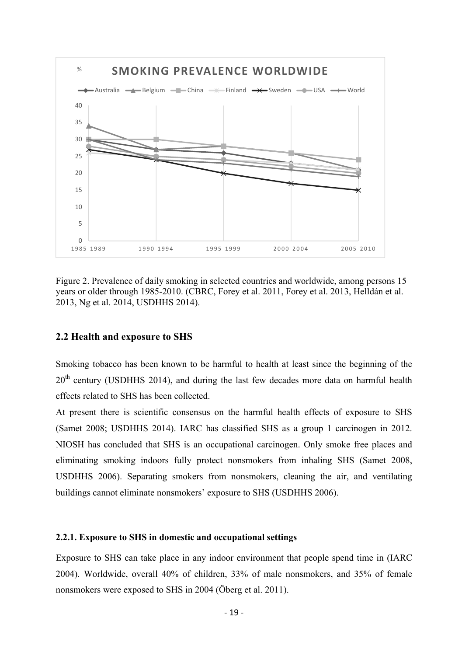

Figure 2. Prevalence of daily smoking in selected countries and worldwide, among persons 15 years or older through 1985-2010. (CBRC, Forey et al. 2011, Forey et al. 2013, Helldán et al. 2013, Ng et al. 2014, USDHHS 2014).

#### **2.2 Health and exposure to SHS**

Smoking tobacco has been known to be harmful to health at least since the beginning of the  $20<sup>th</sup>$  century (USDHHS 2014), and during the last few decades more data on harmful health effects related to SHS has been collected.

At present there is scientific consensus on the harmful health effects of exposure to SHS (Samet 2008; USDHHS 2014). IARC has classified SHS as a group 1 carcinogen in 2012. NIOSH has concluded that SHS is an occupational carcinogen. Only smoke free places and eliminating smoking indoors fully protect nonsmokers from inhaling SHS (Samet 2008, USDHHS 2006). Separating smokers from nonsmokers, cleaning the air, and ventilating buildings cannot eliminate nonsmokers' exposure to SHS (USDHHS 2006).

#### **2.2.1. Exposure to SHS in domestic and occupational settings**

Exposure to SHS can take place in any indoor environment that people spend time in (IARC 2004). Worldwide, overall 40% of children, 33% of male nonsmokers, and 35% of female nonsmokers were exposed to SHS in 2004 (Öberg et al. 2011).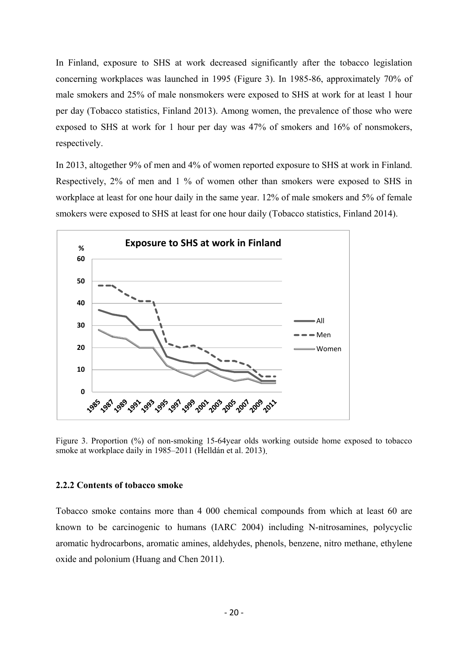In Finland, exposure to SHS at work decreased significantly after the tobacco legislation concerning workplaces was launched in 1995 (Figure 3). In 1985-86, approximately 70% of male smokers and 25% of male nonsmokers were exposed to SHS at work for at least 1 hour per day (Tobacco statistics, Finland 2013). Among women, the prevalence of those who were exposed to SHS at work for 1 hour per day was 47% of smokers and 16% of nonsmokers, respectively.

In 2013, altogether 9% of men and 4% of women reported exposure to SHS at work in Finland. Respectively, 2% of men and 1 % of women other than smokers were exposed to SHS in workplace at least for one hour daily in the same year. 12% of male smokers and 5% of female smokers were exposed to SHS at least for one hour daily (Tobacco statistics, Finland 2014).



Figure 3. Proportion (%) of non-smoking 15-64year olds working outside home exposed to tobacco smoke at workplace daily in 1985–2011 (Helldán et al. 2013).

#### **2.2.2 Contents of tobacco smoke**

Tobacco smoke contains more than 4 000 chemical compounds from which at least 60 are known to be carcinogenic to humans (IARC 2004) including N-nitrosamines, polycyclic aromatic hydrocarbons, aromatic amines, aldehydes, phenols, benzene, nitro methane, ethylene oxide and polonium (Huang and Chen 2011).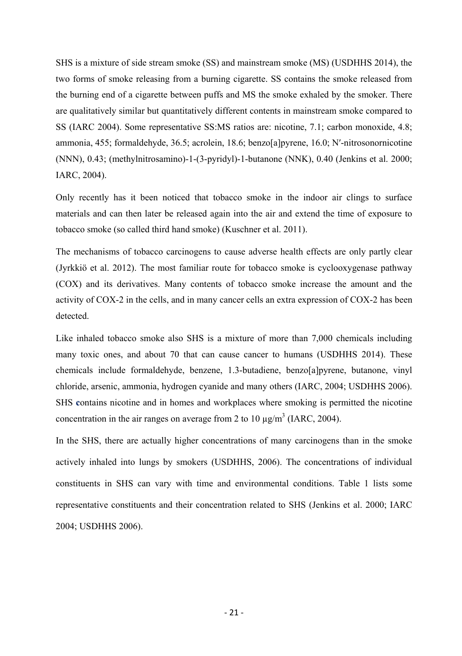SHS is a mixture of side stream smoke (SS) and mainstream smoke (MS) (USDHHS 2014), the two forms of smoke releasing from a burning cigarette. SS contains the smoke released from the burning end of a cigarette between puffs and MS the smoke exhaled by the smoker. There are qualitatively similar but quantitatively different contents in mainstream smoke compared to SS (IARC 2004). Some representative SS:MS ratios are: nicotine, 7.1; carbon monoxide, 4.8; ammonia, 455; formaldehyde, 36.5; acrolein, 18.6; benzo[a]pyrene, 16.0; N′-nitrosonornicotine (NNN), 0.43; (methylnitrosamino)-1-(3-pyridyl)-1-butanone (NNK), 0.40 (Jenkins et al. 2000; IARC, 2004).

Only recently has it been noticed that tobacco smoke in the indoor air clings to surface materials and can then later be released again into the air and extend the time of exposure to tobacco smoke (so called third hand smoke) (Kuschner et al. 2011).

The mechanisms of tobacco carcinogens to cause adverse health effects are only partly clear (Jyrkkiö et al. 2012). The most familiar route for tobacco smoke is cyclooxygenase pathway (COX) and its derivatives. Many contents of tobacco smoke increase the amount and the activity of COX-2 in the cells, and in many cancer cells an extra expression of COX-2 has been detected.

Like inhaled tobacco smoke also SHS is a mixture of more than 7,000 chemicals including many toxic ones, and about 70 that can cause cancer to humans (USDHHS 2014). These chemicals include formaldehyde, benzene, 1.3-butadiene, benzo[a]pyrene, butanone, vinyl chloride, arsenic, ammonia, hydrogen cyanide and many others (IARC, 2004; USDHHS 2006). SHS **c**ontains nicotine and in homes and workplaces where smoking is permitted the nicotine concentration in the air ranges on average from 2 to 10  $\mu$ g/m<sup>3</sup> (IARC, 2004).

In the SHS, there are actually higher concentrations of many carcinogens than in the smoke actively inhaled into lungs by smokers (USDHHS, 2006). The concentrations of individual constituents in SHS can vary with time and environmental conditions. Table 1 lists some representative constituents and their concentration related to SHS (Jenkins et al. 2000; IARC 2004; USDHHS 2006).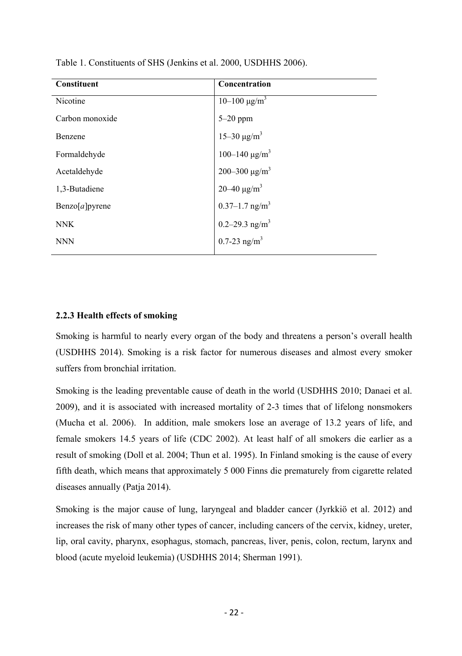| Constituent              | Concentration                  |
|--------------------------|--------------------------------|
| Nicotine                 | $10-100 \text{ µg/m}^3$        |
| Carbon monoxide          | $5-20$ ppm                     |
| Benzene                  | 15-30 μg/m <sup>3</sup>        |
| Formaldehyde             | 100-140 $\mu$ g/m <sup>3</sup> |
| Acetaldehyde             | 200-300 μg/m <sup>3</sup>      |
| 1,3-Butadiene            | 20–40 μg/m <sup>3</sup>        |
| $\text{Benzo}[a]$ pyrene | $0.37 - 1.7$ ng/m <sup>3</sup> |
| <b>NNK</b>               | 0.2-29.3 $ng/m3$               |
| <b>NNN</b>               | $0.7 - 23$ ng/m <sup>3</sup>   |

Table 1. Constituents of SHS (Jenkins et al. 2000, USDHHS 2006).

### **2.2.3 Health effects of smoking**

Smoking is harmful to nearly every organ of the body and threatens a person's overall health (USDHHS 2014). Smoking is a risk factor for numerous diseases and almost every smoker suffers from bronchial irritation.

Smoking is the leading preventable cause of death in the world (USDHHS 2010; Danaei et al. 2009), and it is associated with increased mortality of 2-3 times that of lifelong nonsmokers (Mucha et al. 2006). In addition, male smokers lose an average of 13.2 years of life, and female smokers 14.5 years of life (CDC 2002). At least half of all smokers die earlier as a result of smoking (Doll et al. 2004; Thun et al. 1995). In Finland smoking is the cause of every fifth death, which means that approximately 5 000 Finns die prematurely from cigarette related diseases annually (Patja 2014).

Smoking is the major cause of lung, laryngeal and bladder cancer (Jyrkkiö et al. 2012) and increases the risk of many other types of cancer, including cancers of the cervix, kidney, ureter, lip, oral cavity, pharynx, esophagus, stomach, pancreas, liver, penis, colon, rectum, larynx and blood (acute myeloid leukemia) (USDHHS 2014; Sherman 1991).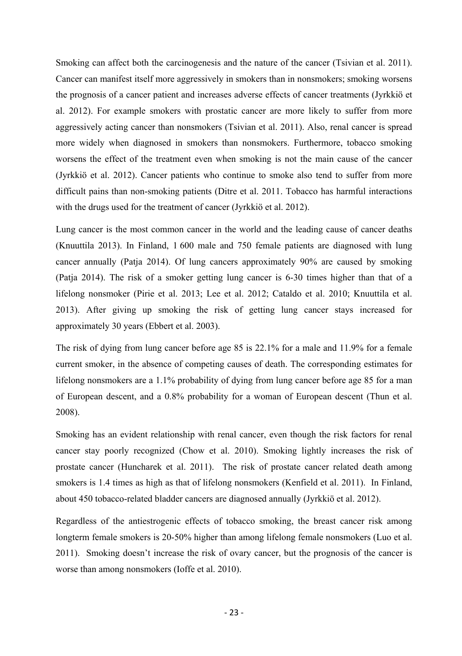Smoking can affect both the carcinogenesis and the nature of the cancer (Tsivian et al. 2011). Cancer can manifest itself more aggressively in smokers than in nonsmokers; smoking worsens the prognosis of a cancer patient and increases adverse effects of cancer treatments (Jyrkkiö et al. 2012). For example smokers with prostatic cancer are more likely to suffer from more aggressively acting cancer than nonsmokers (Tsivian et al. 2011). Also, renal cancer is spread more widely when diagnosed in smokers than nonsmokers. Furthermore, tobacco smoking worsens the effect of the treatment even when smoking is not the main cause of the cancer (Jyrkkiö et al. 2012). Cancer patients who continue to smoke also tend to suffer from more difficult pains than non-smoking patients (Ditre et al. 2011. Tobacco has harmful interactions with the drugs used for the treatment of cancer (Jyrkkiö et al. 2012).

Lung cancer is the most common cancer in the world and the leading cause of cancer deaths (Knuuttila 2013). In Finland, 1 600 male and 750 female patients are diagnosed with lung cancer annually (Patja 2014). Of lung cancers approximately 90% are caused by smoking (Patja 2014). The risk of a smoker getting lung cancer is 6-30 times higher than that of a lifelong nonsmoker (Pirie et al. 2013; Lee et al. 2012; Cataldo et al. 2010; Knuuttila et al. 2013). After giving up smoking the risk of getting lung cancer stays increased for approximately 30 years (Ebbert et al. 2003).

The risk of dying from lung cancer before age 85 is 22.1% for a male and 11.9% for a female current smoker, in the absence of competing causes of death. The corresponding estimates for lifelong nonsmokers are a 1.1% probability of dying from lung cancer before age 85 for a man of European descent, and a 0.8% probability for a woman of European descent (Thun et al. 2008).

Smoking has an evident relationship with renal cancer, even though the risk factors for renal cancer stay poorly recognized (Chow et al. 2010). Smoking lightly increases the risk of prostate cancer (Huncharek et al. 2011). The risk of prostate cancer related death among smokers is 1.4 times as high as that of lifelong nonsmokers (Kenfield et al. 2011). In Finland, about 450 tobacco-related bladder cancers are diagnosed annually (Jyrkkiö et al. 2012).

Regardless of the antiestrogenic effects of tobacco smoking, the breast cancer risk among longterm female smokers is 20-50% higher than among lifelong female nonsmokers (Luo et al. 2011). Smoking doesn't increase the risk of ovary cancer, but the prognosis of the cancer is worse than among nonsmokers (Ioffe et al. 2010).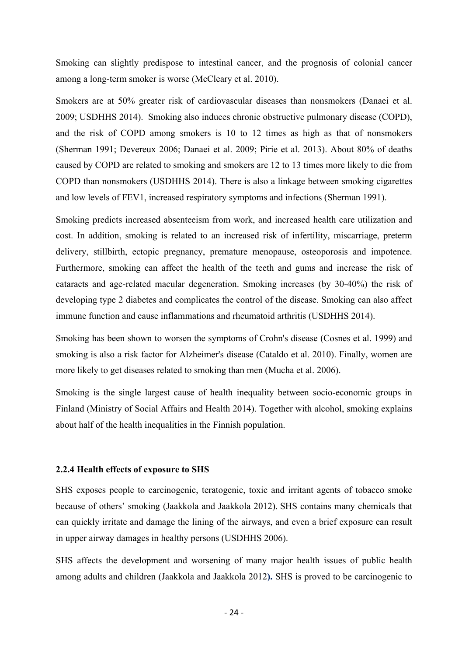Smoking can slightly predispose to intestinal cancer, and the prognosis of colonial cancer among a long-term smoker is worse (McCleary et al. 2010).

Smokers are at 50% greater risk of cardiovascular diseases than nonsmokers (Danaei et al. 2009; USDHHS 2014). Smoking also induces chronic obstructive pulmonary disease (COPD), and the risk of COPD among smokers is 10 to 12 times as high as that of nonsmokers (Sherman 1991; Devereux 2006; Danaei et al. 2009; Pirie et al. 2013). About 80% of deaths caused by COPD are related to smoking and smokers are 12 to 13 times more likely to die from COPD than nonsmokers (USDHHS 2014). There is also a linkage between smoking cigarettes and low levels of FEV1, increased respiratory symptoms and infections (Sherman 1991).

Smoking predicts increased absenteeism from work, and increased health care utilization and cost. In addition, smoking is related to an increased risk of infertility, miscarriage, preterm delivery, stillbirth, ectopic pregnancy, premature menopause, osteoporosis and impotence. Furthermore, smoking can affect the health of the teeth and gums and increase the risk of cataracts and age-related macular degeneration. Smoking increases (by 30-40%) the risk of developing type 2 diabetes and complicates the control of the disease. Smoking can also affect immune function and cause inflammations and rheumatoid arthritis (USDHHS 2014).

Smoking has been shown to worsen the symptoms of Crohn's disease (Cosnes et al. 1999) and smoking is also a risk factor for Alzheimer's disease (Cataldo et al. 2010). Finally, women are more likely to get diseases related to smoking than men (Mucha et al. 2006).

Smoking is the single largest cause of health inequality between socio-economic groups in Finland (Ministry of Social Affairs and Health 2014). Together with alcohol, smoking explains about half of the health inequalities in the Finnish population.

#### **2.2.4 Health effects of exposure to SHS**

SHS exposes people to carcinogenic, teratogenic, toxic and irritant agents of tobacco smoke because of others' smoking (Jaakkola and Jaakkola 2012). SHS contains many chemicals that can quickly irritate and damage the lining of the airways, and even a brief exposure can result in upper airway damages in healthy persons (USDHHS 2006).

SHS affects the development and worsening of many major health issues of public health among adults and children (Jaakkola and Jaakkola 2012**).** SHS is proved to be carcinogenic to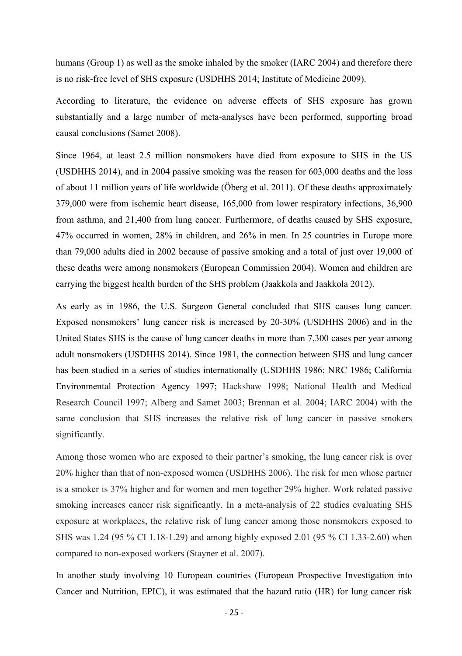humans (Group 1) as well as the smoke inhaled by the smoker (IARC 2004) and therefore there is no risk-free level of SHS exposure (USDHHS 2014; Institute of Medicine 2009).

According to literature, the evidence on adverse effects of SHS exposure has grown substantially and a large number of meta-analyses have been performed, supporting broad causal conclusions (Samet 2008).

Since 1964, at least 2.5 million nonsmokers have died from exposure to SHS in the US (USDHHS 2014), and in 2004 passive smoking was the reason for 603,000 deaths and the loss of about 11 million years of life worldwide (Öberg et al. 2011). Of these deaths approximately 379,000 were from ischemic heart disease, 165,000 from lower respiratory infections, 36,900 from asthma, and 21,400 from lung cancer. Furthermore, of deaths caused by SHS exposure, 47% occurred in women, 28% in children, and 26% in men. In 25 countries in Europe more than 79,000 adults died in 2002 because of passive smoking and a total of just over 19,000 of these deaths were among nonsmokers (European Commission 2004). Women and children are carrying the biggest health burden of the SHS problem (Jaakkola and Jaakkola 2012).

As early as in 1986, the U.S. Surgeon General concluded that SHS causes lung cancer. Exposed nonsmokers' lung cancer risk is increased by 20-30% (USDHHS 2006) and in the United States SHS is the cause of lung cancer deaths in more than 7,300 cases per year among adult nonsmokers (USDHHS 2014). Since 1981, the connection between SHS and lung cancer has been studied in a series of studies internationally (USDHHS 1986; NRC 1986; California Environmental Protection Agency 1997; Hackshaw 1998; National Health and Medical Research Council 1997; Alberg and Samet 2003; Brennan et al. 2004; IARC 2004) with the same conclusion that SHS increases the relative risk of lung cancer in passive smokers significantly.

Among those women who are exposed to their partner's smoking, the lung cancer risk is over 20% higher than that of non-exposed women (USDHHS 2006). The risk for men whose partner is a smoker is 37% higher and for women and men together 29% higher. Work related passive smoking increases cancer risk significantly. In a meta-analysis of 22 studies evaluating SHS exposure at workplaces, the relative risk of lung cancer among those nonsmokers exposed to SHS was 1.24 (95 % CI 1.18-1.29) and among highly exposed 2.01 (95 % CI 1.33-2.60) when compared to non-exposed workers (Stayner et al. 2007).

In another study involving 10 European countries (European Prospective Investigation into Cancer and Nutrition, EPIC), it was estimated that the hazard ratio (HR) for lung cancer risk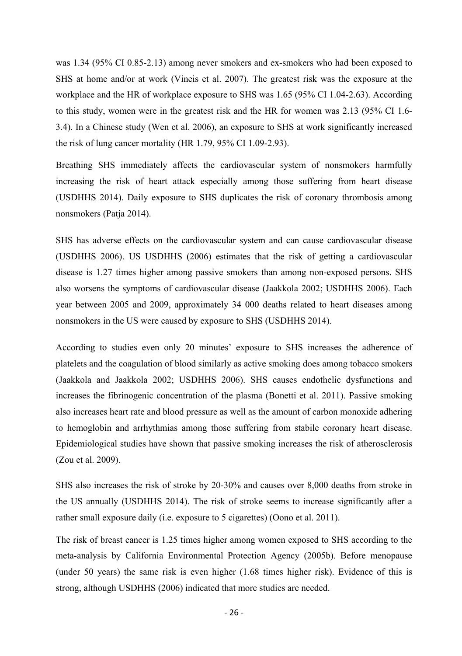was 1.34 (95% CI 0.85-2.13) among never smokers and ex-smokers who had been exposed to SHS at home and/or at work (Vineis et al. 2007). The greatest risk was the exposure at the workplace and the HR of workplace exposure to SHS was 1.65 (95% CI 1.04-2.63). According to this study, women were in the greatest risk and the HR for women was 2.13 (95% CI 1.6- 3.4). In a Chinese study (Wen et al. 2006), an exposure to SHS at work significantly increased the risk of lung cancer mortality (HR 1.79, 95% CI 1.09-2.93).

Breathing SHS immediately affects the cardiovascular system of nonsmokers harmfully increasing the risk of heart attack especially among those suffering from heart disease (USDHHS 2014). Daily exposure to SHS duplicates the risk of coronary thrombosis among nonsmokers (Patja 2014).

SHS has adverse effects on the cardiovascular system and can cause cardiovascular disease (USDHHS 2006). US USDHHS (2006) estimates that the risk of getting a cardiovascular disease is 1.27 times higher among passive smokers than among non-exposed persons. SHS also worsens the symptoms of cardiovascular disease (Jaakkola 2002; USDHHS 2006). Each year between 2005 and 2009, approximately 34 000 deaths related to heart diseases among nonsmokers in the US were caused by exposure to SHS (USDHHS 2014).

According to studies even only 20 minutes' exposure to SHS increases the adherence of platelets and the coagulation of blood similarly as active smoking does among tobacco smokers (Jaakkola and Jaakkola 2002; USDHHS 2006). SHS causes endothelic dysfunctions and increases the fibrinogenic concentration of the plasma (Bonetti et al. 2011). Passive smoking also increases heart rate and blood pressure as well as the amount of carbon monoxide adhering to hemoglobin and arrhythmias among those suffering from stabile coronary heart disease. Epidemiological studies have shown that passive smoking increases the risk of atherosclerosis (Zou et al. 2009).

SHS also increases the risk of stroke by 20-30% and causes over 8,000 deaths from stroke in the US annually (USDHHS 2014). The risk of stroke seems to increase significantly after a rather small exposure daily (i.e. exposure to 5 cigarettes) (Oono et al. 2011).

The risk of breast cancer is 1.25 times higher among women exposed to SHS according to the meta-analysis by California Environmental Protection Agency (2005b). Before menopause (under 50 years) the same risk is even higher (1.68 times higher risk). Evidence of this is strong, although USDHHS (2006) indicated that more studies are needed.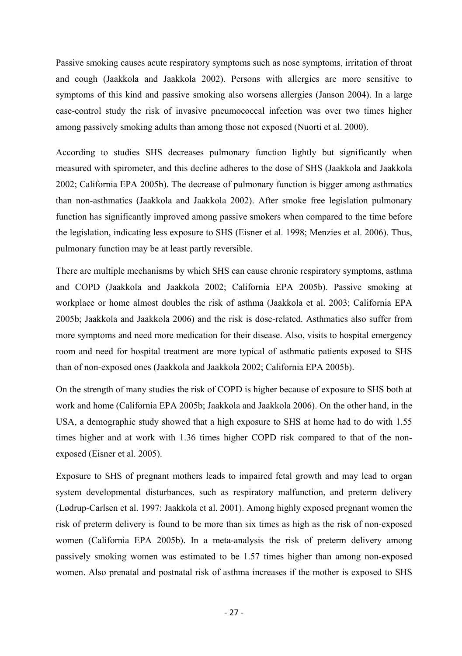Passive smoking causes acute respiratory symptoms such as nose symptoms, irritation of throat and cough (Jaakkola and Jaakkola 2002). Persons with allergies are more sensitive to symptoms of this kind and passive smoking also worsens allergies (Janson 2004). In a large case-control study the risk of invasive pneumococcal infection was over two times higher among passively smoking adults than among those not exposed (Nuorti et al. 2000).

According to studies SHS decreases pulmonary function lightly but significantly when measured with spirometer, and this decline adheres to the dose of SHS (Jaakkola and Jaakkola 2002; California EPA 2005b). The decrease of pulmonary function is bigger among asthmatics than non-asthmatics (Jaakkola and Jaakkola 2002). After smoke free legislation pulmonary function has significantly improved among passive smokers when compared to the time before the legislation, indicating less exposure to SHS (Eisner et al. 1998; Menzies et al. 2006). Thus, pulmonary function may be at least partly reversible.

There are multiple mechanisms by which SHS can cause chronic respiratory symptoms, asthma and COPD (Jaakkola and Jaakkola 2002; California EPA 2005b). Passive smoking at workplace or home almost doubles the risk of asthma (Jaakkola et al. 2003; California EPA 2005b; Jaakkola and Jaakkola 2006) and the risk is dose-related. Asthmatics also suffer from more symptoms and need more medication for their disease. Also, visits to hospital emergency room and need for hospital treatment are more typical of asthmatic patients exposed to SHS than of non-exposed ones (Jaakkola and Jaakkola 2002; California EPA 2005b).

On the strength of many studies the risk of COPD is higher because of exposure to SHS both at work and home (California EPA 2005b; Jaakkola and Jaakkola 2006). On the other hand, in the USA, a demographic study showed that a high exposure to SHS at home had to do with 1.55 times higher and at work with 1.36 times higher COPD risk compared to that of the nonexposed (Eisner et al. 2005).

Exposure to SHS of pregnant mothers leads to impaired fetal growth and may lead to organ system developmental disturbances, such as respiratory malfunction, and preterm delivery (Lødrup-Carlsen et al. 1997: Jaakkola et al. 2001). Among highly exposed pregnant women the risk of preterm delivery is found to be more than six times as high as the risk of non-exposed women (California EPA 2005b). In a meta-analysis the risk of preterm delivery among passively smoking women was estimated to be 1.57 times higher than among non-exposed women. Also prenatal and postnatal risk of asthma increases if the mother is exposed to SHS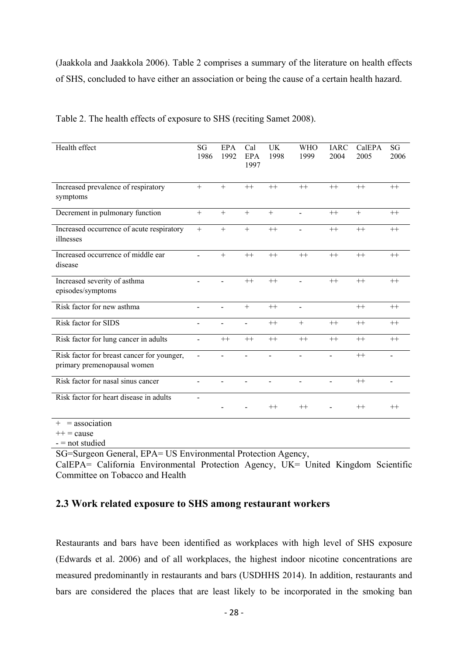(Jaakkola and Jaakkola 2006). Table 2 comprises a summary of the literature on health effects of SHS, concluded to have either an association or being the cause of a certain health hazard.

| Health effect                                                             | SG<br>1986 | <b>EPA</b><br>1992 | Cal<br>EPA<br>1997 | <b>UK</b><br>1998 | <b>WHO</b><br>1999 | <b>IARC</b><br>2004 | CalEPA<br>2005 | SG<br>2006     |
|---------------------------------------------------------------------------|------------|--------------------|--------------------|-------------------|--------------------|---------------------|----------------|----------------|
| Increased prevalence of respiratory<br>symptoms                           | $+$        | $+$                | $^{++}$            | $++$              | $^{++}$            | $++$                | $++$           | $^{++}$        |
| Decrement in pulmonary function                                           | $+$        | $+$                | $+$                | $+$               |                    | $^{++}$             | $+$            | $^{++}$        |
| Increased occurrence of acute respiratory<br>illnesses                    | $+$        | $+$                | $+$                | $^{++}$           |                    | $^{++}$             | $++$           | $^{++}$        |
| Increased occurrence of middle ear<br>disease                             |            | $+$                | $^{++}$            | $^{++}$           | $^{++}$            | $^{++}$             | $^{++}$        | $^{++}$        |
| Increased severity of asthma<br>episodes/symptoms                         |            |                    | $^{++}$            | $^{++}$           |                    | $^{++}$             | $++$           | $^{++}$        |
| Risk factor for new asthma                                                |            | ä,                 | $+$                | $++$              | $\blacksquare$     |                     | $^{++}$        | $^{++}$        |
| Risk factor for SIDS                                                      | ä,         |                    | ä,                 | $^{++}$           | $+$                | $++$                | $++$           | $++$           |
| Risk factor for lung cancer in adults                                     | ÷.         | $^{++}$            | $^{++}$            | $^{++}$           | $^{++}$            | $^{++}$             | $^{++}$        | $^{++}$        |
| Risk factor for breast cancer for younger,<br>primary premenopausal women | ۰          |                    |                    |                   |                    |                     | $^{++}$        |                |
| Risk factor for nasal sinus cancer                                        | ä,         | ٠                  | ä,                 | $\blacksquare$    | $\blacksquare$     | ä,                  | $^{++}$        | $\blacksquare$ |
| Risk factor for heart disease in adults                                   |            |                    |                    | $^{++}$           | $^{++}$            |                     | $^{++}$        | $^{++}$        |
| $+$ = association                                                         |            |                    |                    |                   |                    |                     |                |                |

Table 2. The health effects of exposure to SHS (reciting Samet 2008).

 $++ = \text{cause}$ 

- = not studied

SG=Surgeon General, EPA= US Environmental Protection Agency,

CalEPA= California Environmental Protection Agency, UK= United Kingdom Scientific Committee on Tobacco and Health

### **2.3 Work related exposure to SHS among restaurant workers**

Restaurants and bars have been identified as workplaces with high level of SHS exposure (Edwards et al. 2006) and of all workplaces, the highest indoor nicotine concentrations are measured predominantly in restaurants and bars (USDHHS 2014). In addition, restaurants and bars are considered the places that are least likely to be incorporated in the smoking ban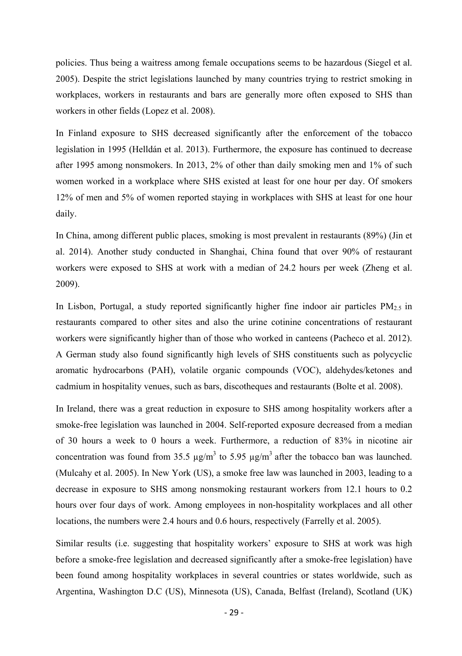policies. Thus being a waitress among female occupations seems to be hazardous (Siegel et al. 2005). Despite the strict legislations launched by many countries trying to restrict smoking in workplaces, workers in restaurants and bars are generally more often exposed to SHS than workers in other fields (Lopez et al. 2008).

In Finland exposure to SHS decreased significantly after the enforcement of the tobacco legislation in 1995 (Helldán et al. 2013). Furthermore, the exposure has continued to decrease after 1995 among nonsmokers. In 2013, 2% of other than daily smoking men and 1% of such women worked in a workplace where SHS existed at least for one hour per day. Of smokers 12% of men and 5% of women reported staying in workplaces with SHS at least for one hour daily.

In China, among different public places, smoking is most prevalent in restaurants (89%) (Jin et al. 2014). Another study conducted in Shanghai, China found that over 90% of restaurant workers were exposed to SHS at work with a median of 24.2 hours per week (Zheng et al. 2009).

In Lisbon, Portugal, a study reported significantly higher fine indoor air particles  $PM_{2.5}$  in restaurants compared to other sites and also the urine cotinine concentrations of restaurant workers were significantly higher than of those who worked in canteens (Pacheco et al. 2012). A German study also found significantly high levels of SHS constituents such as polycyclic aromatic hydrocarbons (PAH), volatile organic compounds (VOC), aldehydes/ketones and cadmium in hospitality venues, such as bars, discotheques and restaurants (Bolte et al. 2008).

In Ireland, there was a great reduction in exposure to SHS among hospitality workers after a smoke-free legislation was launched in 2004. Self-reported exposure decreased from a median of 30 hours a week to 0 hours a week. Furthermore, a reduction of 83% in nicotine air concentration was found from 35.5  $\mu$ g/m<sup>3</sup> to 5.95  $\mu$ g/m<sup>3</sup> after the tobacco ban was launched. (Mulcahy et al. 2005). In New York (US), a smoke free law was launched in 2003, leading to a decrease in exposure to SHS among nonsmoking restaurant workers from 12.1 hours to 0.2 hours over four days of work. Among employees in non-hospitality workplaces and all other locations, the numbers were 2.4 hours and 0.6 hours, respectively (Farrelly et al. 2005).

Similar results (i.e. suggesting that hospitality workers' exposure to SHS at work was high before a smoke-free legislation and decreased significantly after a smoke-free legislation) have been found among hospitality workplaces in several countries or states worldwide, such as Argentina, Washington D.C (US), Minnesota (US), Canada, Belfast (Ireland), Scotland (UK)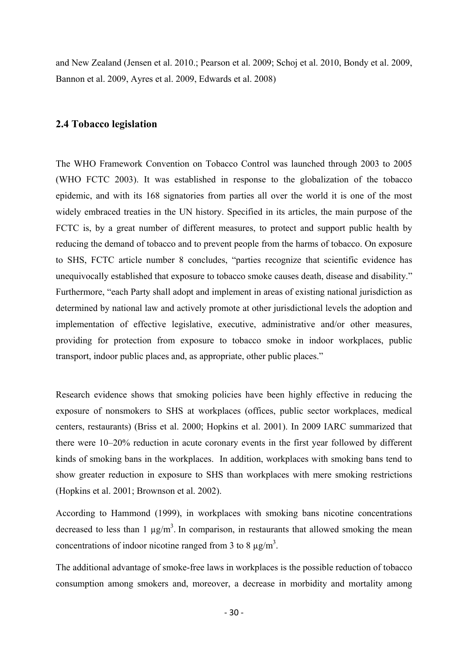and New Zealand (Jensen et al. 2010.; Pearson et al. 2009; Schoj et al. 2010, Bondy et al. 2009, Bannon et al. 2009, Ayres et al. 2009, Edwards et al. 2008)

### **2.4 Tobacco legislation**

The WHO Framework Convention on Tobacco Control was launched through 2003 to 2005 (WHO FCTC 2003). It was established in response to the globalization of the tobacco epidemic, and with its 168 signatories from parties all over the world it is one of the most widely embraced treaties in the UN history. Specified in its articles, the main purpose of the FCTC is, by a great number of different measures, to protect and support public health by reducing the demand of tobacco and to prevent people from the harms of tobacco. On exposure to SHS, FCTC article number 8 concludes, "parties recognize that scientific evidence has unequivocally established that exposure to tobacco smoke causes death, disease and disability." Furthermore, "each Party shall adopt and implement in areas of existing national jurisdiction as determined by national law and actively promote at other jurisdictional levels the adoption and implementation of effective legislative, executive, administrative and/or other measures, providing for protection from exposure to tobacco smoke in indoor workplaces, public transport, indoor public places and, as appropriate, other public places."

Research evidence shows that smoking policies have been highly effective in reducing the exposure of nonsmokers to SHS at workplaces (offices, public sector workplaces, medical centers, restaurants) (Briss et al. 2000; Hopkins et al. 2001). In 2009 IARC summarized that there were 10–20% reduction in acute coronary events in the first year followed by different kinds of smoking bans in the workplaces. In addition, workplaces with smoking bans tend to show greater reduction in exposure to SHS than workplaces with mere smoking restrictions (Hopkins et al. 2001; Brownson et al. 2002).

According to Hammond (1999), in workplaces with smoking bans nicotine concentrations decreased to less than 1  $\mu$ g/m<sup>3</sup>. In comparison, in restaurants that allowed smoking the mean concentrations of indoor nicotine ranged from 3 to 8  $\mu$ g/m<sup>3</sup>.

The additional advantage of smoke-free laws in workplaces is the possible reduction of tobacco consumption among smokers and, moreover, a decrease in morbidity and mortality among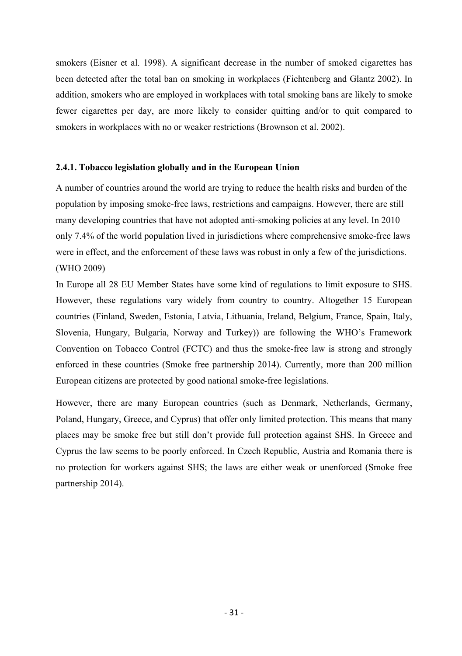smokers (Eisner et al. 1998). A significant decrease in the number of smoked cigarettes has been detected after the total ban on smoking in workplaces (Fichtenberg and Glantz 2002). In addition, smokers who are employed in workplaces with total smoking bans are likely to smoke fewer cigarettes per day, are more likely to consider quitting and/or to quit compared to smokers in workplaces with no or weaker restrictions (Brownson et al. 2002).

### **2.4.1. Tobacco legislation globally and in the European Union**

A number of countries around the world are trying to reduce the health risks and burden of the population by imposing smoke-free laws, restrictions and campaigns. However, there are still many developing countries that have not adopted anti-smoking policies at any level. In 2010 only 7.4% of the world population lived in jurisdictions where comprehensive smoke-free laws were in effect, and the enforcement of these laws was robust in only a few of the jurisdictions. (WHO 2009)

In Europe all 28 EU Member States have some kind of regulations to limit exposure to SHS. However, these regulations vary widely from country to country. Altogether 15 European countries (Finland, Sweden, Estonia, Latvia, Lithuania, Ireland, Belgium, France, Spain, Italy, Slovenia, Hungary, Bulgaria, Norway and Turkey)) are following the WHO's Framework Convention on Tobacco Control (FCTC) and thus the smoke-free law is strong and strongly enforced in these countries (Smoke free partnership 2014). Currently, more than 200 million European citizens are protected by good national smoke-free legislations.

However, there are many European countries (such as Denmark, Netherlands, Germany, Poland, Hungary, Greece, and Cyprus) that offer only limited protection. This means that many places may be smoke free but still don't provide full protection against SHS. In Greece and Cyprus the law seems to be poorly enforced. In Czech Republic, Austria and Romania there is no protection for workers against SHS; the laws are either weak or unenforced (Smoke free partnership 2014).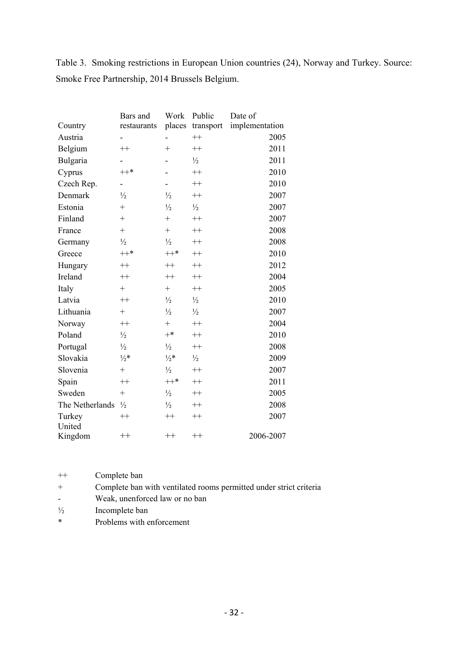Table 3. Smoking restrictions in European Union countries (24), Norway and Turkey. Source: Smoke Free Partnership, 2014 Brussels Belgium.

|                 | Bars and        | Work            | Public           | Date of        |
|-----------------|-----------------|-----------------|------------------|----------------|
| Country         | restaurants     |                 | places transport | implementation |
| Austria         |                 |                 | $^{++}$          | 2005           |
| Belgium         | $++$            | $+$             | $++$             | 2011           |
| Bulgaria        |                 |                 | $\frac{1}{2}$    | 2011           |
| Cyprus          | $++*$           |                 | $^{++}$          | 2010           |
| Czech Rep.      |                 |                 | $^{++}$          | 2010           |
| Denmark         | $\frac{1}{2}$   | $\frac{1}{2}$   | $++$             | 2007           |
| Estonia         | $+$             | $\frac{1}{2}$   | $\frac{1}{2}$    | 2007           |
| Finland         | $+$             | $+$             | $^{++}$          | 2007           |
| France          | $^{+}$          | $+$             | $^{++}$          | 2008           |
| Germany         | $\frac{1}{2}$   | $\frac{1}{2}$   | $^{++}$          | 2008           |
| Greece          | $++*$           | $++*$           | $^{++}$          | 2010           |
| Hungary         | $++$            | $^{++}$         | $++$             | 2012           |
| Ireland         | $++$            | $^{++}$         | $^{++}$          | 2004           |
| Italy           | $^{+}$          | $+$             | $++$             | 2005           |
| Latvia          | $++$            | $\frac{1}{2}$   | $\frac{1}{2}$    | 2010           |
| Lithuania       | $+$             | $\frac{1}{2}$   | $\frac{1}{2}$    | 2007           |
| Norway          | $++$            | $+$             | $^{++}$          | 2004           |
| Poland          | $\frac{1}{2}$   | $+*$            | $++$             | 2010           |
| Portugal        | $\frac{1}{2}$   | $\frac{1}{2}$   | $^{++}$          | 2008           |
| Slovakia        | $\frac{1}{2}$ * | $\frac{1}{2}$ * | $\frac{1}{2}$    | 2009           |
| Slovenia        | $^{+}$          | $\frac{1}{2}$   | $^{++}$          | 2007           |
| Spain           | $++$            | $^{++*}$        | $^{++}$          | 2011           |
| Sweden          | $+$             | $\frac{1}{2}$   | $^{++}$          | 2005           |
| The Netherlands | $\frac{1}{2}$   | $\frac{1}{2}$   | $^{++}$          | 2008           |
| Turkey          | $++$            | $^{++}$         | $++$             | 2007           |
| United          |                 |                 |                  |                |
| Kingdom         | $++$            | $^{++}$         | $^{++}$          | 2006-2007      |

| $++$   | Complete ban                                                       |
|--------|--------------------------------------------------------------------|
| $^{+}$ | Complete ban with ventilated rooms permitted under strict criteria |
|        | Weak, unenforced law or no ban                                     |
|        | المصطلحة والمستحدث                                                 |

- $\frac{1}{2}$  Incomplete ban
- \* Problems with enforcement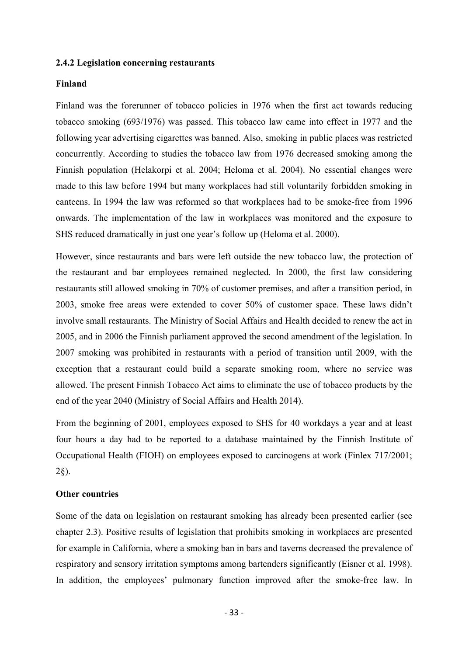#### **2.4.2 Legislation concerning restaurants**

### **Finland**

Finland was the forerunner of tobacco policies in 1976 when the first act towards reducing tobacco smoking (693/1976) was passed. This tobacco law came into effect in 1977 and the following year advertising cigarettes was banned. Also, smoking in public places was restricted concurrently. According to studies the tobacco law from 1976 decreased smoking among the Finnish population (Helakorpi et al. 2004; Heloma et al. 2004). No essential changes were made to this law before 1994 but many workplaces had still voluntarily forbidden smoking in canteens. In 1994 the law was reformed so that workplaces had to be smoke-free from 1996 onwards. The implementation of the law in workplaces was monitored and the exposure to SHS reduced dramatically in just one year's follow up (Heloma et al. 2000).

However, since restaurants and bars were left outside the new tobacco law, the protection of the restaurant and bar employees remained neglected. In 2000, the first law considering restaurants still allowed smoking in 70% of customer premises, and after a transition period, in 2003, smoke free areas were extended to cover 50% of customer space. These laws didn't involve small restaurants. The Ministry of Social Affairs and Health decided to renew the act in 2005, and in 2006 the Finnish parliament approved the second amendment of the legislation. In 2007 smoking was prohibited in restaurants with a period of transition until 2009, with the exception that a restaurant could build a separate smoking room, where no service was allowed. The present Finnish Tobacco Act aims to eliminate the use of tobacco products by the end of the year 2040 (Ministry of Social Affairs and Health 2014).

From the beginning of 2001, employees exposed to SHS for 40 workdays a year and at least four hours a day had to be reported to a database maintained by the Finnish Institute of Occupational Health (FIOH) on employees exposed to carcinogens at work (Finlex 717/2001; 2§).

### **Other countries**

Some of the data on legislation on restaurant smoking has already been presented earlier (see chapter 2.3). Positive results of legislation that prohibits smoking in workplaces are presented for example in California, where a smoking ban in bars and taverns decreased the prevalence of respiratory and sensory irritation symptoms among bartenders significantly (Eisner et al. 1998). In addition, the employees' pulmonary function improved after the smoke-free law. In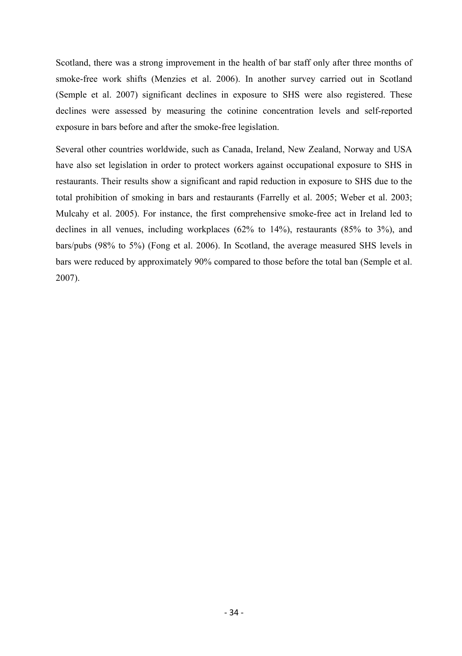Scotland, there was a strong improvement in the health of bar staff only after three months of smoke-free work shifts (Menzies et al. 2006). In another survey carried out in Scotland (Semple et al. 2007) significant declines in exposure to SHS were also registered. These declines were assessed by measuring the cotinine concentration levels and self-reported exposure in bars before and after the smoke-free legislation.

Several other countries worldwide, such as Canada, Ireland, New Zealand, Norway and USA have also set legislation in order to protect workers against occupational exposure to SHS in restaurants. Their results show a significant and rapid reduction in exposure to SHS due to the total prohibition of smoking in bars and restaurants (Farrelly et al. 2005; Weber et al. 2003; Mulcahy et al. 2005). For instance, the first comprehensive smoke-free act in Ireland led to declines in all venues, including workplaces (62% to 14%), restaurants (85% to 3%), and bars/pubs (98% to 5%) (Fong et al. 2006). In Scotland, the average measured SHS levels in bars were reduced by approximately 90% compared to those before the total ban (Semple et al. 2007).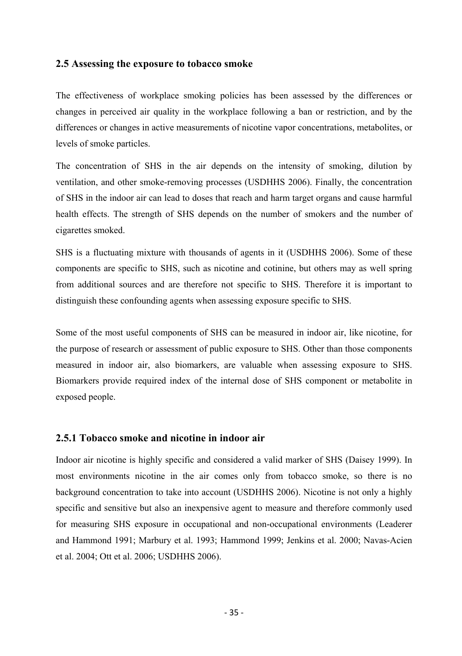### **2.5 Assessing the exposure to tobacco smoke**

The effectiveness of workplace smoking policies has been assessed by the differences or changes in perceived air quality in the workplace following a ban or restriction, and by the differences or changes in active measurements of nicotine vapor concentrations, metabolites, or levels of smoke particles.

The concentration of SHS in the air depends on the intensity of smoking, dilution by ventilation, and other smoke-removing processes (USDHHS 2006). Finally, the concentration of SHS in the indoor air can lead to doses that reach and harm target organs and cause harmful health effects. The strength of SHS depends on the number of smokers and the number of cigarettes smoked.

SHS is a fluctuating mixture with thousands of agents in it (USDHHS 2006). Some of these components are specific to SHS, such as nicotine and cotinine, but others may as well spring from additional sources and are therefore not specific to SHS. Therefore it is important to distinguish these confounding agents when assessing exposure specific to SHS.

Some of the most useful components of SHS can be measured in indoor air, like nicotine, for the purpose of research or assessment of public exposure to SHS. Other than those components measured in indoor air, also biomarkers, are valuable when assessing exposure to SHS. Biomarkers provide required index of the internal dose of SHS component or metabolite in exposed people.

### **2.5.1 Tobacco smoke and nicotine in indoor air**

Indoor air nicotine is highly specific and considered a valid marker of SHS (Daisey 1999). In most environments nicotine in the air comes only from tobacco smoke, so there is no background concentration to take into account (USDHHS 2006). Nicotine is not only a highly specific and sensitive but also an inexpensive agent to measure and therefore commonly used for measuring SHS exposure in occupational and non-occupational environments (Leaderer and Hammond 1991; Marbury et al. 1993; Hammond 1999; Jenkins et al. 2000; Navas-Acien et al. 2004; Ott et al. 2006; USDHHS 2006).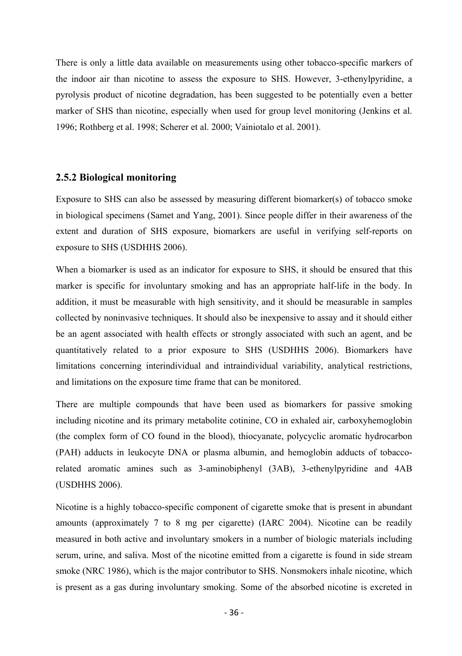There is only a little data available on measurements using other tobacco-specific markers of the indoor air than nicotine to assess the exposure to SHS. However, 3-ethenylpyridine, a pyrolysis product of nicotine degradation, has been suggested to be potentially even a better marker of SHS than nicotine, especially when used for group level monitoring (Jenkins et al. 1996; Rothberg et al. 1998; Scherer et al. 2000; Vainiotalo et al. 2001).

## **2.5.2 Biological monitoring**

Exposure to SHS can also be assessed by measuring different biomarker(s) of tobacco smoke in biological specimens (Samet and Yang, 2001). Since people differ in their awareness of the extent and duration of SHS exposure, biomarkers are useful in verifying self-reports on exposure to SHS (USDHHS 2006).

When a biomarker is used as an indicator for exposure to SHS, it should be ensured that this marker is specific for involuntary smoking and has an appropriate half-life in the body. In addition, it must be measurable with high sensitivity, and it should be measurable in samples collected by noninvasive techniques. It should also be inexpensive to assay and it should either be an agent associated with health effects or strongly associated with such an agent, and be quantitatively related to a prior exposure to SHS (USDHHS 2006). Biomarkers have limitations concerning interindividual and intraindividual variability, analytical restrictions, and limitations on the exposure time frame that can be monitored.

There are multiple compounds that have been used as biomarkers for passive smoking including nicotine and its primary metabolite cotinine, CO in exhaled air, carboxyhemoglobin (the complex form of CO found in the blood), thiocyanate, polycyclic aromatic hydrocarbon (PAH) adducts in leukocyte DNA or plasma albumin, and hemoglobin adducts of tobaccorelated aromatic amines such as 3-aminobiphenyl (3AB), 3-ethenylpyridine and 4AB (USDHHS 2006).

Nicotine is a highly tobacco-specific component of cigarette smoke that is present in abundant amounts (approximately 7 to 8 mg per cigarette) (IARC 2004). Nicotine can be readily measured in both active and involuntary smokers in a number of biologic materials including serum, urine, and saliva. Most of the nicotine emitted from a cigarette is found in side stream smoke (NRC 1986), which is the major contributor to SHS. Nonsmokers inhale nicotine, which is present as a gas during involuntary smoking. Some of the absorbed nicotine is excreted in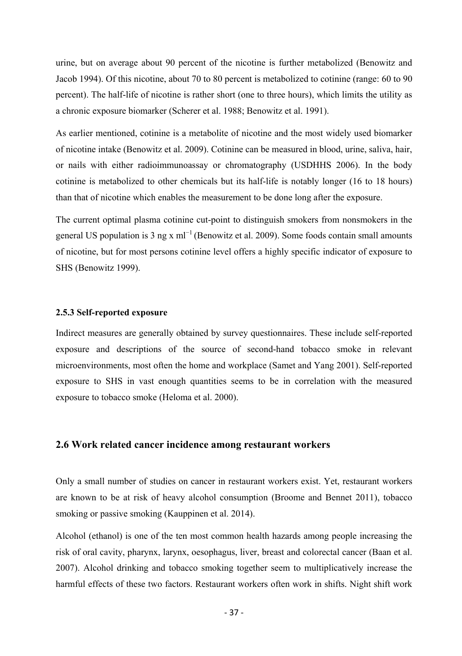urine, but on average about 90 percent of the nicotine is further metabolized (Benowitz and Jacob 1994). Of this nicotine, about 70 to 80 percent is metabolized to cotinine (range: 60 to 90 percent). The half-life of nicotine is rather short (one to three hours), which limits the utility as a chronic exposure biomarker (Scherer et al. 1988; Benowitz et al. 1991).

As earlier mentioned, cotinine is a metabolite of nicotine and the most widely used biomarker of nicotine intake (Benowitz et al. 2009). Cotinine can be measured in blood, urine, saliva, hair, or nails with either radioimmunoassay or chromatography (USDHHS 2006). In the body cotinine is metabolized to other chemicals but its half-life is notably longer (16 to 18 hours) than that of nicotine which enables the measurement to be done long after the exposure.

The current optimal plasma cotinine cut-point to distinguish smokers from nonsmokers in the general US population is 3 ng x m $^{-1}$  (Benowitz et al. 2009). Some foods contain small amounts of nicotine, but for most persons cotinine level offers a highly specific indicator of exposure to SHS (Benowitz 1999).

### **2.5.3 Self-reported exposure**

Indirect measures are generally obtained by survey questionnaires. These include self-reported exposure and descriptions of the source of second-hand tobacco smoke in relevant microenvironments, most often the home and workplace (Samet and Yang 2001). Self-reported exposure to SHS in vast enough quantities seems to be in correlation with the measured exposure to tobacco smoke (Heloma et al. 2000).

## **2.6 Work related cancer incidence among restaurant workers**

Only a small number of studies on cancer in restaurant workers exist. Yet, restaurant workers are known to be at risk of heavy alcohol consumption (Broome and Bennet 2011), tobacco smoking or passive smoking (Kauppinen et al. 2014).

Alcohol (ethanol) is one of the ten most common health hazards among people increasing the risk of oral cavity, pharynx, larynx, oesophagus, liver, breast and colorectal cancer (Baan et al. 2007). Alcohol drinking and tobacco smoking together seem to multiplicatively increase the harmful effects of these two factors. Restaurant workers often work in shifts. Night shift work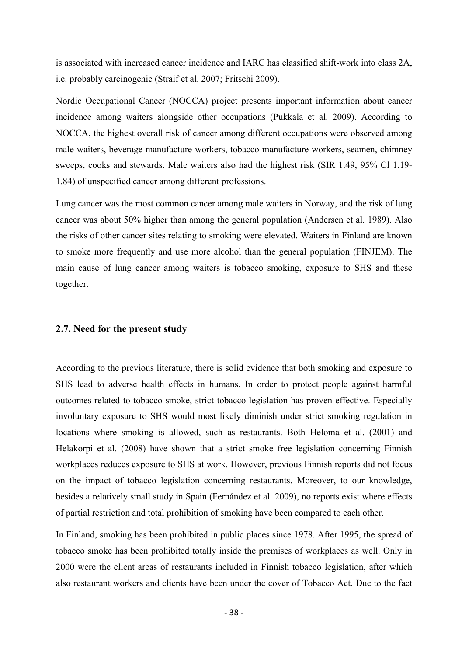is associated with increased cancer incidence and IARC has classified shift-work into class 2A, i.e. probably carcinogenic (Straif et al. 2007; Fritschi 2009).

Nordic Occupational Cancer (NOCCA) project presents important information about cancer incidence among waiters alongside other occupations (Pukkala et al. 2009). According to NOCCA, the highest overall risk of cancer among different occupations were observed among male waiters, beverage manufacture workers, tobacco manufacture workers, seamen, chimney sweeps, cooks and stewards. Male waiters also had the highest risk (SIR 1.49, 95% Cl 1.19-1.84) of unspecified cancer among different professions.

Lung cancer was the most common cancer among male waiters in Norway, and the risk of lung cancer was about 50% higher than among the general population (Andersen et al. 1989). Also the risks of other cancer sites relating to smoking were elevated. Waiters in Finland are known to smoke more frequently and use more alcohol than the general population (FINJEM). The main cause of lung cancer among waiters is tobacco smoking, exposure to SHS and these together.

## **2.7. Need for the present study**

According to the previous literature, there is solid evidence that both smoking and exposure to SHS lead to adverse health effects in humans. In order to protect people against harmful outcomes related to tobacco smoke, strict tobacco legislation has proven effective. Especially involuntary exposure to SHS would most likely diminish under strict smoking regulation in locations where smoking is allowed, such as restaurants. Both Heloma et al. (2001) and Helakorpi et al. (2008) have shown that a strict smoke free legislation concerning Finnish workplaces reduces exposure to SHS at work. However, previous Finnish reports did not focus on the impact of tobacco legislation concerning restaurants. Moreover, to our knowledge, besides a relatively small study in Spain (Fernández et al. 2009), no reports exist where effects of partial restriction and total prohibition of smoking have been compared to each other.

In Finland, smoking has been prohibited in public places since 1978. After 1995, the spread of tobacco smoke has been prohibited totally inside the premises of workplaces as well. Only in 2000 were the client areas of restaurants included in Finnish tobacco legislation, after which also restaurant workers and clients have been under the cover of Tobacco Act. Due to the fact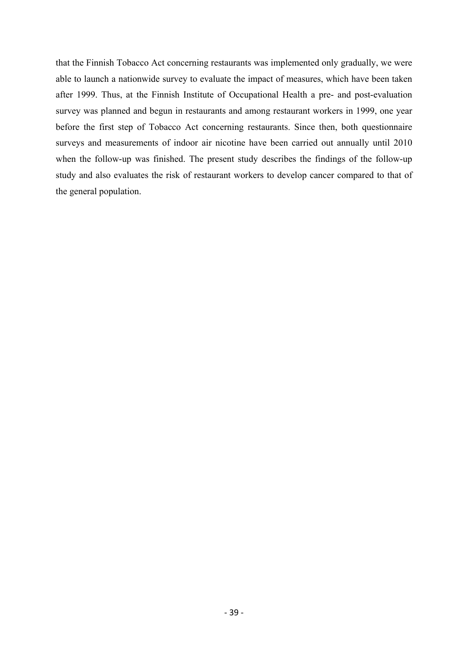that the Finnish Tobacco Act concerning restaurants was implemented only gradually, we were able to launch a nationwide survey to evaluate the impact of measures, which have been taken after 1999. Thus, at the Finnish Institute of Occupational Health a pre- and post-evaluation survey was planned and begun in restaurants and among restaurant workers in 1999, one year before the first step of Tobacco Act concerning restaurants. Since then, both questionnaire surveys and measurements of indoor air nicotine have been carried out annually until 2010 when the follow-up was finished. The present study describes the findings of the follow-up study and also evaluates the risk of restaurant workers to develop cancer compared to that of the general population.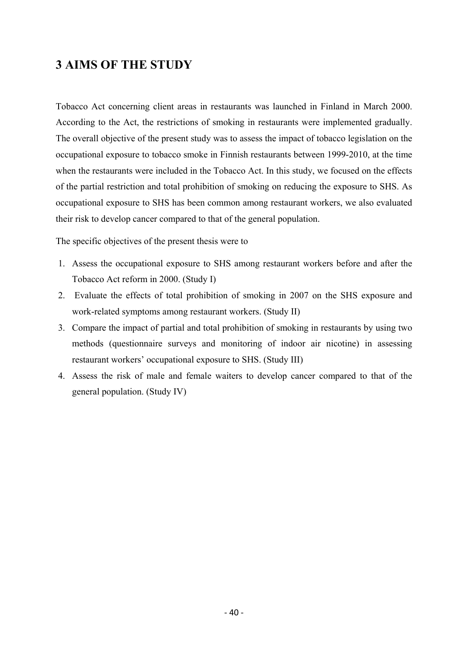# **3 AIMS OF THE STUDY**

Tobacco Act concerning client areas in restaurants was launched in Finland in March 2000. According to the Act, the restrictions of smoking in restaurants were implemented gradually. The overall objective of the present study was to assess the impact of tobacco legislation on the occupational exposure to tobacco smoke in Finnish restaurants between 1999-2010, at the time when the restaurants were included in the Tobacco Act. In this study, we focused on the effects of the partial restriction and total prohibition of smoking on reducing the exposure to SHS. As occupational exposure to SHS has been common among restaurant workers, we also evaluated their risk to develop cancer compared to that of the general population.

The specific objectives of the present thesis were to

- 1. Assess the occupational exposure to SHS among restaurant workers before and after the Tobacco Act reform in 2000. (Study I)
- 2. Evaluate the effects of total prohibition of smoking in 2007 on the SHS exposure and work-related symptoms among restaurant workers. (Study II)
- 3. Compare the impact of partial and total prohibition of smoking in restaurants by using two methods (questionnaire surveys and monitoring of indoor air nicotine) in assessing restaurant workers' occupational exposure to SHS. (Study III)
- 4. Assess the risk of male and female waiters to develop cancer compared to that of the general population. (Study IV)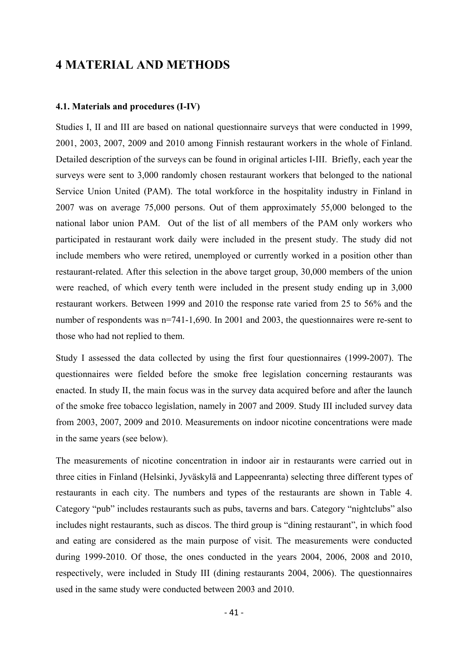## **4 MATERIAL AND METHODS**

### **4.1. Materials and procedures (I-IV)**

Studies I, II and III are based on national questionnaire surveys that were conducted in 1999, 2001, 2003, 2007, 2009 and 2010 among Finnish restaurant workers in the whole of Finland. Detailed description of the surveys can be found in original articles I-III. Briefly, each year the surveys were sent to 3,000 randomly chosen restaurant workers that belonged to the national Service Union United (PAM). The total workforce in the hospitality industry in Finland in 2007 was on average 75,000 persons. Out of them approximately 55,000 belonged to the national labor union PAM. Out of the list of all members of the PAM only workers who participated in restaurant work daily were included in the present study. The study did not include members who were retired, unemployed or currently worked in a position other than restaurant-related. After this selection in the above target group, 30,000 members of the union were reached, of which every tenth were included in the present study ending up in 3,000 restaurant workers. Between 1999 and 2010 the response rate varied from 25 to 56% and the number of respondents was  $n=741-1,690$ . In 2001 and 2003, the questionnaires were re-sent to those who had not replied to them.

Study I assessed the data collected by using the first four questionnaires (1999-2007). The questionnaires were fielded before the smoke free legislation concerning restaurants was enacted. In study II, the main focus was in the survey data acquired before and after the launch of the smoke free tobacco legislation, namely in 2007 and 2009. Study III included survey data from 2003, 2007, 2009 and 2010. Measurements on indoor nicotine concentrations were made in the same years (see below).

The measurements of nicotine concentration in indoor air in restaurants were carried out in three cities in Finland (Helsinki, Jyväskylä and Lappeenranta) selecting three different types of restaurants in each city. The numbers and types of the restaurants are shown in Table 4. Category "pub" includes restaurants such as pubs, taverns and bars. Category "nightclubs" also includes night restaurants, such as discos. The third group is "dining restaurant", in which food and eating are considered as the main purpose of visit. The measurements were conducted during 1999-2010. Of those, the ones conducted in the years 2004, 2006, 2008 and 2010, respectively, were included in Study III (dining restaurants 2004, 2006). The questionnaires used in the same study were conducted between 2003 and 2010.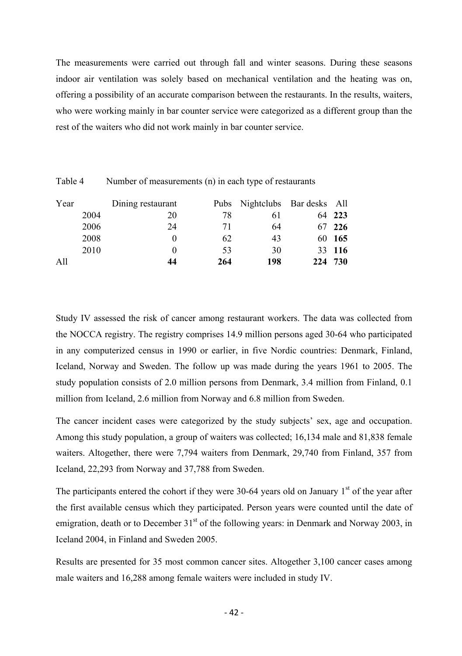The measurements were carried out through fall and winter seasons. During these seasons indoor air ventilation was solely based on mechanical ventilation and the heating was on, offering a possibility of an accurate comparison between the restaurants. In the results, waiters, who were working mainly in bar counter service were categorized as a different group than the rest of the waiters who did not work mainly in bar counter service.

| Year | Dining restaurant |     | Pubs Nightclubs Bar desks All |         |
|------|-------------------|-----|-------------------------------|---------|
| 2004 | 20                | 78  | 61                            | 64 223  |
| 2006 | 24                | 71  | 64                            | 67 226  |
| 2008 | $\theta$          | 62  | 43                            | 60 165  |
| 2010 | $\theta$          | 53  | 30                            | 33 116  |
| A11  | 44                | 264 | 198                           | 224 730 |

Table 4 Number of measurements (n) in each type of restaurants

Study IV assessed the risk of cancer among restaurant workers. The data was collected from the NOCCA registry. The registry comprises 14.9 million persons aged 30-64 who participated in any computerized census in 1990 or earlier, in five Nordic countries: Denmark, Finland, Iceland, Norway and Sweden. The follow up was made during the years 1961 to 2005. The study population consists of 2.0 million persons from Denmark, 3.4 million from Finland, 0.1 million from Iceland, 2.6 million from Norway and 6.8 million from Sweden.

The cancer incident cases were categorized by the study subjects' sex, age and occupation. Among this study population, a group of waiters was collected; 16,134 male and 81,838 female waiters. Altogether, there were 7,794 waiters from Denmark, 29,740 from Finland, 357 from Iceland, 22,293 from Norway and 37,788 from Sweden.

The participants entered the cohort if they were 30-64 years old on January  $1<sup>st</sup>$  of the year after the first available census which they participated. Person years were counted until the date of emigration, death or to December  $31<sup>st</sup>$  of the following years: in Denmark and Norway 2003, in Iceland 2004, in Finland and Sweden 2005.

Results are presented for 35 most common cancer sites. Altogether 3,100 cancer cases among male waiters and 16,288 among female waiters were included in study IV.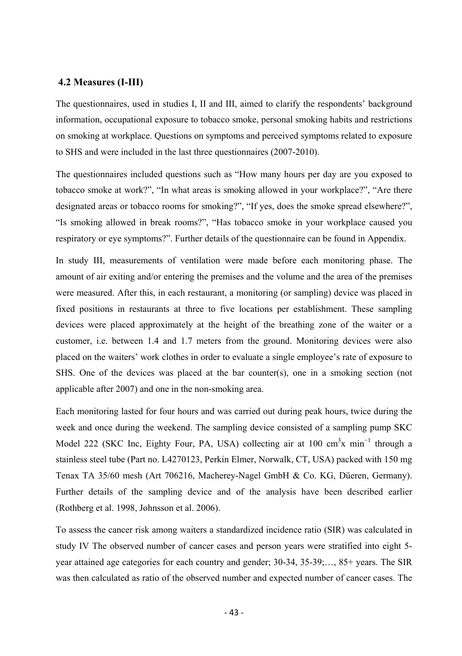### **4.2 Measures (I-III)**

The questionnaires, used in studies I, II and III, aimed to clarify the respondents' background information, occupational exposure to tobacco smoke, personal smoking habits and restrictions on smoking at workplace. Questions on symptoms and perceived symptoms related to exposure to SHS and were included in the last three questionnaires (2007-2010).

The questionnaires included questions such as "How many hours per day are you exposed to tobacco smoke at work?", "In what areas is smoking allowed in your workplace?", "Are there designated areas or tobacco rooms for smoking?", "If yes, does the smoke spread elsewhere?", "Is smoking allowed in break rooms?", "Has tobacco smoke in your workplace caused you respiratory or eye symptoms?". Further details of the questionnaire can be found in Appendix.

In study III, measurements of ventilation were made before each monitoring phase. The amount of air exiting and/or entering the premises and the volume and the area of the premises were measured. After this, in each restaurant, a monitoring (or sampling) device was placed in fixed positions in restaurants at three to five locations per establishment. These sampling devices were placed approximately at the height of the breathing zone of the waiter or a customer, i.e. between 1.4 and 1.7 meters from the ground. Monitoring devices were also placed on the waiters' work clothes in order to evaluate a single employee's rate of exposure to SHS. One of the devices was placed at the bar counter(s), one in a smoking section (not applicable after 2007) and one in the non-smoking area.

Each monitoring lasted for four hours and was carried out during peak hours, twice during the week and once during the weekend. The sampling device consisted of a sampling pump SKC Model 222 (SKC Inc, Eighty Four, PA, USA) collecting air at 100 cm<sup>3</sup>x min<sup>-1</sup> through a stainless steel tube (Part no. L4270123, Perkin Elmer, Norwalk, CT, USA) packed with 150 mg Tenax TA 35/60 mesh (Art 706216, Macherey-Nagel GmbH & Co. KG, Düeren, Germany). Further details of the sampling device and of the analysis have been described earlier (Rothberg et al. 1998, Johnsson et al. 2006).

To assess the cancer risk among waiters a standardized incidence ratio (SIR) was calculated in study IV The observed number of cancer cases and person years were stratified into eight 5 year attained age categories for each country and gender; 30-34, 35-39;…, 85+ years. The SIR was then calculated as ratio of the observed number and expected number of cancer cases. The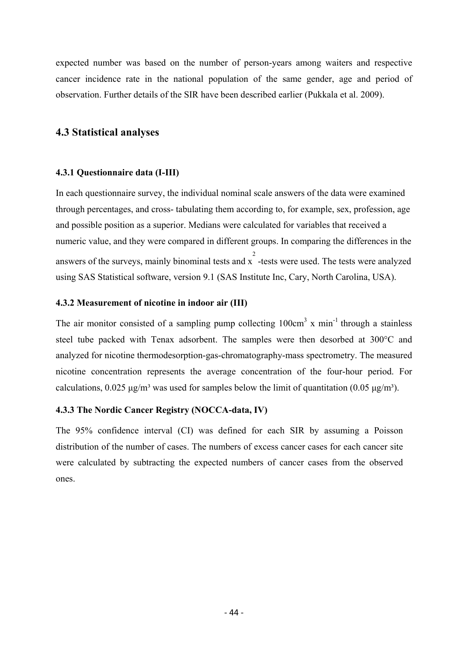expected number was based on the number of person-years among waiters and respective cancer incidence rate in the national population of the same gender, age and period of observation. Further details of the SIR have been described earlier (Pukkala et al. 2009).

## **4.3 Statistical analyses**

## **4.3.1 Questionnaire data (I-III)**

In each questionnaire survey, the individual nominal scale answers of the data were examined through percentages, and cross- tabulating them according to, for example, sex, profession, age and possible position as a superior. Medians were calculated for variables that received a numeric value, and they were compared in different groups. In comparing the differences in the answers of the surveys, mainly binominal tests and  $\frac{2}{x}$  -tests were used. The tests were analyzed using SAS Statistical software, version 9.1 (SAS Institute Inc, Cary, North Carolina, USA).

## **4.3.2 Measurement of nicotine in indoor air (III)**

The air monitor consisted of a sampling pump collecting  $100 \text{cm}^3$  x min<sup>-1</sup> through a stainless steel tube packed with Tenax adsorbent. The samples were then desorbed at 300°C and analyzed for nicotine thermodesorption-gas-chromatography-mass spectrometry. The measured nicotine concentration represents the average concentration of the four-hour period. For calculations,  $0.025 \mu g/m^3$  was used for samples below the limit of quantitation (0.05  $\mu g/m^3$ ).

## **4.3.3 The Nordic Cancer Registry (NOCCA-data, IV)**

The 95% confidence interval (CI) was defined for each SIR by assuming a Poisson distribution of the number of cases. The numbers of excess cancer cases for each cancer site were calculated by subtracting the expected numbers of cancer cases from the observed ones.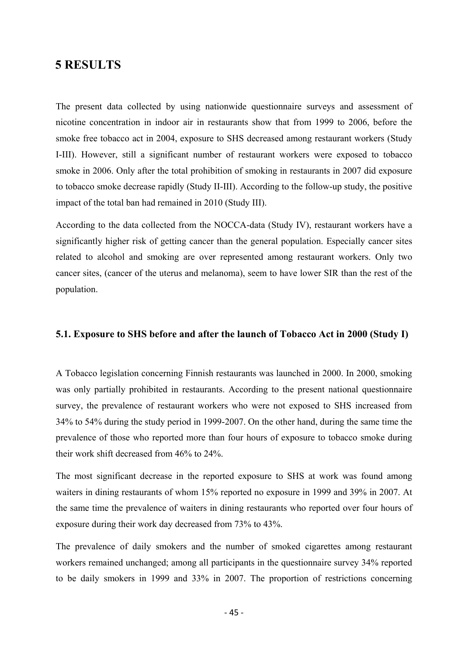## **5 RESULTS**

The present data collected by using nationwide questionnaire surveys and assessment of nicotine concentration in indoor air in restaurants show that from 1999 to 2006, before the smoke free tobacco act in 2004, exposure to SHS decreased among restaurant workers (Study I-III). However, still a significant number of restaurant workers were exposed to tobacco smoke in 2006. Only after the total prohibition of smoking in restaurants in 2007 did exposure to tobacco smoke decrease rapidly (Study II-III). According to the follow-up study, the positive impact of the total ban had remained in 2010 (Study III).

According to the data collected from the NOCCA-data (Study IV), restaurant workers have a significantly higher risk of getting cancer than the general population. Especially cancer sites related to alcohol and smoking are over represented among restaurant workers. Only two cancer sites, (cancer of the uterus and melanoma), seem to have lower SIR than the rest of the population.

## **5.1. Exposure to SHS before and after the launch of Tobacco Act in 2000 (Study I)**

A Tobacco legislation concerning Finnish restaurants was launched in 2000. In 2000, smoking was only partially prohibited in restaurants. According to the present national questionnaire survey, the prevalence of restaurant workers who were not exposed to SHS increased from 34% to 54% during the study period in 1999-2007. On the other hand, during the same time the prevalence of those who reported more than four hours of exposure to tobacco smoke during their work shift decreased from 46% to 24%.

The most significant decrease in the reported exposure to SHS at work was found among waiters in dining restaurants of whom 15% reported no exposure in 1999 and 39% in 2007. At the same time the prevalence of waiters in dining restaurants who reported over four hours of exposure during their work day decreased from 73% to 43%.

The prevalence of daily smokers and the number of smoked cigarettes among restaurant workers remained unchanged; among all participants in the questionnaire survey 34% reported to be daily smokers in 1999 and 33% in 2007. The proportion of restrictions concerning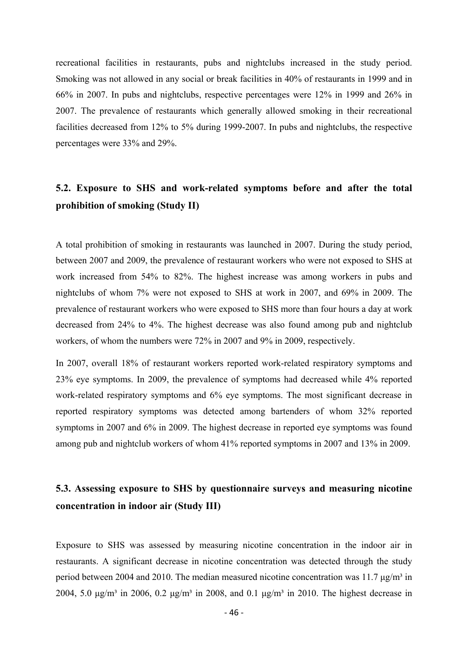recreational facilities in restaurants, pubs and nightclubs increased in the study period. Smoking was not allowed in any social or break facilities in 40% of restaurants in 1999 and in 66% in 2007. In pubs and nightclubs, respective percentages were 12% in 1999 and 26% in 2007. The prevalence of restaurants which generally allowed smoking in their recreational facilities decreased from 12% to 5% during 1999-2007. In pubs and nightclubs, the respective percentages were 33% and 29%.

## **5.2. Exposure to SHS and work-related symptoms before and after the total prohibition of smoking (Study II)**

A total prohibition of smoking in restaurants was launched in 2007. During the study period, between 2007 and 2009, the prevalence of restaurant workers who were not exposed to SHS at work increased from 54% to 82%. The highest increase was among workers in pubs and nightclubs of whom 7% were not exposed to SHS at work in 2007, and 69% in 2009. The prevalence of restaurant workers who were exposed to SHS more than four hours a day at work decreased from 24% to 4%. The highest decrease was also found among pub and nightclub workers, of whom the numbers were 72% in 2007 and 9% in 2009, respectively.

In 2007, overall 18% of restaurant workers reported work-related respiratory symptoms and 23% eye symptoms. In 2009, the prevalence of symptoms had decreased while 4% reported work-related respiratory symptoms and 6% eye symptoms. The most significant decrease in reported respiratory symptoms was detected among bartenders of whom 32% reported symptoms in 2007 and 6% in 2009. The highest decrease in reported eye symptoms was found among pub and nightclub workers of whom 41% reported symptoms in 2007 and 13% in 2009.

## **5.3. Assessing exposure to SHS by questionnaire surveys and measuring nicotine concentration in indoor air (Study III)**

Exposure to SHS was assessed by measuring nicotine concentration in the indoor air in restaurants. A significant decrease in nicotine concentration was detected through the study period between 2004 and 2010. The median measured nicotine concentration was 11.7  $\mu$ g/m<sup>3</sup> in 2004, 5.0 μg/m<sup>3</sup> in 2006, 0.2 μg/m<sup>3</sup> in 2008, and 0.1 μg/m<sup>3</sup> in 2010. The highest decrease in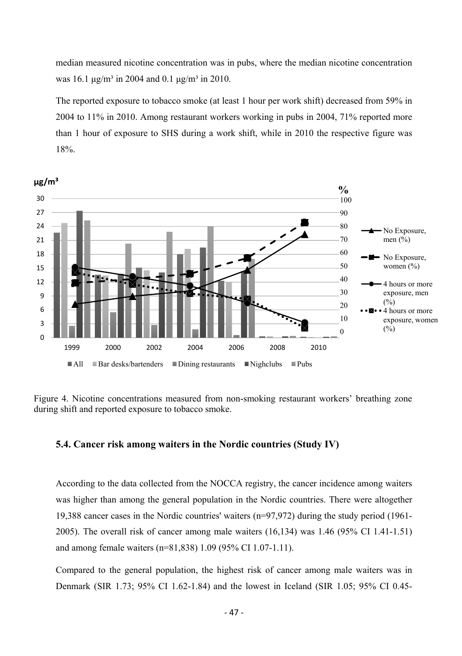median measured nicotine concentration was in pubs, where the median nicotine concentration was 16.1  $\mu$ g/m<sup>3</sup> in 2004 and 0.1  $\mu$ g/m<sup>3</sup> in 2010.

The reported exposure to tobacco smoke (at least 1 hour per work shift) decreased from 59% in 2004 to 11% in 2010. Among restaurant workers working in pubs in 2004, 71% reported more than 1 hour of exposure to SHS during a work shift, while in 2010 the respective figure was 18%.



Figure 4. Nicotine concentrations measured from non-smoking restaurant workers' breathing zone during shift and reported exposure to tobacco smoke.

## **5.4. Cancer risk among waiters in the Nordic countries (Study IV)**

According to the data collected from the NOCCA registry, the cancer incidence among waiters was higher than among the general population in the Nordic countries. There were altogether 19,388 cancer cases in the Nordic countries' waiters (n=97,972) during the study period (1961- 2005). The overall risk of cancer among male waiters (16,134) was 1.46 (95% CI 1.41-1.51) and among female waiters (n=81,838) 1.09 (95% CI 1.07-1.11).

Compared to the general population, the highest risk of cancer among male waiters was in Denmark (SIR 1.73; 95% CI 1.62-1.84) and the lowest in Iceland (SIR 1.05; 95% CI 0.45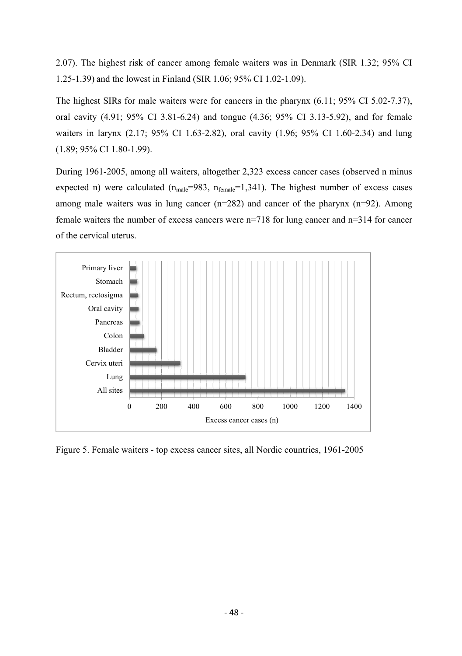2.07). The highest risk of cancer among female waiters was in Denmark (SIR 1.32; 95% CI 1.25-1.39) and the lowest in Finland (SIR 1.06; 95% CI 1.02-1.09).

The highest SIRs for male waiters were for cancers in the pharynx (6.11; 95% CI 5.02-7.37), oral cavity (4.91; 95% CI 3.81-6.24) and tongue (4.36; 95% CI 3.13-5.92), and for female waiters in larynx (2.17; 95% CI 1.63-2.82), oral cavity (1.96; 95% CI 1.60-2.34) and lung (1.89; 95% CI 1.80-1.99).

During 1961-2005, among all waiters, altogether 2,323 excess cancer cases (observed n minus expected n) were calculated  $(n_{male}=983, n_{female}=1,341)$ . The highest number of excess cases among male waiters was in lung cancer  $(n=282)$  and cancer of the pharynx  $(n=92)$ . Among female waiters the number of excess cancers were n=718 for lung cancer and n=314 for cancer of the cervical uterus.



Figure 5. Female waiters - top excess cancer sites, all Nordic countries, 1961-2005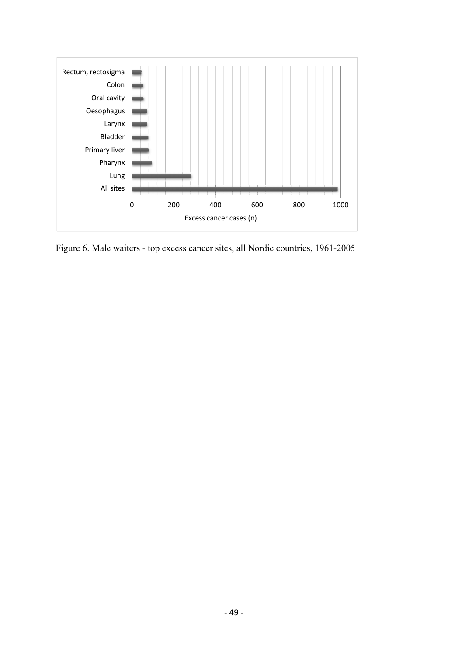

Figure 6. Male waiters - top excess cancer sites, all Nordic countries, 1961-2005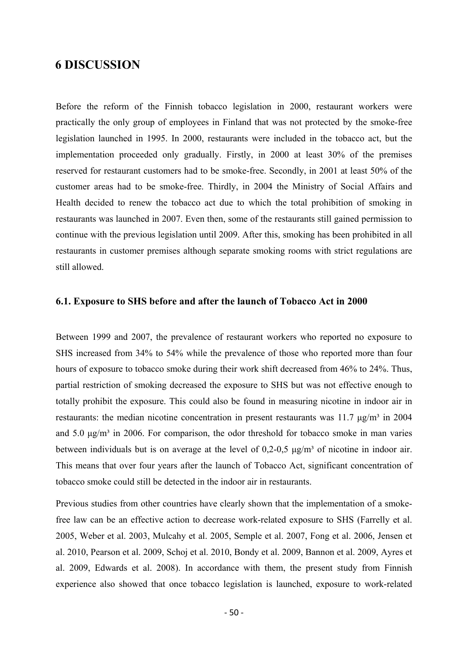## **6 DISCUSSION**

Before the reform of the Finnish tobacco legislation in 2000, restaurant workers were practically the only group of employees in Finland that was not protected by the smoke-free legislation launched in 1995. In 2000, restaurants were included in the tobacco act, but the implementation proceeded only gradually. Firstly, in 2000 at least 30% of the premises reserved for restaurant customers had to be smoke-free. Secondly, in 2001 at least 50% of the customer areas had to be smoke-free. Thirdly, in 2004 the Ministry of Social Affairs and Health decided to renew the tobacco act due to which the total prohibition of smoking in restaurants was launched in 2007. Even then, some of the restaurants still gained permission to continue with the previous legislation until 2009. After this, smoking has been prohibited in all restaurants in customer premises although separate smoking rooms with strict regulations are still allowed.

## **6.1. Exposure to SHS before and after the launch of Tobacco Act in 2000**

Between 1999 and 2007, the prevalence of restaurant workers who reported no exposure to SHS increased from 34% to 54% while the prevalence of those who reported more than four hours of exposure to tobacco smoke during their work shift decreased from 46% to 24%. Thus, partial restriction of smoking decreased the exposure to SHS but was not effective enough to totally prohibit the exposure. This could also be found in measuring nicotine in indoor air in restaurants: the median nicotine concentration in present restaurants was 11.7  $\mu g/m<sup>3</sup>$  in 2004 and 5.0  $\mu$ g/m<sup>3</sup> in 2006. For comparison, the odor threshold for tobacco smoke in man varies between individuals but is on average at the level of 0,2-0,5  $\mu g/m<sup>3</sup>$  of nicotine in indoor air. This means that over four years after the launch of Tobacco Act, significant concentration of tobacco smoke could still be detected in the indoor air in restaurants.

Previous studies from other countries have clearly shown that the implementation of a smokefree law can be an effective action to decrease work-related exposure to SHS (Farrelly et al. 2005, Weber et al. 2003, Mulcahy et al. 2005, Semple et al. 2007, Fong et al. 2006, Jensen et al. 2010, Pearson et al. 2009, Schoj et al. 2010, Bondy et al. 2009, Bannon et al. 2009, Ayres et al. 2009, Edwards et al. 2008). In accordance with them, the present study from Finnish experience also showed that once tobacco legislation is launched, exposure to work-related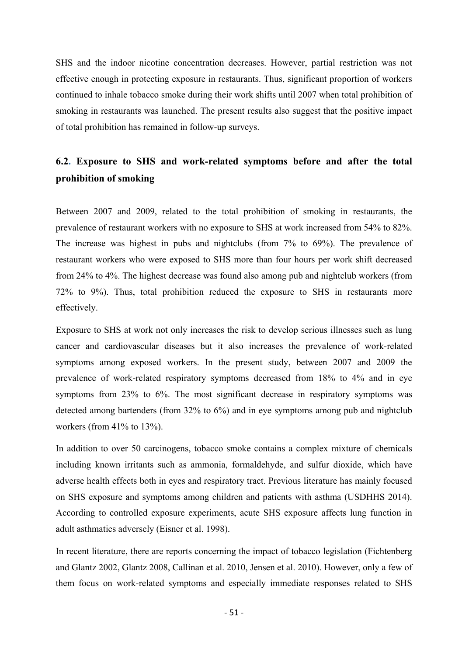SHS and the indoor nicotine concentration decreases. However, partial restriction was not effective enough in protecting exposure in restaurants. Thus, significant proportion of workers continued to inhale tobacco smoke during their work shifts until 2007 when total prohibition of smoking in restaurants was launched. The present results also suggest that the positive impact of total prohibition has remained in follow-up surveys.

# **6.2. Exposure to SHS and work-related symptoms before and after the total prohibition of smoking**

Between 2007 and 2009, related to the total prohibition of smoking in restaurants, the prevalence of restaurant workers with no exposure to SHS at work increased from 54% to 82%. The increase was highest in pubs and nightclubs (from 7% to 69%). The prevalence of restaurant workers who were exposed to SHS more than four hours per work shift decreased from 24% to 4%. The highest decrease was found also among pub and nightclub workers (from 72% to 9%). Thus, total prohibition reduced the exposure to SHS in restaurants more effectively.

Exposure to SHS at work not only increases the risk to develop serious illnesses such as lung cancer and cardiovascular diseases but it also increases the prevalence of work-related symptoms among exposed workers. In the present study, between 2007 and 2009 the prevalence of work-related respiratory symptoms decreased from 18% to 4% and in eye symptoms from 23% to 6%. The most significant decrease in respiratory symptoms was detected among bartenders (from 32% to 6%) and in eye symptoms among pub and nightclub workers (from 41% to 13%).

In addition to over 50 carcinogens, tobacco smoke contains a complex mixture of chemicals including known irritants such as ammonia, formaldehyde, and sulfur dioxide, which have adverse health effects both in eyes and respiratory tract. Previous literature has mainly focused on SHS exposure and symptoms among children and patients with asthma (USDHHS 2014). According to controlled exposure experiments, acute SHS exposure affects lung function in adult asthmatics adversely (Eisner et al. 1998).

In recent literature, there are reports concerning the impact of tobacco legislation (Fichtenberg and Glantz 2002, Glantz 2008, Callinan et al. 2010, Jensen et al. 2010). However, only a few of them focus on work-related symptoms and especially immediate responses related to SHS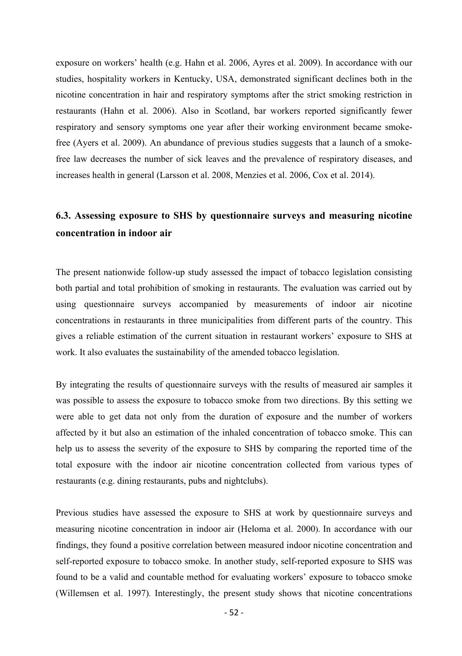exposure on workers' health (e.g. Hahn et al. 2006, Ayres et al. 2009). In accordance with our studies, hospitality workers in Kentucky, USA, demonstrated significant declines both in the nicotine concentration in hair and respiratory symptoms after the strict smoking restriction in restaurants (Hahn et al. 2006). Also in Scotland, bar workers reported significantly fewer respiratory and sensory symptoms one year after their working environment became smokefree (Ayers et al. 2009). An abundance of previous studies suggests that a launch of a smokefree law decreases the number of sick leaves and the prevalence of respiratory diseases, and increases health in general (Larsson et al. 2008, Menzies et al. 2006, Cox et al. 2014).

# **6.3. Assessing exposure to SHS by questionnaire surveys and measuring nicotine concentration in indoor air**

The present nationwide follow-up study assessed the impact of tobacco legislation consisting both partial and total prohibition of smoking in restaurants. The evaluation was carried out by using questionnaire surveys accompanied by measurements of indoor air nicotine concentrations in restaurants in three municipalities from different parts of the country. This gives a reliable estimation of the current situation in restaurant workers' exposure to SHS at work. It also evaluates the sustainability of the amended tobacco legislation.

By integrating the results of questionnaire surveys with the results of measured air samples it was possible to assess the exposure to tobacco smoke from two directions. By this setting we were able to get data not only from the duration of exposure and the number of workers affected by it but also an estimation of the inhaled concentration of tobacco smoke. This can help us to assess the severity of the exposure to SHS by comparing the reported time of the total exposure with the indoor air nicotine concentration collected from various types of restaurants (e.g. dining restaurants, pubs and nightclubs).

Previous studies have assessed the exposure to SHS at work by questionnaire surveys and measuring nicotine concentration in indoor air (Heloma et al. 2000). In accordance with our findings, they found a positive correlation between measured indoor nicotine concentration and self-reported exposure to tobacco smoke. In another study, self-reported exposure to SHS was found to be a valid and countable method for evaluating workers' exposure to tobacco smoke (Willemsen et al. 1997). Interestingly, the present study shows that nicotine concentrations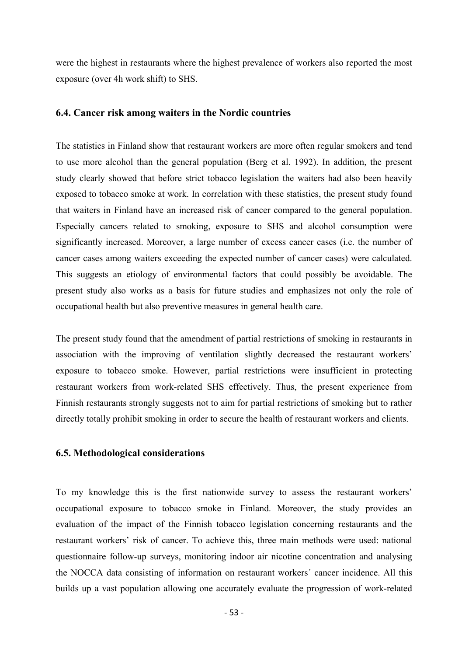were the highest in restaurants where the highest prevalence of workers also reported the most exposure (over 4h work shift) to SHS.

## **6.4. Cancer risk among waiters in the Nordic countries**

The statistics in Finland show that restaurant workers are more often regular smokers and tend to use more alcohol than the general population (Berg et al. 1992). In addition, the present study clearly showed that before strict tobacco legislation the waiters had also been heavily exposed to tobacco smoke at work. In correlation with these statistics, the present study found that waiters in Finland have an increased risk of cancer compared to the general population. Especially cancers related to smoking, exposure to SHS and alcohol consumption were significantly increased. Moreover, a large number of excess cancer cases (i.e. the number of cancer cases among waiters exceeding the expected number of cancer cases) were calculated. This suggests an etiology of environmental factors that could possibly be avoidable. The present study also works as a basis for future studies and emphasizes not only the role of occupational health but also preventive measures in general health care.

The present study found that the amendment of partial restrictions of smoking in restaurants in association with the improving of ventilation slightly decreased the restaurant workers' exposure to tobacco smoke. However, partial restrictions were insufficient in protecting restaurant workers from work-related SHS effectively. Thus, the present experience from Finnish restaurants strongly suggests not to aim for partial restrictions of smoking but to rather directly totally prohibit smoking in order to secure the health of restaurant workers and clients.

## **6.5. Methodological considerations**

To my knowledge this is the first nationwide survey to assess the restaurant workers' occupational exposure to tobacco smoke in Finland. Moreover, the study provides an evaluation of the impact of the Finnish tobacco legislation concerning restaurants and the restaurant workers' risk of cancer. To achieve this, three main methods were used: national questionnaire follow-up surveys, monitoring indoor air nicotine concentration and analysing the NOCCA data consisting of information on restaurant workers´ cancer incidence. All this builds up a vast population allowing one accurately evaluate the progression of work-related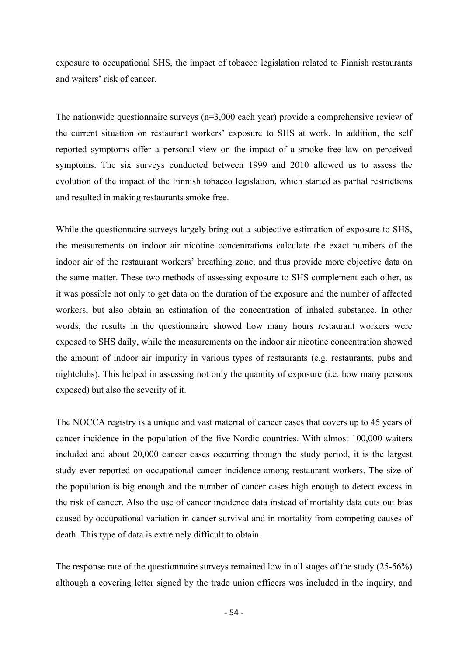exposure to occupational SHS, the impact of tobacco legislation related to Finnish restaurants and waiters' risk of cancer.

The nationwide questionnaire surveys (n=3,000 each year) provide a comprehensive review of the current situation on restaurant workers' exposure to SHS at work. In addition, the self reported symptoms offer a personal view on the impact of a smoke free law on perceived symptoms. The six surveys conducted between 1999 and 2010 allowed us to assess the evolution of the impact of the Finnish tobacco legislation, which started as partial restrictions and resulted in making restaurants smoke free.

While the questionnaire surveys largely bring out a subjective estimation of exposure to SHS, the measurements on indoor air nicotine concentrations calculate the exact numbers of the indoor air of the restaurant workers' breathing zone, and thus provide more objective data on the same matter. These two methods of assessing exposure to SHS complement each other, as it was possible not only to get data on the duration of the exposure and the number of affected workers, but also obtain an estimation of the concentration of inhaled substance. In other words, the results in the questionnaire showed how many hours restaurant workers were exposed to SHS daily, while the measurements on the indoor air nicotine concentration showed the amount of indoor air impurity in various types of restaurants (e.g. restaurants, pubs and nightclubs). This helped in assessing not only the quantity of exposure (i.e. how many persons exposed) but also the severity of it.

The NOCCA registry is a unique and vast material of cancer cases that covers up to 45 years of cancer incidence in the population of the five Nordic countries. With almost 100,000 waiters included and about 20,000 cancer cases occurring through the study period, it is the largest study ever reported on occupational cancer incidence among restaurant workers. The size of the population is big enough and the number of cancer cases high enough to detect excess in the risk of cancer. Also the use of cancer incidence data instead of mortality data cuts out bias caused by occupational variation in cancer survival and in mortality from competing causes of death. This type of data is extremely difficult to obtain.

The response rate of the questionnaire surveys remained low in all stages of the study (25-56%) although a covering letter signed by the trade union officers was included in the inquiry, and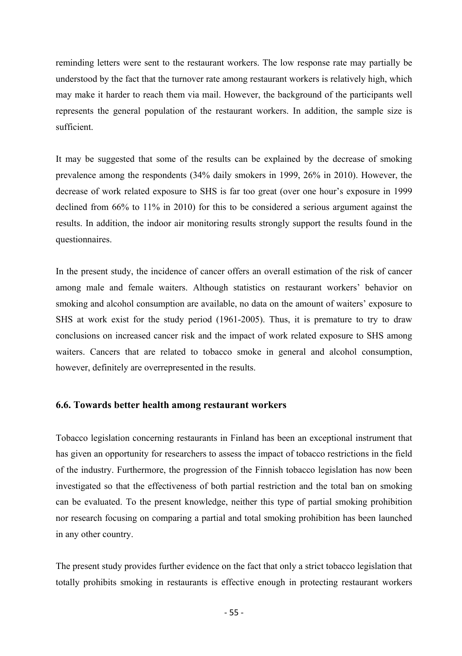reminding letters were sent to the restaurant workers. The low response rate may partially be understood by the fact that the turnover rate among restaurant workers is relatively high, which may make it harder to reach them via mail. However, the background of the participants well represents the general population of the restaurant workers. In addition, the sample size is sufficient.

It may be suggested that some of the results can be explained by the decrease of smoking prevalence among the respondents (34% daily smokers in 1999, 26% in 2010). However, the decrease of work related exposure to SHS is far too great (over one hour's exposure in 1999 declined from 66% to 11% in 2010) for this to be considered a serious argument against the results. In addition, the indoor air monitoring results strongly support the results found in the questionnaires.

In the present study, the incidence of cancer offers an overall estimation of the risk of cancer among male and female waiters. Although statistics on restaurant workers' behavior on smoking and alcohol consumption are available, no data on the amount of waiters' exposure to SHS at work exist for the study period (1961-2005). Thus, it is premature to try to draw conclusions on increased cancer risk and the impact of work related exposure to SHS among waiters. Cancers that are related to tobacco smoke in general and alcohol consumption, however, definitely are overrepresented in the results.

## **6.6. Towards better health among restaurant workers**

Tobacco legislation concerning restaurants in Finland has been an exceptional instrument that has given an opportunity for researchers to assess the impact of tobacco restrictions in the field of the industry. Furthermore, the progression of the Finnish tobacco legislation has now been investigated so that the effectiveness of both partial restriction and the total ban on smoking can be evaluated. To the present knowledge, neither this type of partial smoking prohibition nor research focusing on comparing a partial and total smoking prohibition has been launched in any other country.

The present study provides further evidence on the fact that only a strict tobacco legislation that totally prohibits smoking in restaurants is effective enough in protecting restaurant workers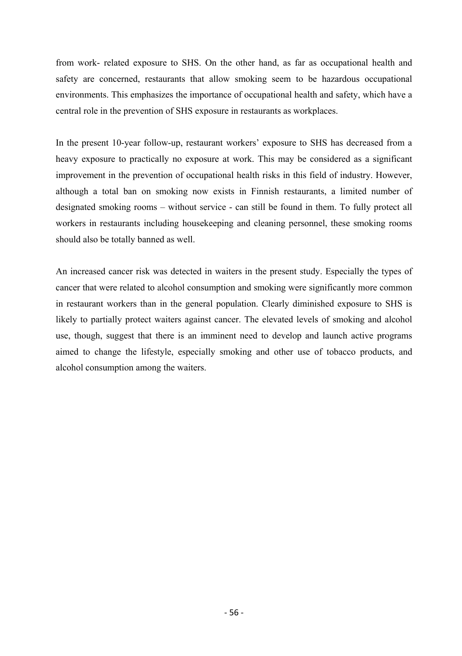from work- related exposure to SHS. On the other hand, as far as occupational health and safety are concerned, restaurants that allow smoking seem to be hazardous occupational environments. This emphasizes the importance of occupational health and safety, which have a central role in the prevention of SHS exposure in restaurants as workplaces.

In the present 10-year follow-up, restaurant workers' exposure to SHS has decreased from a heavy exposure to practically no exposure at work. This may be considered as a significant improvement in the prevention of occupational health risks in this field of industry. However, although a total ban on smoking now exists in Finnish restaurants, a limited number of designated smoking rooms – without service - can still be found in them. To fully protect all workers in restaurants including housekeeping and cleaning personnel, these smoking rooms should also be totally banned as well.

An increased cancer risk was detected in waiters in the present study. Especially the types of cancer that were related to alcohol consumption and smoking were significantly more common in restaurant workers than in the general population. Clearly diminished exposure to SHS is likely to partially protect waiters against cancer. The elevated levels of smoking and alcohol use, though, suggest that there is an imminent need to develop and launch active programs aimed to change the lifestyle, especially smoking and other use of tobacco products, and alcohol consumption among the waiters.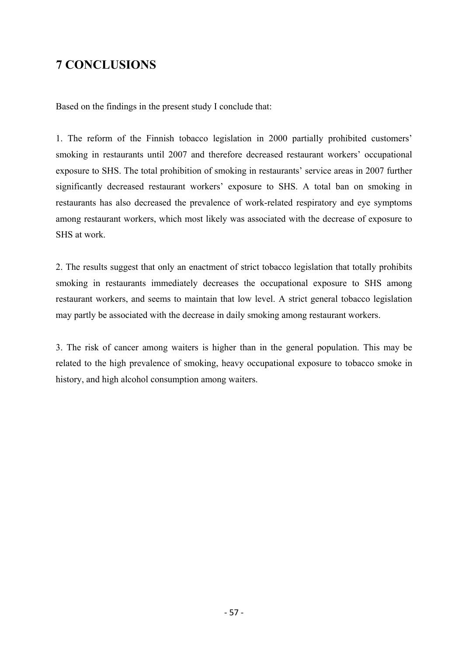# **7 CONCLUSIONS**

Based on the findings in the present study I conclude that:

1. The reform of the Finnish tobacco legislation in 2000 partially prohibited customers' smoking in restaurants until 2007 and therefore decreased restaurant workers' occupational exposure to SHS. The total prohibition of smoking in restaurants' service areas in 2007 further significantly decreased restaurant workers' exposure to SHS. A total ban on smoking in restaurants has also decreased the prevalence of work-related respiratory and eye symptoms among restaurant workers, which most likely was associated with the decrease of exposure to SHS at work.

2. The results suggest that only an enactment of strict tobacco legislation that totally prohibits smoking in restaurants immediately decreases the occupational exposure to SHS among restaurant workers, and seems to maintain that low level. A strict general tobacco legislation may partly be associated with the decrease in daily smoking among restaurant workers.

3. The risk of cancer among waiters is higher than in the general population. This may be related to the high prevalence of smoking, heavy occupational exposure to tobacco smoke in history, and high alcohol consumption among waiters.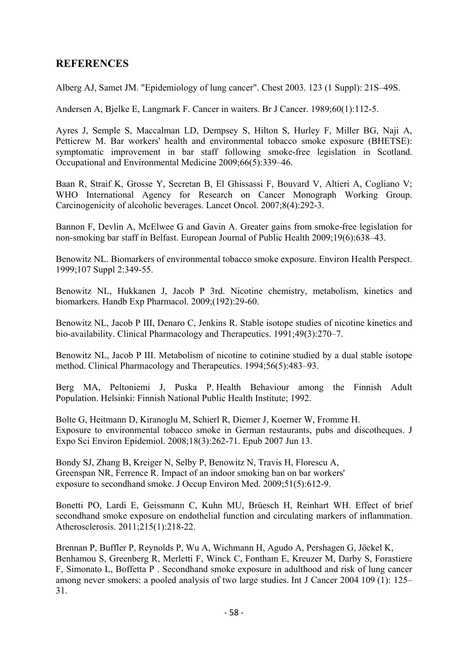## **REFERENCES**

Alberg AJ, Samet JM. "Epidemiology of lung cancer". Chest 2003. 123 (1 Suppl): 21S–49S.

Andersen A, Bjelke E, Langmark F. Cancer in waiters. Br J Cancer. 1989;60(1):112-5.

Ayres J, Semple S, Maccalman LD, Dempsey S, Hilton S, Hurley F, Miller BG, Naji A, Petticrew M. Bar workers' health and environmental tobacco smoke exposure (BHETSE): symptomatic improvement in bar staff following smoke-free legislation in Scotland. Occupational and Environmental Medicine 2009;66(5):339–46.

Baan R, Straif K, Grosse Y, Secretan B, El Ghissassi F, Bouvard V, Altieri A, Cogliano V; WHO International Agency for Research on Cancer Monograph Working Group. Carcinogenicity of alcoholic beverages. Lancet Oncol. 2007;8(4):292-3.

Bannon F, Devlin A, McElwee G and Gavin A. Greater gains from smoke-free legislation for non-smoking bar staff in Belfast. European Journal of Public Health 2009;19(6):638–43.

Benowitz NL. Biomarkers of environmental tobacco smoke exposure. Environ Health Perspect. 1999;107 Suppl 2:349-55.

Benowitz NL, Hukkanen J, Jacob P 3rd. Nicotine chemistry, metabolism, kinetics and biomarkers. Handb Exp Pharmacol. 2009;(192):29-60.

Benowitz NL, Jacob P III, Denaro C, Jenkins R. Stable isotope studies of nicotine kinetics and bio-availability. Clinical Pharmacology and Therapeutics. 1991;49(3):270–7.

Benowitz NL, Jacob P III. Metabolism of nicotine to cotinine studied by a dual stable isotope method. Clinical Pharmacology and Therapeutics. 1994;56(5):483–93.

Berg MA, Peltoniemi J, Puska P. Health Behaviour among the Finnish Adult Population. Helsinki: Finnish National Public Health Institute; 1992.

Bolte G, Heitmann D, Kiranoglu M, Schierl R, Diemer J, Koerner W, Fromme H. Exposure to environmental tobacco smoke in German restaurants, pubs and discotheques. J Expo Sci Environ Epidemiol. 2008;18(3):262-71. Epub 2007 Jun 13.

Bondy SJ, Zhang B, Kreiger N, Selby P, Benowitz N, Travis H, Florescu A, Greenspan NR, Ferrence R. Impact of an indoor smoking ban on bar workers' exposure to secondhand smoke. J Occup Environ Med. 2009;51(5):612-9.

Bonetti PO, Lardi E, Geissmann C, Kuhn MU, Brüesch H, Reinhart WH. Effect of brief secondhand smoke exposure on endothelial function and circulating markers of inflammation. Atherosclerosis. 2011;215(1):218-22.

Brennan P, Buffler P, Reynolds P, Wu A, Wichmann H, Agudo A, Pershagen G, Jöckel K, Benhamou S, Greenberg R, Merletti F, Winck C, Fontham E, Kreuzer M, Darby S, Forastiere F, Simonato L, Boffetta P . Secondhand smoke exposure in adulthood and risk of lung cancer among never smokers: a pooled analysis of two large studies. Int J Cancer 2004 109 (1): 125– 31.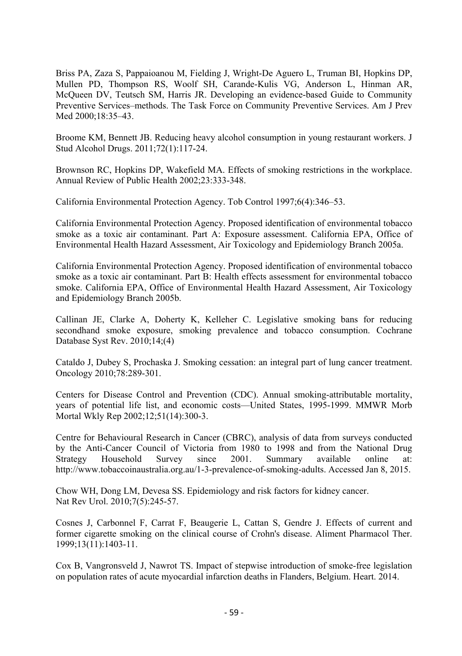Briss PA, Zaza S, Pappaioanou M, Fielding J, Wright-De Aguero L, Truman BI, Hopkins DP, Mullen PD, Thompson RS, Woolf SH, Carande-Kulis VG, Anderson L, Hinman AR, McQueen DV, Teutsch SM, Harris JR. Developing an evidence-based Guide to Community Preventive Services–methods. The Task Force on Community Preventive Services. Am J Prev Med 2000;18:35–43.

Broome KM, Bennett JB. Reducing heavy alcohol consumption in young restaurant workers. J Stud Alcohol Drugs. 2011;72(1):117-24.

Brownson RC, Hopkins DP, Wakefield MA. Effects of smoking restrictions in the workplace. Annual Review of Public Health 2002;23:333-348.

California Environmental Protection Agency. Tob Control 1997;6(4):346–53.

California Environmental Protection Agency. Proposed identification of environmental tobacco smoke as a toxic air contaminant. Part A: Exposure assessment. California EPA, Office of Environmental Health Hazard Assessment, Air Toxicology and Epidemiology Branch 2005a.

California Environmental Protection Agency. Proposed identification of environmental tobacco smoke as a toxic air contaminant. Part B: Health effects assessment for environmental tobacco smoke. California EPA, Office of Environmental Health Hazard Assessment, Air Toxicology and Epidemiology Branch 2005b.

Callinan JE, Clarke A, Doherty K, Kelleher C. Legislative smoking bans for reducing secondhand smoke exposure, smoking prevalence and tobacco consumption. Cochrane Database Syst Rev. 2010;14;(4)

Cataldo J, Dubey S, Prochaska J. Smoking cessation: an integral part of lung cancer treatment. Oncology 2010;78:289-301.

Centers for Disease Control and Prevention (CDC). Annual smoking-attributable mortality, years of potential life list, and economic costs—United States, 1995-1999. MMWR Morb Mortal Wkly Rep 2002;12;51(14):300-3.

Centre for Behavioural Research in Cancer (CBRC), analysis of data from surveys conducted by the Anti-Cancer Council of Victoria from 1980 to 1998 and from the National Drug Strategy Household Survey since 2001. Summary available online at: http://www.tobaccoinaustralia.org.au/1-3-prevalence-of-smoking-adults. Accessed Jan 8, 2015.

Chow WH, Dong LM, Devesa SS. Epidemiology and risk factors for kidney cancer. Nat Rev Urol. 2010;7(5):245-57.

Cosnes J, Carbonnel F, Carrat F, Beaugerie L, Cattan S, Gendre J. Effects of current and former cigarette smoking on the clinical course of Crohn's disease. Aliment Pharmacol Ther. 1999;13(11):1403-11.

Cox B, Vangronsveld J, Nawrot TS. Impact of stepwise introduction of smoke-free legislation on population rates of acute myocardial infarction deaths in Flanders, Belgium. Heart. 2014.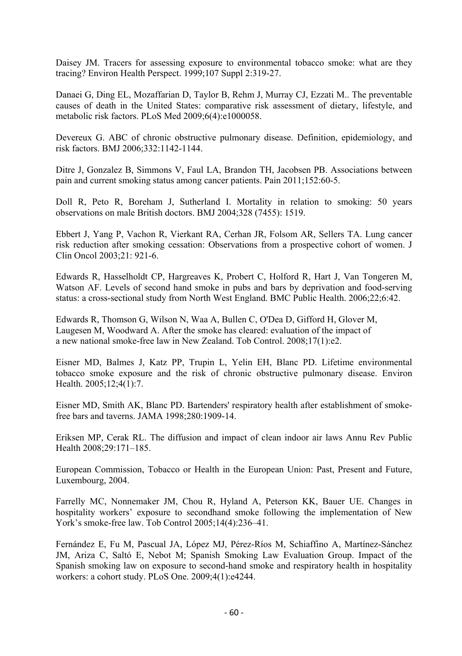Daisey JM. Tracers for assessing exposure to environmental tobacco smoke: what are they tracing? Environ Health Perspect. 1999;107 Suppl 2:319-27.

Danaei G, Ding EL, Mozaffarian D, Taylor B, Rehm J, Murray CJ, Ezzati M.. The preventable causes of death in the United States: comparative risk assessment of dietary, lifestyle, and metabolic risk factors. PLoS Med 2009;6(4):e1000058.

Devereux G. ABC of chronic obstructive pulmonary disease. Definition, epidemiology, and risk factors. BMJ 2006;332:1142-1144.

Ditre J, Gonzalez B, Simmons V, Faul LA, Brandon TH, Jacobsen PB. Associations between pain and current smoking status among cancer patients. Pain 2011;152:60-5.

Doll R, Peto R, Boreham J, Sutherland I. Mortality in relation to smoking: 50 years observations on male British doctors. BMJ 2004;328 (7455): 1519.

Ebbert J, Yang P, Vachon R, Vierkant RA, Cerhan JR, Folsom AR, Sellers TA. Lung cancer risk reduction after smoking cessation: Observations from a prospective cohort of women. J Clin Oncol 2003;21: 921-6.

Edwards R, Hasselholdt CP, Hargreaves K, Probert C, Holford R, Hart J, Van Tongeren M, Watson AF. Levels of second hand smoke in pubs and bars by deprivation and food-serving status: a cross-sectional study from North West England. BMC Public Health. 2006;22;6:42.

Edwards R, Thomson G, Wilson N, Waa A, Bullen C, O'Dea D, Gifford H, Glover M, Laugesen M, Woodward A. After the smoke has cleared: evaluation of the impact of a new national smoke-free law in New Zealand. Tob Control. 2008;17(1):e2.

Eisner MD, Balmes J, Katz PP, Trupin L, Yelin EH, Blanc PD. Lifetime environmental tobacco smoke exposure and the risk of chronic obstructive pulmonary disease. Environ Health. 2005;12;4(1):7.

Eisner MD, Smith AK, Blanc PD. Bartenders' respiratory health after establishment of smokefree bars and taverns. JAMA 1998;280:1909-14.

Eriksen MP, Cerak RL. The diffusion and impact of clean indoor air laws Annu Rev Public Health 2008;29:171–185.

European Commission, Tobacco or Health in the European Union: Past, Present and Future, Luxembourg, 2004.

Farrelly MC, Nonnemaker JM, Chou R, Hyland A, Peterson KK, Bauer UE. Changes in hospitality workers' exposure to secondhand smoke following the implementation of New York's smoke-free law. Tob Control 2005;14(4):236–41.

Fernández E, Fu M, Pascual JA, López MJ, Pérez-Ríos M, Schiaffino A, Martínez-Sánchez JM, Ariza C, Saltó E, Nebot M; Spanish Smoking Law Evaluation Group. Impact of the Spanish smoking law on exposure to second-hand smoke and respiratory health in hospitality workers: a cohort study. PLoS One. 2009;4(1):e4244.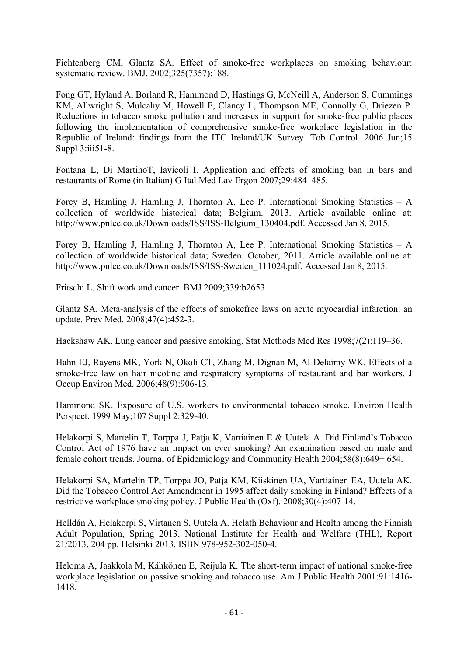Fichtenberg CM, Glantz SA. Effect of smoke-free workplaces on smoking behaviour: systematic review. BMJ. 2002;325(7357):188.

Fong GT, Hyland A, Borland R, Hammond D, Hastings G, McNeill A, Anderson S, Cummings KM, Allwright S, Mulcahy M, Howell F, Clancy L, Thompson ME, Connolly G, Driezen P. Reductions in tobacco smoke pollution and increases in support for smoke-free public places following the implementation of comprehensive smoke-free workplace legislation in the Republic of Ireland: findings from the ITC Ireland/UK Survey. Tob Control. 2006 Jun;15 Suppl 3:iii51-8.

Fontana L, Di MartinoT, Iavicoli I. Application and effects of smoking ban in bars and restaurants of Rome (in Italian) G Ital Med Lav Ergon 2007;29:484–485.

Forey B, Hamling J, Hamling J, Thornton A, Lee P. International Smoking Statistics – A collection of worldwide historical data; Belgium. 2013. Article available online at: http://www.pnlee.co.uk/Downloads/ISS/ISS-Belgium\_130404.pdf. Accessed Jan 8, 2015.

Forey B, Hamling J, Hamling J, Thornton A, Lee P. International Smoking Statistics – A collection of worldwide historical data; Sweden. October, 2011. Article available online at: http://www.pnlee.co.uk/Downloads/ISS/ISS-Sweden\_111024.pdf. Accessed Jan 8, 2015.

Fritschi L. Shift work and cancer. BMJ 2009;339:b2653

Glantz SA. Meta-analysis of the effects of smokefree laws on acute myocardial infarction: an update. Prev Med. 2008;47(4):452-3.

Hackshaw AK. Lung cancer and passive smoking. Stat Methods Med Res 1998;7(2):119–36.

Hahn EJ, Rayens MK, York N, Okoli CT, Zhang M, Dignan M, Al-Delaimy WK. Effects of a smoke-free law on hair nicotine and respiratory symptoms of restaurant and bar workers. J Occup Environ Med. 2006;48(9):906-13.

Hammond SK. Exposure of U.S. workers to environmental tobacco smoke. Environ Health Perspect. 1999 May;107 Suppl 2:329-40.

Helakorpi S, Martelin T, Torppa J, Patja K, Vartiainen E & Uutela A. Did Finland's Tobacco Control Act of 1976 have an impact on ever smoking? An examination based on male and female cohort trends. Journal of Epidemiology and Community Health 2004;58(8):649− 654.

Helakorpi SA, Martelin TP, Torppa JO, Patja KM, Kiiskinen UA, Vartiainen EA, Uutela AK. Did the Tobacco Control Act Amendment in 1995 affect daily smoking in Finland? Effects of a restrictive workplace smoking policy. J Public Health (Oxf). 2008;30(4):407-14.

Helldán A, Helakorpi S, Virtanen S, Uutela A. Helath Behaviour and Health among the Finnish Adult Population, Spring 2013. National Institute for Health and Welfare (THL), Report 21/2013, 204 pp. Helsinki 2013. ISBN 978-952-302-050-4.

Heloma A, Jaakkola M, Kähkönen E, Reijula K. The short-term impact of national smoke-free workplace legislation on passive smoking and tobacco use. Am J Public Health 2001:91:1416- 1418.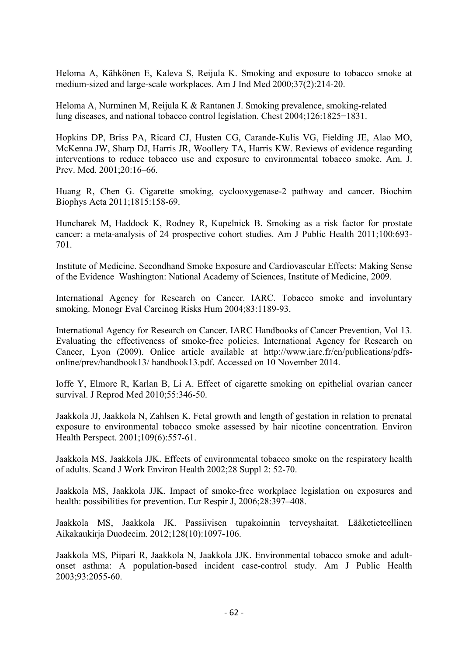Heloma A, Kähkönen E, Kaleva S, Reijula K. Smoking and exposure to tobacco smoke at medium-sized and large-scale workplaces. Am J Ind Med 2000;37(2):214-20.

Heloma A, Nurminen M, Reijula K & Rantanen J. Smoking prevalence, smoking-related lung diseases, and national tobacco control legislation. Chest 2004;126:1825−1831.

Hopkins DP, Briss PA, Ricard CJ, Husten CG, Carande-Kulis VG, Fielding JE, Alao MO, McKenna JW, Sharp DJ, Harris JR, Woollery TA, Harris KW. Reviews of evidence regarding interventions to reduce tobacco use and exposure to environmental tobacco smoke. Am. J. Prev. Med. 2001;20:16–66.

Huang R, Chen G. Cigarette smoking, cyclooxygenase-2 pathway and cancer. Biochim Biophys Acta 2011;1815:158-69.

Huncharek M, Haddock K, Rodney R, Kupelnick B. Smoking as a risk factor for prostate cancer: a meta-analysis of 24 prospective cohort studies. Am J Public Health 2011;100:693- 701.

Institute of Medicine. Secondhand Smoke Exposure and Cardiovascular Effects: Making Sense of the Evidence Washington: National Academy of Sciences, Institute of Medicine, 2009.

International Agency for Research on Cancer. IARC. Tobacco smoke and involuntary smoking. Monogr Eval Carcinog Risks Hum 2004;83:1189-93.

International Agency for Research on Cancer. IARC Handbooks of Cancer Prevention, Vol 13. Evaluating the effectiveness of smoke-free policies. International Agency for Research on Cancer, Lyon (2009). Onlice article available at http://www.iarc.fr/en/publications/pdfsonline/prev/handbook13/ handbook13.pdf. Accessed on 10 November 2014.

Ioffe Y, Elmore R, Karlan B, Li A. Effect of cigarette smoking on epithelial ovarian cancer survival. J Reprod Med 2010;55:346-50.

Jaakkola JJ, Jaakkola N, Zahlsen K. Fetal growth and length of gestation in relation to prenatal exposure to environmental tobacco smoke assessed by hair nicotine concentration. Environ Health Perspect. 2001;109(6):557-61.

Jaakkola MS, Jaakkola JJK. Effects of environmental tobacco smoke on the respiratory health of adults. Scand J Work Environ Health 2002;28 Suppl 2: 52-70.

Jaakkola MS, Jaakkola JJK. Impact of smoke-free workplace legislation on exposures and health: possibilities for prevention. Eur Respir J, 2006;28:397–408.

Jaakkola MS, Jaakkola JK. Passiivisen tupakoinnin terveyshaitat. Lääketieteellinen Aikakaukirja Duodecim. 2012;128(10):1097-106.

Jaakkola MS, Piipari R, Jaakkola N, Jaakkola JJK. Environmental tobacco smoke and adultonset asthma: A population-based incident case-control study. Am J Public Health 2003;93:2055-60.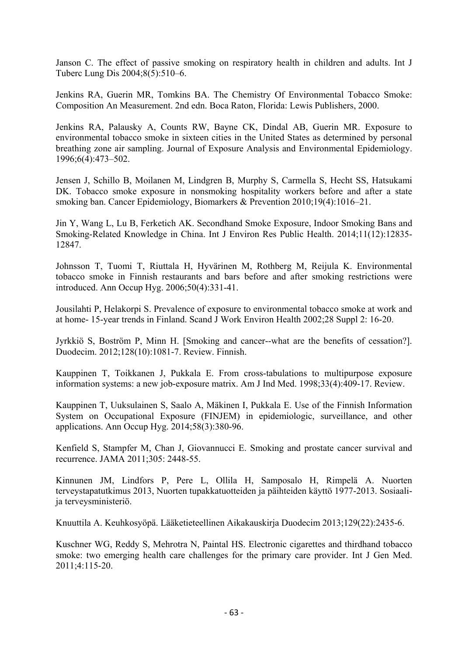Janson C. The effect of passive smoking on respiratory health in children and adults. Int J Tuberc Lung Dis 2004;8(5):510–6.

Jenkins RA, Guerin MR, Tomkins BA. The Chemistry Of Environmental Tobacco Smoke: Composition An Measurement. 2nd edn. Boca Raton, Florida: Lewis Publishers, 2000.

Jenkins RA, Palausky A, Counts RW, Bayne CK, Dindal AB, Guerin MR. Exposure to environmental tobacco smoke in sixteen cities in the United States as determined by personal breathing zone air sampling. Journal of Exposure Analysis and Environmental Epidemiology. 1996;6(4):473–502.

Jensen J, Schillo B, Moilanen M, Lindgren B, Murphy S, Carmella S, Hecht SS, Hatsukami DK. Tobacco smoke exposure in nonsmoking hospitality workers before and after a state smoking ban. Cancer Epidemiology, Biomarkers & Prevention 2010;19(4):1016–21.

Jin Y, Wang L, Lu B, Ferketich AK. Secondhand Smoke Exposure, Indoor Smoking Bans and Smoking-Related Knowledge in China. Int J Environ Res Public Health. 2014;11(12):12835- 12847.

Johnsson T, Tuomi T, Riuttala H, Hyvärinen M, Rothberg M, Reijula K. Environmental tobacco smoke in Finnish restaurants and bars before and after smoking restrictions were introduced. Ann Occup Hyg. 2006;50(4):331-41.

Jousilahti P, Helakorpi S. Prevalence of exposure to environmental tobacco smoke at work and at home- 15-year trends in Finland. Scand J Work Environ Health 2002;28 Suppl 2: 16-20.

Jyrkkiö S, Boström P, Minn H. [Smoking and cancer--what are the benefits of cessation?]. Duodecim. 2012;128(10):1081-7. Review. Finnish.

Kauppinen T, Toikkanen J, Pukkala E. From cross-tabulations to multipurpose exposure information systems: a new job-exposure matrix. Am J Ind Med. 1998;33(4):409-17. Review.

Kauppinen T, Uuksulainen S, Saalo A, Mäkinen I, Pukkala E. Use of the Finnish Information System on Occupational Exposure (FINJEM) in epidemiologic, surveillance, and other applications. Ann Occup Hyg. 2014;58(3):380-96.

Kenfield S, Stampfer M, Chan J, Giovannucci E. Smoking and prostate cancer survival and recurrence. JAMA 2011;305: 2448-55.

Kinnunen JM, Lindfors P, Pere L, Ollila H, Samposalo H, Rimpelä A. Nuorten terveystapatutkimus 2013, Nuorten tupakkatuotteiden ja päihteiden käyttö 1977-2013. Sosiaalija terveysministeriö.

Knuuttila A. Keuhkosyöpä. Lääketieteellinen Aikakauskirja Duodecim 2013;129(22):2435-6.

Kuschner WG, Reddy S, Mehrotra N, Paintal HS. Electronic cigarettes and thirdhand tobacco smoke: two emerging health care challenges for the primary care provider. Int J Gen Med. 2011;4:115-20.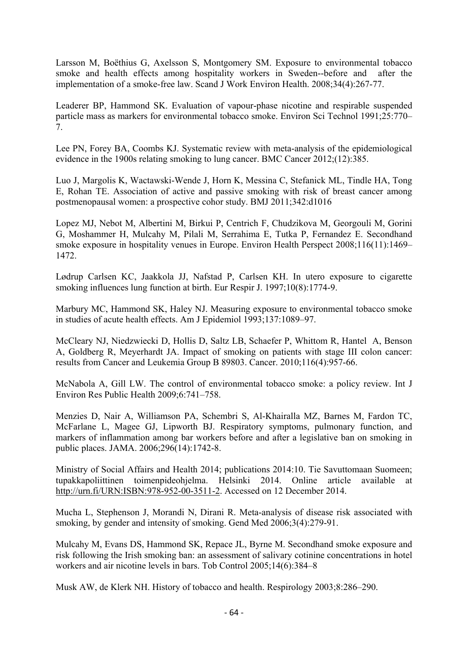Larsson M, Boëthius G, Axelsson S, Montgomery SM. Exposure to environmental tobacco smoke and health effects among hospitality workers in Sweden--before and after the implementation of a smoke-free law. Scand J Work Environ Health. 2008;34(4):267-77.

Leaderer BP, Hammond SK. Evaluation of vapour-phase nicotine and respirable suspended particle mass as markers for environmental tobacco smoke. Environ Sci Technol 1991;25:770– 7.

Lee PN, Forey BA, Coombs KJ. Systematic review with meta-analysis of the epidemiological evidence in the 1900s relating smoking to lung cancer. BMC Cancer 2012;(12):385.

Luo J, Margolis K, Wactawski-Wende J, Horn K, Messina C, Stefanick ML, Tindle HA, Tong E, Rohan TE. Association of active and passive smoking with risk of breast cancer among postmenopausal women: a prospective cohor study. BMJ 2011;342:d1016

Lopez MJ, Nebot M, Albertini M, Birkui P, Centrich F, Chudzikova M, Georgouli M, Gorini G, Moshammer H, Mulcahy M, Pilali M, Serrahima E, Tutka P, Fernandez E. Secondhand smoke exposure in hospitality venues in Europe. Environ Health Perspect 2008;116(11):1469– 1472.

Lødrup Carlsen KC, Jaakkola JJ, Nafstad P, Carlsen KH. In utero exposure to cigarette smoking influences lung function at birth. Eur Respir J. 1997;10(8):1774-9.

Marbury MC, Hammond SK, Haley NJ. Measuring exposure to environmental tobacco smoke in studies of acute health effects. Am J Epidemiol 1993;137:1089–97.

McCleary NJ, Niedzwiecki D, Hollis D, Saltz LB, Schaefer P, Whittom R, Hantel A, Benson A, Goldberg R, Meyerhardt JA. Impact of smoking on patients with stage III colon cancer: results from Cancer and Leukemia Group B 89803. Cancer. 2010;116(4):957-66.

McNabola A, Gill LW. The control of environmental tobacco smoke: a policy review. Int J Environ Res Public Health 2009;6:741–758.

Menzies D, Nair A, Williamson PA, Schembri S, Al-Khairalla MZ, Barnes M, Fardon TC, McFarlane L, Magee GJ, Lipworth BJ. Respiratory symptoms, pulmonary function, and markers of inflammation among bar workers before and after a legislative ban on smoking in public places. JAMA. 2006;296(14):1742-8.

Ministry of Social Affairs and Health 2014; publications 2014:10. Tie Savuttomaan Suomeen; tupakkapoliittinen toimenpideohjelma. Helsinki 2014. Online article available at http://urn.fi/URN:ISBN:978-952-00-3511-2. Accessed on 12 December 2014.

Mucha L, Stephenson J, Morandi N, Dirani R. Meta-analysis of disease risk associated with smoking, by gender and intensity of smoking. Gend Med 2006;3(4):279-91.

Mulcahy M, Evans DS, Hammond SK, Repace JL, Byrne M. Secondhand smoke exposure and risk following the Irish smoking ban: an assessment of salivary cotinine concentrations in hotel workers and air nicotine levels in bars. Tob Control 2005;14(6):384–8

Musk AW, de Klerk NH. History of tobacco and health. Respirology 2003;8:286–290.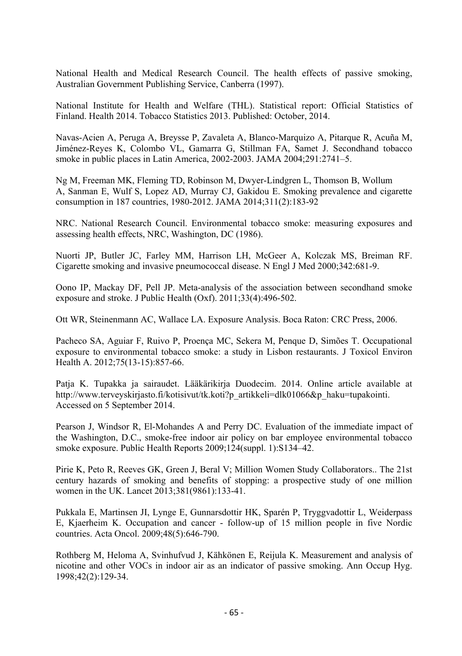National Health and Medical Research Council. The health effects of passive smoking, Australian Government Publishing Service, Canberra (1997).

National Institute for Health and Welfare (THL). Statistical report: Official Statistics of Finland. Health 2014. Tobacco Statistics 2013. Published: October, 2014.

Navas-Acien A, Peruga A, Breysse P, Zavaleta A, Blanco-Marquizo A, Pitarque R, Acuña M, Jiménez-Reyes K, Colombo VL, Gamarra G, Stillman FA, Samet J. Secondhand tobacco smoke in public places in Latin America, 2002-2003. JAMA 2004;291:2741–5.

Ng M, Freeman MK, Fleming TD, Robinson M, Dwyer-Lindgren L, Thomson B, Wollum A, Sanman E, Wulf S, Lopez AD, Murray CJ, Gakidou E. Smoking prevalence and cigarette consumption in 187 countries, 1980-2012. JAMA 2014;311(2):183-92

NRC. National Research Council. Environmental tobacco smoke: measuring exposures and assessing health effects, NRC, Washington, DC (1986).

Nuorti JP, Butler JC, Farley MM, Harrison LH, McGeer A, Kolczak MS, Breiman RF. Cigarette smoking and invasive pneumococcal disease. N Engl J Med 2000;342:681-9.

Oono IP, Mackay DF, Pell JP. Meta-analysis of the association between secondhand smoke exposure and stroke. J Public Health (Oxf). 2011;33(4):496-502.

Ott WR, Steinenmann AC, Wallace LA. Exposure Analysis. Boca Raton: CRC Press, 2006.

Pacheco SA, Aguiar F, Ruivo P, Proença MC, Sekera M, Penque D, Simões T. Occupational exposure to environmental tobacco smoke: a study in Lisbon restaurants. J Toxicol Environ Health A. 2012;75(13-15):857-66.

Patja K. Tupakka ja sairaudet. Lääkärikirja Duodecim. 2014. Online article available at http://www.terveyskirjasto.fi/kotisivut/tk.koti?p\_artikkeli=dlk01066&p\_haku=tupakointi. Accessed on 5 September 2014.

Pearson J, Windsor R, El-Mohandes A and Perry DC. Evaluation of the immediate impact of the Washington, D.C., smoke-free indoor air policy on bar employee environmental tobacco smoke exposure. Public Health Reports 2009;124(suppl. 1):S134–42.

Pirie K, Peto R, Reeves GK, Green J, Beral V; Million Women Study Collaborators.. The 21st century hazards of smoking and benefits of stopping: a prospective study of one million women in the UK. Lancet 2013;381(9861):133-41.

Pukkala E, Martinsen JI, Lynge E, Gunnarsdottir HK, Sparén P, Tryggvadottir L, Weiderpass E, Kjaerheim K. Occupation and cancer - follow-up of 15 million people in five Nordic countries. Acta Oncol. 2009;48(5):646-790.

Rothberg M, Heloma A, Svinhufvud J, Kähkönen E, Reijula K. Measurement and analysis of nicotine and other VOCs in indoor air as an indicator of passive smoking. Ann Occup Hyg. 1998;42(2):129-34.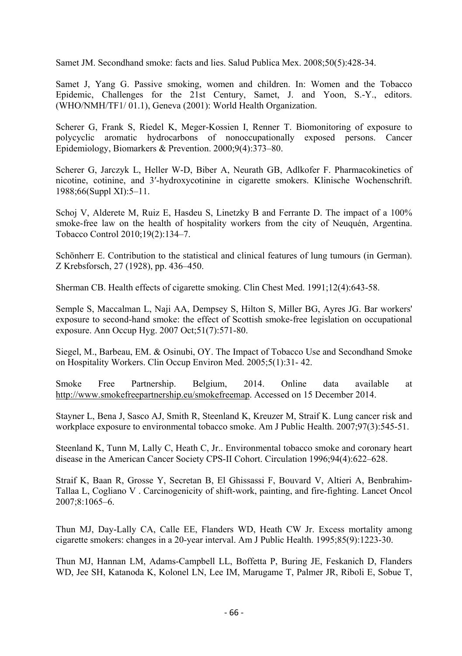Samet JM. Secondhand smoke: facts and lies. Salud Publica Mex. 2008;50(5):428-34.

Samet J, Yang G. Passive smoking, women and children. In: Women and the Tobacco Epidemic, Challenges for the 21st Century, Samet, J. and Yoon, S.-Y., editors. (WHO/NMH/TF1/ 01.1), Geneva (2001): World Health Organization.

Scherer G, Frank S, Riedel K, Meger-Kossien I, Renner T. Biomonitoring of exposure to polycyclic aromatic hydrocarbons of nonoccupationally exposed persons. Cancer Epidemiology, Biomarkers & Prevention. 2000;9(4):373–80.

Scherer G, Jarczyk L, Heller W-D, Biber A, Neurath GB, Adlkofer F. Pharmacokinetics of nicotine, cotinine, and 3′-hydroxycotinine in cigarette smokers. Klinische Wochenschrift. 1988;66(Suppl XI):5–11.

Schoj V, Alderete M, Ruiz E, Hasdeu S, Linetzky B and Ferrante D. The impact of a 100% smoke-free law on the health of hospitality workers from the city of Neuquén, Argentina. Tobacco Control 2010;19(2):134–7.

Schönherr E. Contribution to the statistical and clinical features of lung tumours (in German). Z Krebsforsch, 27 (1928), pp. 436–450.

Sherman CB. Health effects of cigarette smoking. Clin Chest Med. 1991;12(4):643-58.

Semple S, Maccalman L, Naji AA, Dempsey S, Hilton S, Miller BG, Ayres JG. Bar workers' exposure to second-hand smoke: the effect of Scottish smoke-free legislation on occupational exposure. Ann Occup Hyg. 2007 Oct;51(7):571-80.

Siegel, M., Barbeau, EM. & Osinubi, OY. The Impact of Tobacco Use and Secondhand Smoke on Hospitality Workers. Clin Occup Environ Med. 2005;5(1):31- 42.

Smoke Free Partnership. Belgium, 2014. Online data available at http://www.smokefreepartnership.eu/smokefreemap. Accessed on 15 December 2014.

Stayner L, Bena J, Sasco AJ, Smith R, Steenland K, Kreuzer M, Straif K. Lung cancer risk and workplace exposure to environmental tobacco smoke. Am J Public Health. 2007;97(3):545-51.

Steenland K, Tunn M, Lally C, Heath C, Jr.. Environmental tobacco smoke and coronary heart disease in the American Cancer Society CPS-II Cohort. Circulation 1996;94(4):622–628.

Straif K, Baan R, Grosse Y, Secretan B, El Ghissassi F, Bouvard V, Altieri A, Benbrahim-Tallaa L, Cogliano V . Carcinogenicity of shift-work, painting, and fire-fighting. Lancet Oncol 2007;8:1065–6.

Thun MJ, Day-Lally CA, Calle EE, Flanders WD, Heath CW Jr. Excess mortality among cigarette smokers: changes in a 20-year interval. Am J Public Health. 1995;85(9):1223-30.

Thun MJ, Hannan LM, Adams-Campbell LL, Boffetta P, Buring JE, Feskanich D, Flanders WD, Jee SH, Katanoda K, Kolonel LN, Lee IM, Marugame T, Palmer JR, Riboli E, Sobue T,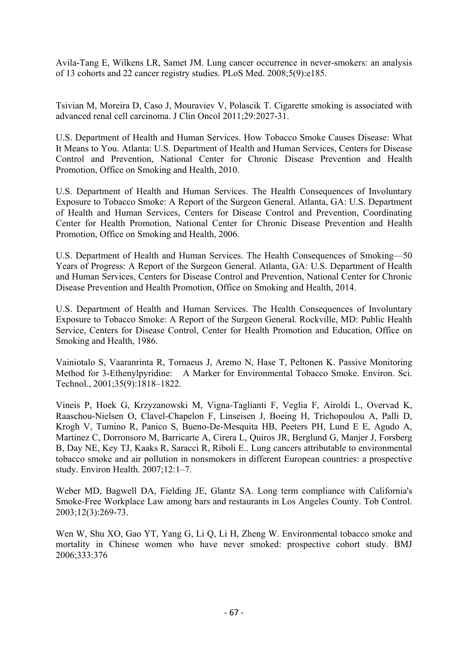Avila-Tang E, Wilkens LR, Samet JM. Lung cancer occurrence in never-smokers: an analysis of 13 cohorts and 22 cancer registry studies. PLoS Med. 2008;5(9):e185.

Tsivian M, Moreira D, Caso J, Mouraviev V, Polascik T. Cigarette smoking is associated with advanced renal cell carcinoma. J Clin Oncol 2011;29:2027-31.

U.S. Department of Health and Human Services. How Tobacco Smoke Causes Disease: What It Means to You. Atlanta: U.S. Department of Health and Human Services, Centers for Disease Control and Prevention, National Center for Chronic Disease Prevention and Health Promotion, Office on Smoking and Health, 2010.

U.S. Department of Health and Human Services. The Health Consequences of Involuntary Exposure to Tobacco Smoke: A Report of the Surgeon General. Atlanta, GA: U.S. Department of Health and Human Services, Centers for Disease Control and Prevention, Coordinating Center for Health Promotion, National Center for Chronic Disease Prevention and Health Promotion, Office on Smoking and Health, 2006.

U.S. Department of Health and Human Services. The Health Consequences of Smoking—50 Years of Progress: A Report of the Surgeon General. Atlanta, GA: U.S. Department of Health and Human Services, Centers for Disease Control and Prevention, National Center for Chronic Disease Prevention and Health Promotion, Office on Smoking and Health, 2014.

U.S. Department of Health and Human Services. The Health Consequences of Involuntary Exposure to Tobacco Smoke: A Report of the Surgeon General. Rockville, MD: Public Health Service, Centers for Disease Control, Center for Health Promotion and Education, Office on Smoking and Health, 1986.

Vainiotalo S, Vaaranrinta R, Tornaeus J, Aremo N, Hase T, Peltonen K. Passive Monitoring Method for 3-Ethenylpyridine: A Marker for Environmental Tobacco Smoke. Environ. Sci. Technol., 2001;35(9):1818–1822.

Vineis P, Hoek G, Krzyzanowski M, Vigna-Taglianti F, Veglia F, Airoldi L, Overvad K, Raaschou-Nielsen O, Clavel-Chapelon F, Linseisen J, Boeing H, Trichopoulou A, Palli D, Krogh V, Tumino R, Panico S, Bueno-De-Mesquita HB, Peeters PH, Lund E E, Agudo A, Martinez C, Dorronsoro M, Barricarte A, Cirera L, Quiros JR, Berglund G, Manjer J, Forsberg B, Day NE, Key TJ, Kaaks R, Saracci R, Riboli E.. Lung cancers attributable to environmental tobacco smoke and air pollution in nonsmokers in different European countries: a prospective study. Environ Health. 2007;12:1–7.

Weber MD, Bagwell DA, Fielding JE, Glantz SA. Long term compliance with California's Smoke-Free Workplace Law among bars and restaurants in Los Angeles County. Tob Control. 2003;12(3):269-73.

Wen W, Shu XO, Gao YT, Yang G, Li Q, Li H, Zheng W. Environmental tobacco smoke and mortality in Chinese women who have never smoked: prospective cohort study. BMJ 2006;333:376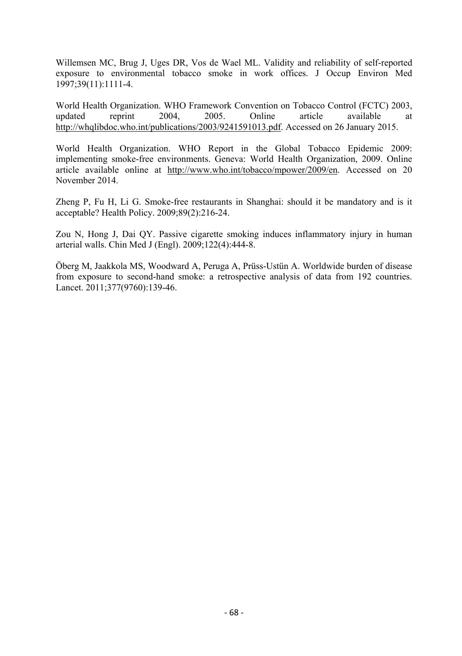Willemsen MC, Brug J, Uges DR, Vos de Wael ML. Validity and reliability of self-reported exposure to environmental tobacco smoke in work offices. J Occup Environ Med 1997;39(11):1111-4.

World Health Organization. WHO Framework Convention on Tobacco Control (FCTC) 2003, updated reprint 2004, 2005. Online article available at http://whqlibdoc.who.int/publications/2003/9241591013.pdf. Accessed on 26 January 2015.

World Health Organization. WHO Report in the Global Tobacco Epidemic 2009: implementing smoke-free environments. Geneva: World Health Organization, 2009. Online article available online at http://www.who.int/tobacco/mpower/2009/en. Accessed on 20 November 2014.

Zheng P, Fu H, Li G. Smoke-free restaurants in Shanghai: should it be mandatory and is it acceptable? Health Policy. 2009;89(2):216-24.

Zou N, Hong J, Dai QY. Passive cigarette smoking induces inflammatory injury in human arterial walls. Chin Med J (Engl). 2009;122(4):444-8.

Öberg M, Jaakkola MS, Woodward A, Peruga A, Prüss-Ustün A. Worldwide burden of disease from exposure to second-hand smoke: a retrospective analysis of data from 192 countries. Lancet. 2011;377(9760):139-46.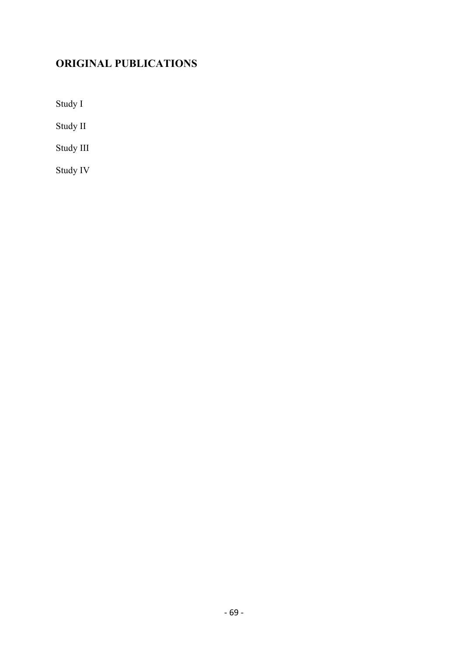# **ORIGINAL PUBLICATIONS**

Study I

Study II

Study III

Study IV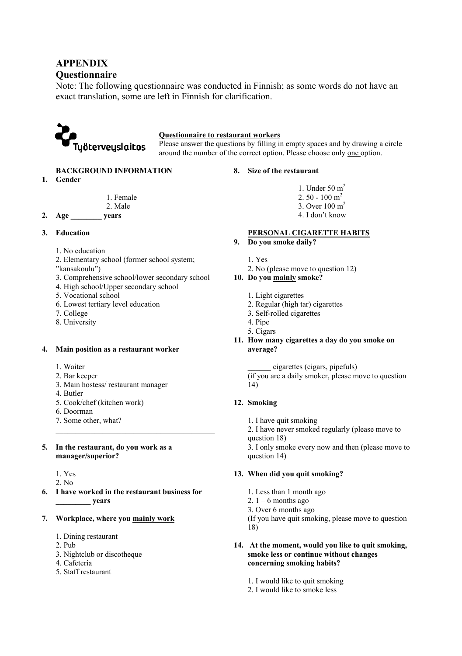## **APPENDIX**

### **Questionnaire**

Note: The following questionnaire was conducted in Finnish; as some words do not have an exact translation, some are left in Finnish for clarification.



### **Questionnaire to restaurant workers**

Please answer the questions by filling in empty spaces and by drawing a circle around the number of the correct option. Please choose only one option.

### **BACKGROUND INFORMATION**

**1. Gender** 

 1. Female 2. Male

**2. Age \_\_\_\_\_\_\_\_ years** 

### **3. Education**

- 1. No education
- 2. Elementary school (former school system;
- "kansakoulu")
- 3. Comprehensive school/lower secondary school
- 4. High school/Upper secondary school
- 5. Vocational school
- 6. Lowest tertiary level education
- 7. College
- 8. University

### **4. Main position as a restaurant worker**

- 1. Waiter
- 2. Bar keeper
- 3. Main hostess/ restaurant manager
- 4. Butler
- 5. Cook/chef (kitchen work)
- 6. Doorman
- 7. Some other, what?

### **5. In the restaurant, do you work as a manager/superior?**

- 1. Yes
- $2$ . No.
- **6. I have worked in the restaurant business for \_\_\_\_\_\_\_\_\_ years**
- **7. Workplace, where you mainly work**
	- 1. Dining restaurant
	- 2. Pub
	- 3. Nightclub or discotheque
	- 4. Cafeteria
	- 5. Staff restaurant

### **8. Size of the restaurant**

- 1. Under 50  $m<sup>2</sup>$  $2.50 - 100$  m<sup>2</sup> 3. Over 100 m2
- 4. I don't know

### **PERSONAL CIGARETTE HABITS**

- **9. Do you smoke daily?** 
	- 1. Yes
	- 2. No (please move to question 12)

### **10. Do you mainly smoke?**

- 1. Light cigarettes
- 2. Regular (high tar) cigarettes
- 3. Self-rolled cigarettes
- 4. Pipe
- 5. Cigars
- **11. How many cigarettes a day do you smoke on average?** 
	- \_\_\_\_\_\_ cigarettes (cigars, pipefuls)
	- (if you are a daily smoker, please move to question 14)

### **12. Smoking**

- 1. I have quit smoking
- 2. I have never smoked regularly (please move to
- question 18)

3. I only smoke every now and then (please move to question 14)

### **13. When did you quit smoking?**

- 1. Less than 1 month ago
- 2.  $1 6$  months ago
- 3. Over 6 months ago

(If you have quit smoking, please move to question 18)

#### **14. At the moment, would you like to quit smoking, smoke less or continue without changes concerning smoking habits?**

- 1. I would like to quit smoking
- 2. I would like to smoke less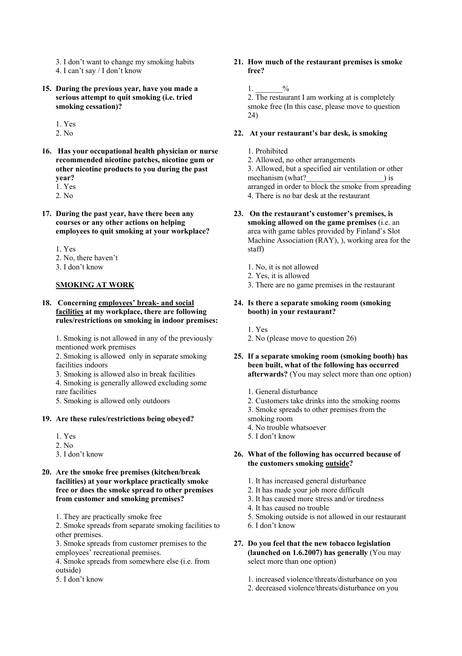3. I don't want to change my smoking habits

- 4. I can't say / I don't know
- **15. During the previous year, have you made a serious attempt to quit smoking (i.e. tried smoking cessation)?**

1. Yes

- $2$ . No.
- **16. Has your occupational health physician or nurse recommended nicotine patches, nicotine gum or other nicotine products to you during the past year?** 1. Yes
	- 2. No
- **17. During the past year, have there been any courses or any other actions on helping employees to quit smoking at your workplace?** 
	- 1. Yes
	- 2. No, there haven't
	- 3. I don't know

### **SMOKING AT WORK**

**18. Concerning employees' break- and social facilities at my workplace, there are following rules/restrictions on smoking in indoor premises:** 

1. Smoking is not allowed in any of the previously mentioned work premises

2. Smoking is allowed only in separate smoking facilities indoors

- 3. Smoking is allowed also in break facilities
- 4. Smoking is generally allowed excluding some rare facilities

5. Smoking is allowed only outdoors

#### **19. Are these rules/restrictions being obeyed?**

- $1$   $V_{\text{ee}}$
- $2$ . No.
- 3. I don't know

### **20. Are the smoke free premises (kitchen/break facilities) at your workplace practically smoke free or does the smoke spread to other premises from customer and smoking premises?**

1. They are practically smoke free

2. Smoke spreads from separate smoking facilities to other premises.

3. Smoke spreads from customer premises to the employees' recreational premises.

- 4. Smoke spreads from somewhere else (i.e. from outside)
- 5. I don't know

### **21. How much of the restaurant premises is smoke free?**

1.  $\frac{9}{6}$ 

2. The restaurant I am working at is completely smoke free (In this case, please move to question 24)

### **22. At your restaurant's bar desk, is smoking**

1. Prohibited

2. Allowed, no other arrangements 3. Allowed, but a specified air ventilation or other mechanism (what?) is arranged in order to block the smoke from spreading

4. There is no bar desk at the restaurant

#### **23. On the restaurant's customer's premises, is smoking allowed on the game premises** (i.e. an

area with game tables provided by Finland's Slot Machine Association (RAY), ), working area for the staff)

- 1. No, it is not allowed
- 2. Yes, it is allowed
- 3. There are no game premises in the restaurant

### **24. Is there a separate smoking room (smoking booth) in your restaurant?**

- 1. Yes
- 2. No (please move to question 26)
- **25. If a separate smoking room (smoking booth) has been built, what of the following has occurred afterwards?** (You may select more than one option)
	- 1. General disturbance
	- 2. Customers take drinks into the smoking rooms
	- 3. Smoke spreads to other premises from the
	- smoking room
	- 4. No trouble whatsoever
	- 5. I don't know

### **26. What of the following has occurred because of the customers smoking outside?**

- 1. It has increased general disturbance
- 2. It has made your job more difficult
- 3. It has caused more stress and/or tiredness
- 4. It has caused no trouble
- 5. Smoking outside is not allowed in our restaurant
- 6. I don't know
- **27. Do you feel that the new tobacco legislation (launched on 1.6.2007) has generally** (You may select more than one option)
	- 1. increased violence/threats/disturbance on you
	- 2. decreased violence/threats/disturbance on you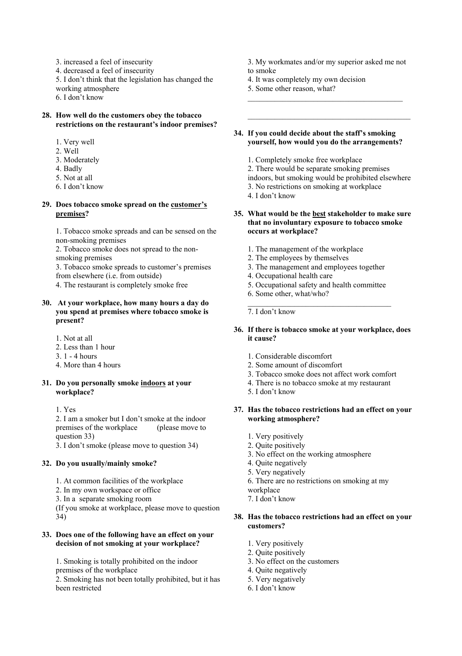3. increased a feel of insecurity

4. decreased a feel of insecurity

5. I don't think that the legislation has changed the working atmosphere

6. I don't know

#### **28. How well do the customers obey the tobacco restrictions on the restaurant's indoor premises?**

- 1. Very well
- 2. Well
- 3. Moderately
- 4. Badly
- 5. Not at all
- 6. I don't know

# **29. Does tobacco smoke spread on the customer's premises?**

1. Tobacco smoke spreads and can be sensed on the non-smoking premises

2. Tobacco smoke does not spread to the nonsmoking premises

3. Tobacco smoke spreads to customer's premises from elsewhere (i.e. from outside)

4. The restaurant is completely smoke free

#### **30. At your workplace, how many hours a day do you spend at premises where tobacco smoke is present?**

1. Not at all

- 2. Less than 1 hour
- 3. 1 4 hours
- 4. More than 4 hours

### **31. Do you personally smoke indoors at your workplace?**

1. Yes

2. I am a smoker but I don't smoke at the indoor premises of the workplace (please move to question 33)

3. I don't smoke (please move to question 34)

# **32. Do you usually/mainly smoke?**

- 1. At common facilities of the workplace
- 2. In my own workspace or office
- 3. In a separate smoking room

(If you smoke at workplace, please move to question 34)

### **33. Does one of the following have an effect on your decision of not smoking at your workplace?**

1. Smoking is totally prohibited on the indoor premises of the workplace

2. Smoking has not been totally prohibited, but it has been restricted

- 3. My workmates and/or my superior asked me not to smoke
- 4. It was completely my own decision
- 5. Some other reason, what?
- \_\_\_\_\_\_\_\_\_\_\_\_\_\_\_\_\_\_\_\_\_\_\_\_\_\_\_\_\_\_\_\_\_\_\_\_\_\_\_\_

#### **34. If you could decide about the staff's smoking yourself, how would you do the arrangements?**

- 1. Completely smoke free workplace
- 2. There would be separate smoking premises
- indoors, but smoking would be prohibited elsewhere
- 3. No restrictions on smoking at workplace
- 4. I don't know

#### **35. What would be the best stakeholder to make sure that no involuntary exposure to tobacco smoke occurs at workplace?**

- 1. The management of the workplace
- 2. The employees by themselves
- 3. The management and employees together
- 4. Occupational health care
- 5. Occupational safety and health committee
- 6. Some other, what/who?

7. I don't know

# **36. If there is tobacco smoke at your workplace, does it cause?**

- 1. Considerable discomfort
- 2. Some amount of discomfort
- 3. Tobacco smoke does not affect work comfort
- 4. There is no tobacco smoke at my restaurant
- 5. I don't know

### **37. Has the tobacco restrictions had an effect on your working atmosphere?**

- 1. Very positively
- 2. Quite positively
- 3. No effect on the working atmosphere
- 4. Quite negatively
- 5. Very negatively
- 6. There are no restrictions on smoking at my
- workplace
- 7. I don't know

# **38. Has the tobacco restrictions had an effect on your customers?**

- 1. Very positively
- 2. Quite positively
- 3. No effect on the customers
- 4. Quite negatively
- 5. Very negatively
- 6. I don't know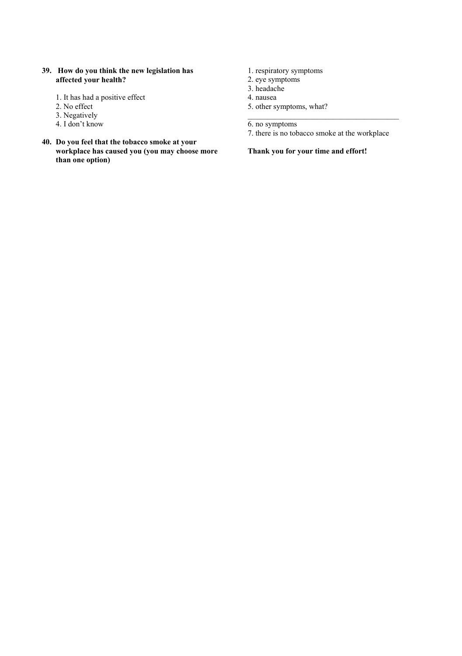- **39. How do you think the new legislation has affected your health?** 
	- 1. It has had a positive effect
	- 2. No effect
	- 3. Negatively
	- 4. I don't know
- **40. Do you feel that the tobacco smoke at your workplace has caused you (you may choose more than one option)**
- 1. respiratory symptoms
- 2. eye symptoms
- 3. headache
- 4. nausea
- 5. other symptoms, what?

6. no symptoms

7. there is no tobacco smoke at the workplace

# **Thank you for your time and effort!**